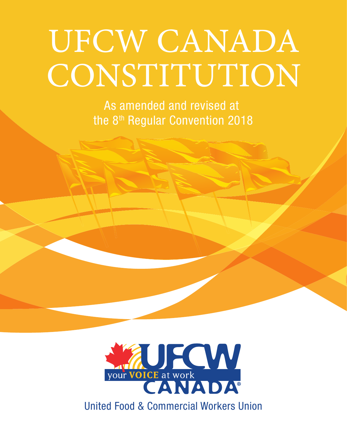# UFCW CANADA CONSTITUTION

As amended and revised at the 8th Regular Convention 2018



United Food & Commercial Workers Union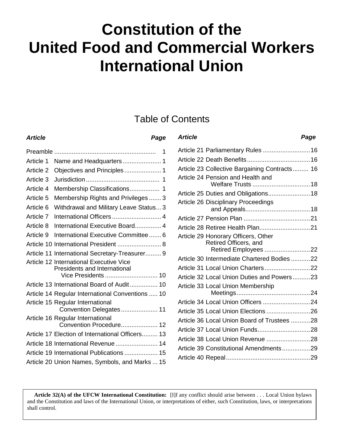# **Constitution of the United Food and Commercial Workers International Union**

## Table of Contents

#### *Article Page*

#### *Article Page*

| Article 1 | Name and Headquarters 1                                    |
|-----------|------------------------------------------------------------|
| Article 2 | Objectives and Principles  1                               |
| Article 3 |                                                            |
| Article 4 | Membership Classifications 1                               |
| Article 5 | Membership Rights and Privileges 3                         |
| Article 6 | Withdrawal and Military Leave Status 3                     |
| Article 7 | International Officers  4                                  |
| Article 8 | International Executive Board 4                            |
| Article 9 | International Executive Committee 6                        |
|           | Article 10 International President  8                      |
|           | Article 11 International Secretary-Treasurer 9             |
|           | Article 12 International Executive Vice                    |
|           | <b>Presidents and International</b><br>Vice Presidents  10 |
|           | Article 13 International Board of Audit 10                 |
|           | Article 14 Regular International Conventions  10           |
|           | Article 15 Regular International                           |
|           | Convention Delegates 11                                    |
|           | Article 16 Regular International                           |
|           | Convention Procedure 12                                    |
|           | Article 17 Election of International Officers 13           |
|           | Article 18 International Revenue  14                       |
|           | Article 19 International Publications  15                  |
|           | Article 20 Union Names, Symbols, and Marks  15             |

| Article 23 Collective Bargaining Contracts 16                |  |
|--------------------------------------------------------------|--|
| Article 24 Pension and Health and                            |  |
| Article 25 Duties and Obligations 18                         |  |
| Article 26 Disciplinary Proceedings                          |  |
|                                                              |  |
|                                                              |  |
| Article 29 Honorary Officers, Other<br>Retired Officers, and |  |
| Retired Employees 22                                         |  |
| Article 30 Intermediate Chartered Bodies22                   |  |
| Article 31 Local Union Charters22                            |  |
| Article 32 Local Union Duties and Powers23                   |  |
| Article 33 Local Union Membership                            |  |
| Article 34 Local Union Officers 24                           |  |
|                                                              |  |
| Article 36 Local Union Board of Trustees 28                  |  |
|                                                              |  |
|                                                              |  |
| Article 39 Constitutional Amendments29                       |  |
|                                                              |  |

 **Article 32(A) of the UFCW International Constitution:** [I]f any conflict should arise between . . . Local Union bylaws and the Constitution and laws of the International Union, or interpretations of either, such Constitution, laws, or interpretations shall control.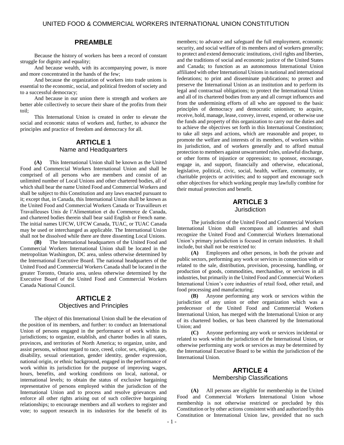#### **PREAMBLE**

Because the history of workers has been a record of constant struggle for dignity and equality;

And because wealth, with its accompanying power, is more and more concentrated in the hands of the few;

And because the organization of workers into trade unions is essential to the economic, social, and political freedom of society and to a successful democracy;

And because in our union there is strength and workers are better able collectively to secure their share of the profits from their toil;

This International Union is created in order to elevate the social and economic status of workers and, further, to advance the principles and practice of freedom and democracy for all.

#### **ARTICLE 1** Name and Headquarters

**(A)** This International Union shall be known as the United Food and Commercial Workers International Union and shall be comprised of all persons who are members and consist of an unlimited number of Local Unions and other chartered bodies, all of which shall bear the name United Food and Commercial Workers and shall be subject to this Constitution and any laws enacted pursuant to it; except that, in Canada, this International Union shall be known as the United Food and Commercial Workers Canada or Travailleurs et Travailleuses Unis de l'Alimentation et du Commerce de Canada, and chartered bodies therein shall bear said English or French name. The initial names UFCW, UFCW Canada, TUAC, or TUAC Canada may be used or interchanged as applicable. The International Union shall not be dissolved while there are three dissenting Local Unions.

**(B)** The International headquarters of the United Food and Commercial Workers International Union shall be located in the metropolitan Washington, DC area, unless otherwise determined by the International Executive Board. The national headquarters of the United Food and Commercial Workers Canada shall be located in the greater Toronto, Ontario area, unless otherwise determined by the Executive Board of the United Food and Commercial Workers Canada National Council.

#### **ARTICLE 2** Objectives and Principles

The object of this International Union shall be the elevation of the position of its members, and further: to conduct an International Union of persons engaged in the performance of work within its jurisdictions; to organize, establish, and charter bodies in all states, provinces, and territories of North America; to organize, unite, and assist persons, without regard to race, creed, color, sex, religion, age, disability, sexual orientation, gender identity, gender expression, national origin, or ethnic background, engaged in the performance of work within its jurisdiction for the purpose of improving wages, hours, benefits, and working conditions on local, national, or international levels; to obtain the status of exclusive bargaining representative of persons employed within the jurisdiction of the International Union and to process and resolve grievances and enforce all other rights arising out of such collective bargaining relationships; to encourage members and all workers to register and vote; to support research in its industries for the benefit of its

members; to advance and safeguard the full employment, economic security, and social welfare of its members and of workers generally; to protect and extend democratic institutions, civil rights and liberties, and the traditions of social and economic justice of the United States and Canada; to function as an autonomous International Union affiliated with other International Unions in national and international federations; to print and disseminate publications; to protect and preserve the International Union as an institution and to perform its legal and contractual obligations; to protect the International Union and all of its chartered bodies from any and all corrupt influences and from the undermining efforts of all who are opposed to the basic principles of democracy and democratic unionism; to acquire, receive, hold, manage, lease, convey, invest, expend, or otherwise use the funds and property of this organization to carry out the duties and to achieve the objectives set forth in this International Constitution; to take all steps and actions, which are reasonable and proper, to promote the welfare and interests of its members, of workers within its jurisdiction, and of workers generally and to afford mutual protection to members against unwarranted rules, unlawful discharge, or other forms of injustice or oppression; to sponsor, encourage, engage in, and support, financially and otherwise, educational, legislative, political, civic, social, health, welfare, community, or charitable projects or activities; and to support and encourage such other objectives for which working people may lawfully combine for their mutual protection and benefit.

#### **ARTICLE 3 Jurisdiction**

The jurisdiction of the United Food and Commercial Workers International Union shall encompass all industries and shall recognize the United Food and Commercial Workers International Union's primary jurisdiction is focused in certain industries. It shall include, but shall not be restricted to:

**(A)** Employees and other persons, in both the private and public sectors, performing any work or services in connection with or related to the sale, distribution, provision, processing, handling, or production of goods, commodities, merchandise, or services in all industries, but primarily in the United Food and Commercial Workers International Union's core industries of retail food, other retail, and food processing and manufacturing;

**(B)** Anyone performing any work or services within the jurisdiction of any union or other organization which was a predecessor of the United Food and Commercial Workers International Union, has merged with the International Union or any of its chartered bodies, or has been chartered by the International Union; and

**(C)** Anyone performing any work or services incidental or related to work within the jurisdiction of the International Union, or otherwise performing any work or services as may be determined by the International Executive Board to be within the jurisdiction of the International Union.

#### **ARTICLE 4** Membership Classifications

**(A)** All persons are eligible for membership in the United Food and Commercial Workers International Union whose membership is not otherwise restricted or precluded by this Constitution or by other actions consistent with and authorized by this Constitution or International Union law, provided that no such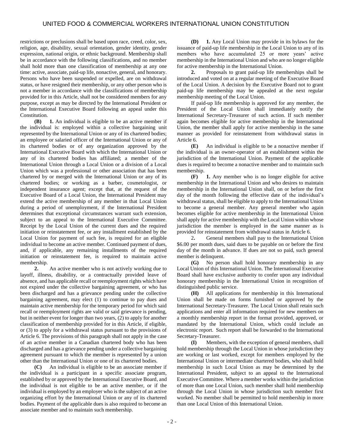restrictions or preclusions shall be based upon race, creed, color, sex, religion, age, disability, sexual orientation, gender identity, gender expression, national origin, or ethnic background. Membership shall be in accordance with the following classifications, and no member shall hold more than one classification of membership at any one time: active, associate, paid-up life, nonactive, general, and honorary. Persons who have been suspended or expelled, are on withdrawal status, or have resigned their membership, or any other person who is not a member in accordance with the classifications of membership provided for in this Article, shall not be considered members for any purpose, except as may be directed by the International President or the International Executive Board following an appeal under this Constitution.

**(B) 1.** An individual is eligible to be an active member if the individual is: employed within a collective bargaining unit represented by the International Union or any of its chartered bodies; an employee or salaried officer of the International Union or any of its chartered bodies or of any organization approved by the International Executive Board with which the International Union or any of its chartered bodies has affiliated; a member of the International Union through a Local Union or a division of a Local Union which was a professional or other association that has been chartered by or merged with the International Union or any of its chartered bodies; or working as a barber, cosmetologist, or independent insurance agent; except that, at the request of the Executive Board of a Local Union, the International President may extend the active membership of any member in that Local Union during a period of unemployment, if the International President determines that exceptional circumstances warrant such extension, subject to an appeal to the International Executive Committee. Receipt by the Local Union of the current dues and the required initiation or reinstatement fee, or any installment established by the Local Union for payment of such fee, is required for an eligible individual to become an active member. Continued payment of dues, and, if applicable, any remaining installments of the required initiation or reinstatement fee, is required to maintain active membership.

**2.** An active member who is not actively working due to layoff, illness, disability, or a contractually provided leave of absence, and has applicable recall or reemployment rights which have not expired under the collective bargaining agreement, or who has been discharged and has a grievance pending under the collective bargaining agreement, may elect (1) to continue to pay dues and maintain active membership for the temporary period for which said recall or reemployment rights are valid or said grievance is pending, but in neither event for longer than two years, (2) to apply for another classification of membership provided for in this Article, if eligible, or (3) to apply for a withdrawal status pursuant to the provisions of Article 6. The provisions of this paragraph shall not apply in the case of an active member in a Canadian chartered body who has been discharged and has a grievance pending under a collective bargaining agreement pursuant to which the member is represented by a union other than the International Union or one of its chartered bodies.

**(C)** An individual is eligible to be an associate member if the individual is a participant in a specific associate program, established by or approved by the International Executive Board, and the individual is not eligible to be an active member, or if the individual is employed by an employer who is the subject of an active organizing effort by the International Union or any of its chartered bodies. Payment of the applicable dues is also required to become an associate member and to maintain such membership.

**(D) 1.** Any Local Union may provide in its bylaws for the issuance of paid-up life membership in the Local Union to any of its members who have accumulated 25 or more years' active membership in the International Union and who are no longer eligible for active membership in the International Union.

**2.** Proposals to grant paid-up life memberships shall be introduced and voted on at a regular meeting of the Executive Board of the Local Union. A decision by the Executive Board not to grant paid-up life membership may be appealed at the next regular membership meeting of the Local Union.

If paid-up life membership is approved for any member, the President of the Local Union shall immediately notify the International Secretary-Treasurer of such action. If such member again becomes eligible for active membership in the International Union, the member shall apply for active membership in the same manner as provided for reinstatement from withdrawal status in Article 6.

**(E)** An individual is eligible to be a nonactive member if the individual is an owner-operator of an establishment within the jurisdiction of the International Union. Payment of the applicable dues is required to become a nonactive member and to maintain such membership.

**(F) 1.** Any member who is no longer eligible for active membership in the International Union and who desires to maintain membership in the International Union shall, on or before the first day of the month following the effective date of the individual's withdrawal status, shall be eligible to apply to the International Union to become a general member. Any general member who again becomes eligible for active membership in the International Union shall apply for active membership with the Local Union within whose jurisdiction the member is employed in the same manner as is provided for reinstatement from withdrawal status in Article 6.

2**.** General members shall pay to the International Union \$6.00 per month dues, said dues to be payable on or before the first day of the month in advance. If dues are not so paid, such general member is delinquent.

**(G)** No person shall hold honorary membership in any Local Union of this International Union. The International Executive Board shall have exclusive authority to confer upon any individual honorary membership in the International Union in recognition of distinguished public service.

**(H)** All applications for membership in this International Union shall be made on forms furnished or approved by the International Secretary-Treasurer. The Local Union shall retain such applications and enter all information required for new members on a monthly membership report in the format provided, approved, or mandated by the International Union, which could include an electronic report. Such report shall be forwarded to the International Secretary-Treasurer.

**(I)** Members, with the exception of general members, shall hold membership through the Local Union in whose jurisdiction they are working or last worked, except for members employed by the International Union or intermediate chartered bodies, who shall hold membership in such Local Union as may be determined by the International President, subject to an appeal to the International Executive Committee. Where a member works within the jurisdiction of more than one Local Union, such member shall hold membership through the Local Union in whose jurisdiction such member first worked. No member shall be permitted to hold membership in more than one Local Union of this International Union.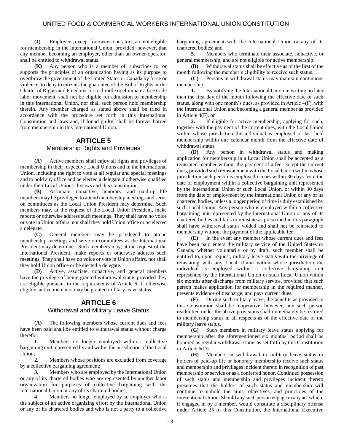**(J)** Employers, except for owner-operators, are not eligible for membership in the International Union; provided, however, that any member becoming an employer, other than an owner-operator, shall be entitled to withdrawal status.

**(K)** Any person who is a member of, subscribes to, or supports the principles of an organization having as its purpose to overthrow the government of the United States or Canada by force or violence, to deny to citizens the guarantee of the Bill of Rights or the Charter of Rights and Freedoms, or to throttle or eliminate a free trade labor movement, shall not be eligible for admission to membership in this International Union, nor shall such person hold membership therein. Any member charged as stated above shall be tried in accordance with the procedure set forth in this International Constitution and laws and, if found guilty, shall be forever barred from membership in this International Union.

#### **ARTICLE 5**

#### Membership Rights and Privileges

**(A)** Active members shall enjoy all rights and privileges of membership in their respective Local Unions and in the International Union, including the right to vote at all regular and special meetings and to hold any office and be elected a delegate if otherwise qualified under their Local Union's bylaws and this Constitution.

**(B)** Associate, nonactive, honorary, and paid-up life members may be privileged to attend membership meetings and serve on committees as the Local Union President may determine. Such members may, at the request of the Local Union President, make reports or otherwise address such meetings. They shall have no voice or vote in Union affairs, nor shall they hold Union office or be elected a delegate.

**(C)** General members may be privileged to attend membership meetings and serve on committees as the International President may determine. Such members may, at the request of the International President, make reports or otherwise address such meetings. They shall have no voice or vote in Union affairs, nor shall they hold Union office or be elected a delegate.

**(D)** Active, associate, nonactive, and general members have the privilege of being granted withdrawal status provided they are eligible pursuant to the requirements of Article 6. If otherwise eligible, active members may be granted military leave status.

#### **ARTICLE 6**  Withdrawal and Military Leave Status

**(A)** The following members whose current dues and fees have been paid shall be entitled to withdrawal status without charge therefor:

**1.** Members no longer employed within a collective bargaining unit represented by and within the jurisdiction of the Local Union;

**2.** Members whose positions are excluded from coverage by a collective bargaining agreement;

**3.** Members who are employed by the International Union or any of its chartered bodies who are represented by another labor organization for purposes of collective bargaining with the International Union or any of its chartered bodies;

**4.** Members no longer employed by an employer who is the subject of an active organizing effort by the International Union or any of its chartered bodies and who is not a party to a collective bargaining agreement with the International Union or any of its chartered bodies; and

**5.** Members who terminate their associate, nonactive, or general membership, and are not eligible for active membership.

**(B)** Withdrawal status shall be effective as of the first of the month following the member's eligibility to receive such status.

**(C)** Persons in withdrawal status may maintain continuous membership:

**1.** By notifying the International Union in writing no later than the first day of the month following the effective date of such status, along with one month's dues, as provided in Article 4(F), with the International Union and becoming a general member as provided in Article 4(F), or

**2.** If eligible for active membership, applying for such, together with the payment of the current dues, with the Local Union within whose jurisdiction the individual is employed or last held membership within one calendar month from the effective date of withdrawal status.

**(D)** Any person in withdrawal status and making application for membership in a Local Union shall be accepted as a reinstated member without the payment of a fee, except the current dues, provided such reinstatement with the Local Union within whose jurisdiction such person is employed occurs within 30 days from the date of employment within a collective bargaining unit represented by the International Union or such Local Union, or within 30 days from the date of employment by the International Union or any of its chartered bodies, unless a longer period of time is duly established by such Local Union. Any person who is employed within a collective bargaining unit represented by the International Union or any of its chartered bodies and fails to reinstate as prescribed in this paragraph shall have withdrawal status voided and shall not be reinstated to membership without the payment of the applicable fee.

**(E)** In the event any member whose current dues and fees have been paid enters the military service of the United States or Canada, whether voluntarily or by draft, such member shall be entitled to, upon request, military leave status with the privilege of reinstating with any Local Union within whose jurisdiction the individual is employed within a collective bargaining unit represented by the International Union or such Local Union within six months after discharge from military service, provided that such person makes application for membership in the required manner, presents evidence of discharge, and pays current dues.

**(F)** During such military leave, the benefits as provided in this Constitution shall be inoperative; however, any such person readmitted under the above provisions shall immediately be restored to membership status in all respects as of the effective date of the military leave status.

**(G)** Such members in military leave status applying for membership after the aforementioned six months' period shall be honored as regular withdrawal status as set forth by this Constitution in Article 6(D).

**(H)** Members in withdrawal or military leave status or holders of paid-up life or honorary membership receive such status and membership and privileges incident thereto in recognition of past membership or service or as a conferred honor. Continued possession of such status and membership and privileges incident thereto presumes that the holders of such status and membership will continue to uphold the aims, objectives, and principles of the International Union. Should any such person engage in any act which, if engaged in by a member, would constitute a disciplinary offense under Article 25 of this Constitution, the International Executive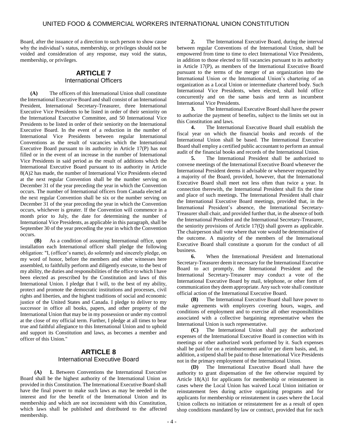Board, after the issuance of a direction to such person to show cause why the individual's status, membership, or privileges should not be voided and consideration of any response, may void the status, membership, or privileges.

#### **ARTICLE 7** International Officers

**(A)** The officers of this International Union shall constitute the International Executive Board and shall consist of an International President, International Secretary-Treasurer, three International Executive Vice Presidents to be listed in order of their seniority on the International Executive Committee, and 50 International Vice Presidents to be listed in order of their seniority on the International Executive Board. In the event of a reduction in the number of International Vice Presidents between regular International Conventions as the result of vacancies which the International Executive Board pursuant to its authority in Article 17(P) has not filled or in the event of an increase in the number of International Vice Presidents in said period as the result of additions which the International Executive Board pursuant to its authority in Article 8(A)2 has made, the number of International Vice Presidents elected at the next regular Convention shall be the number serving on December 31 of the year preceding the year in which the Convention occurs. The number of International officers from Canada elected at the next regular Convention shall be six or the number serving on December 31 of the year preceding the year in which the Convention occurs, whichever is greater. If the Convention will commence in a month prior to July, the date for determining the number of International Vice Presidents, as applicable in this paragraph, shall be September 30 of the year preceding the year in which the Convention occurs.

**(B)** As a condition of assuming International office, upon installation each International officer shall pledge the following obligation: "I, (officer's name), do solemnly and sincerely pledge, on my word of honor, before the members and other witnesses here assembled, to faithfully perform and diligently execute, to the best of my ability, the duties and responsibilities of the office to which I have been elected as prescribed by the Constitution and laws of this International Union. I pledge that I will, to the best of my ability, protect and promote the democratic institutions and processes, civil rights and liberties, and the highest traditions of social and economic justice of the United States and Canada. I pledge to deliver to my successor in office all books, papers, and other property of the International Union that may be in my possession or under my control at the close of my official term. Further, I pledge at all times to bear true and faithful allegiance to this International Union and to uphold and support its Constitution and laws, as becomes a member and officer of this Union."

#### **ARTICLE 8** International Executive Board

**(A) 1.** Between Conventions the International Executive Board shall be the highest authority of the International Union as provided in this Constitution. The International Executive Board shall have the final power to make such laws as may be needed in the interest and for the benefit of the International Union and its membership and which are not inconsistent with this Constitution, which laws shall be published and distributed to the affected membership.

**2.** The International Executive Board, during the interval between regular Conventions of the International Union, shall be empowered from time to time to elect International Vice Presidents, in addition to those elected to fill vacancies pursuant to its authority in Article 17(P), as members of the International Executive Board pursuant to the terms of the merger of an organization into the International Union or the International Union's chartering of an organization as a Local Union or intermediate chartered body. Such International Vice Presidents, when elected, shall hold office concurrently and on the same basis and term as incumbent International Vice Presidents.

**3.** The International Executive Board shall have the power to authorize the payment of benefits, subject to the limits set out in this Constitution and laws.

**4.** The International Executive Board shall establish the fiscal year on which the financial books and records of the International Union shall be based. The International Executive Board shall employ a certified public accountant to perform an annual audit of the financial books and records of the International Union.

**5.** The International President shall be authorized to convene meetings of the International Executive Board whenever the International President deems it advisable or whenever requested by a majority of the Board, provided, however, that the International Executive Board shall meet not less often than twice a year. In connection therewith, the International President shall fix the time and place of such meetings. The International President shall chair the International Executive Board meetings, provided that, in the International President's absence, the International Secretary-Treasurer shall chair, and provided further that, in the absence of both the International President and the International Secretary-Treasurer, the seniority provisions of Article 17(Q) shall govern as applicable. The chairperson shall vote where that vote would be determinative of the outcome. A majority of the members of the International Executive Board shall constitute a quorum for the conduct of all business.

**6.** When the International President and International Secretary-Treasurer deem it necessary for the International Executive Board to act promptly, the International President and the International Secretary-Treasurer may conduct a vote of the International Executive Board by mail, telephone, or other form of communication they deem appropriate. Any such vote shall constitute official action of the International Executive Board.

**(B)** The International Executive Board shall have power to make agreements with employers covering hours, wages, and conditions of employment and to exercise all other responsibilities associated with a collective bargaining representative when the International Union is such representative.

**(C)** The International Union shall pay the authorized expenses of the International Executive Board in connection with its meetings or other authorized work performed by it. Such expenses shall be paid for on a reimbursement and/or per diem basis, and, in addition, a stipend shall be paid to those International Vice Presidents not in the primary employment of the International Union.

**(D)** The International Executive Board shall have the authority to grant dispensation of the fee otherwise required by Article 18(A)1 for applicants for membership or reinstatement in cases where the Local Union has waived Local Union initiation or reinstatement fees during active organizing programs and for applicants for membership or reinstatement in cases where the Local Union collects no initiation or reinstatement fee as a result of open shop conditions mandated by law or contract, provided that for such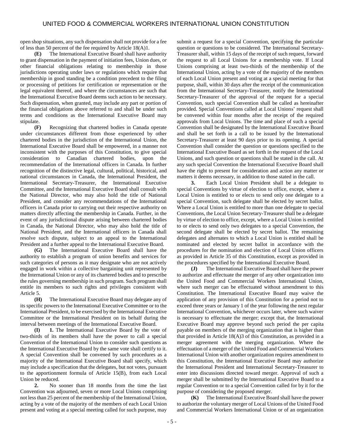open shop situations, any such dispensation shall not provide for a fee of less than 50 percent of the fee required by Article 18(A)1.

**(E)** The International Executive Board shall have authority to grant dispensation in the payment of initiation fees, Union dues, or other financial obligations relating to membership in those jurisdictions operating under laws or regulations which require that membership in good standing be a condition precedent to the filing or processing of petitions for certification or representation or the legal equivalent thereof, and where the circumstances are such that the International Executive Board deems such action to be necessary. Such dispensation, when granted, may include any part or portion of the financial obligations above referred to and shall be under such terms and conditions as the International Executive Board may stipulate.

**(F)** Recognizing that chartered bodies in Canada operate under circumstances different from those experienced by other chartered bodies in the jurisdiction of the International Union, the International Executive Board shall be empowered, in a manner not inconsistent with the purposes of this Constitution, to give special consideration to Canadian chartered bodies, upon the recommendation of the International officers in Canada. In further recognition of the distinctive legal, cultural, political, historical, and national circumstances in Canada, the International President, the International Secretary-Treasurer, the International Executive Committee, and the International Executive Board shall consult with the National Director, who may also hold the title of National President, and consider any recommendations of the International officers in Canada prior to carrying out their respective authority on matters directly affecting the membership in Canada. Further, in the event of any jurisdictional dispute arising between chartered bodies in Canada, the National Director, who may also hold the title of National President, and the International officers in Canada shall resolve such dispute, subject to an appeal to the International President and a further appeal to the International Executive Board.

**(G)** The International Executive Board shall have the authority to establish a program of union benefits and services for such categories of persons as it may designate who are not actively engaged in work within a collective bargaining unit represented by the International Union or any of its chartered bodies and to prescribe the rules governing membership in such program. Such program shall entitle its members to such rights and privileges consistent with Article 5.

**(H)** The International Executive Board may delegate any of its specific powers to the International Executive Committee or to the International President, to be exercised by the International Executive Committee or the International President on its behalf during the interval between meetings of the International Executive Board.

**(I) 1.** The International Executive Board by the vote of two-thirds of its members shall have the power to call a special Convention of the International Union to consider such questions as the International Executive Board by the same vote shall certify to it. A special Convention shall be convened by such procedures as a majority of the International Executive Board shall specify, which may include a specification that the delegates, but not votes, pursuant to the apportionment formula of Article 15(B), from each Local Union be reduced.

**2.** No sooner than 18 months from the time the last Convention was adjourned, seven or more Local Unions comprising not less than 25 percent of the membership of the International Union, acting by a vote of the majority of the members of each Local Union present and voting at a special meeting called for such purpose, may

submit a request for a special Convention, specifying the particular question or questions to be considered. The International Secretary-Treasurer shall, within 15 days of the receipt of such request, forward the request to all Local Unions for a membership vote. If Local Unions comprising at least two-thirds of the membership of the International Union, acting by a vote of the majority of the members of each Local Union present and voting at a special meeting for that purpose, shall, within 30 days after the receipt of the communication from the International Secretary-Treasurer, notify the International Secretary-Treasurer of the approval of the request for a special Convention, such special Convention shall be called as hereinafter provided. Special Conventions called at Local Unions' request shall be convened within four months after the receipt of the required approvals from Local Unions. The time and place of such a special Convention shall be designated by the International Executive Board and shall be set forth in a call to be issued by the International Secretary-Treasurer at least 90 days prior to its opening. A special Convention shall consider the question or questions specified to the International Executive Board as set forth in the request of the Local Unions, and such question or questions shall be stated in the call. At any such special Convention the International Executive Board shall have the right to present for consideration and action any matter or matters it deems necessary, in addition to those stated in the call.

**3.** Each Local Union President shall be a delegate to special Conventions by virtue of election to office, except, where a Local Union is entitled to or elects to send only one delegate to a special Convention, such delegate shall be elected by secret ballot. Where a Local Union is entitled to more than one delegate to special Conventions, the Local Union Secretary-Treasurer shall be a delegate by virtue of election to office, except, where a Local Union is entitled to or elects to send only two delegates to a special Convention, the second delegate shall be elected by secret ballot. The remaining delegates and alternates to which a Local Union is entitled shall be nominated and elected by secret ballot in accordance with the procedures for the nomination and election of Local Union officers as provided in Article 35 of this Constitution, except as provided in the procedures specified by the International Executive Board.

**(J)** The International Executive Board shall have the power to authorize and effectuate the merger of any other organization into the United Food and Commercial Workers International Union, where such merger can be effectuated without amendment to this Constitution. The International Executive Board may waive the application of any provision of this Constitution for a period not to exceed three years or January 1 of the year following the next regular International Convention, whichever occurs later, where such waiver is necessary to effectuate the merger; except that, the International Executive Board may approve beyond such period the per capita payable on members of the merging organization that is higher than that provided in Article 18(A)3 of this Constitution, as provided in a merger agreement with the merging organization. Where the effectuation of a merger of the United Food and Commercial Workers International Union with another organization requires amendment to this Constitution, the International Executive Board may authorize the International President and International Secretary-Treasurer to enter into discussions directed toward merger. Approval of such a merger shall be submitted by the International Executive Board to a regular Convention or to a special Convention called for by it for the purpose of considering the proposed merger.

**(K)** The International Executive Board shall have the power to authorize the voluntary merger of Local Unions of the United Food and Commercial Workers International Union or of an organization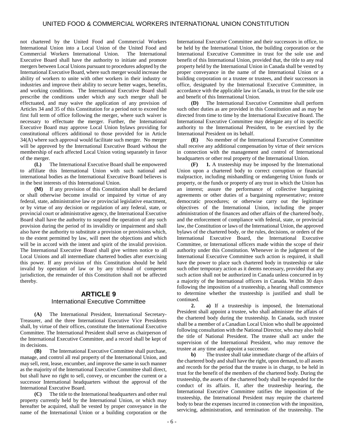not chartered by the United Food and Commercial Workers International Union into a Local Union of the United Food and Commercial Workers International Union. The International Executive Board shall have the authority to initiate and promote mergers between Local Unions pursuant to procedures adopted by the International Executive Board, where such merger would increase the ability of workers to unite with other workers in their industry or industries and improve their ability to secure better wages, benefits, and working conditions. The International Executive Board shall prescribe the conditions under which any such merger shall be effectuated, and may waive the application of any provision of Articles 34 and 35 of this Constitution for a period not to exceed the first full term of office following the merger, where such waiver is necessary to effectuate the merger. Further, the International Executive Board may approve Local Union bylaws providing for constitutional officers additional to those provided for in Article 34(A) where such approval would facilitate such merger. No merger will be approved by the International Executive Board without the membership of each affected Local Union voting separately in favor of the merger.

**(L)** The International Executive Board shall be empowered to affiliate this International Union with such national and international bodies as the International Executive Board believes is in the best interests of this International Union.

**(M)** If any provision of this Constitution shall be declared or shall otherwise become invalid or impaired by virtue of any federal, state, administrative law or provincial legislative enactment, or by virtue of any decision or regulation of any federal, state, or provincial court or administrative agency, the International Executive Board shall have the authority to suspend the operation of any such provision during the period of its invalidity or impairment and shall also have the authority to substitute a provision or provisions which, to the extent permitted by law, will meet the objections and which will be in accord with the intent and spirit of the invalid provision. The International Executive Board shall give written notice to all Local Unions and all intermediate chartered bodies after exercising this power. If any provision of this Constitution should be held invalid by operation of law or by any tribunal of competent jurisdiction, the remainder of this Constitution shall not be affected thereby.

#### **ARTICLE 9**

#### International Executive Committee

**(A)** The International President, International Secretary-Treasurer, and the three International Executive Vice Presidents shall, by virtue of their offices, constitute the International Executive Committee. The International President shall serve as chairperson of the International Executive Committee, and a record shall be kept of its decisions.

**(B)** The International Executive Committee shall purchase, manage, and control all real property of the International Union, and may sell, rent, lease, encumber, and improve the same in such manner as the majority of the International Executive Committee shall direct, but shall have no right to sell, convey, or encumber the current or a successor International headquarters without the approval of the International Executive Board.

**(C)** The title to the International headquarters and other real property currently held by the International Union, or which may hereafter be acquired, shall be vested by proper conveyance in the name of the International Union or a building corporation or the International Executive Committee and their successors in office, to be held by the International Union, the building corporation or the International Executive Committee in trust for the sole use and benefit of this International Union, provided that, the title to any real property held by the International Union in Canada shall be vested by proper conveyance in the name of the International Union or a building corporation or a trustee or trustees, and their successors in office, designated by the International Executive Committee, in accordance with the applicable law in Canada, in trust for the sole use and benefit of this International Union.

**(D)** The International Executive Committee shall perform such other duties as are provided in this Constitution and as may be directed from time to time by the International Executive Board. The International Executive Committee may delegate any of its specific authority to the International President, to be exercised by the International President on its behalf.

**(E)** No member of the International Executive Committee shall receive any additional compensation by virtue of their services in connection with the management and control of International headquarters or other real property of the International Union.

**(F) 1.** A trusteeship may be imposed by the International Union upon a chartered body to correct corruption or financial malpractice, including mishandling or endangering Union funds or property, or the funds or property of any trust in which the Union has an interest; assure the performance of collective bargaining agreements or other duties of a bargaining representative; restore democratic procedures; or otherwise carry out the legitimate objectives of the International Union, including the proper administration of the finances and other affairs of the chartered body, and the enforcement of compliance with federal, state, or provincial law, the Constitution or laws of the International Union, the approved bylaws of the chartered body, or the rules, decisions, or orders of the International Executive Board, the International Executive Committee, or International officers made within the scope of their authority under this Constitution. Whenever in the judgment of the International Executive Committee such action is required, it shall have the power to place such chartered body in trusteeship or take such other temporary action as it deems necessary, provided that any such action shall not be authorized in Canada unless concurred in by a majority of the International officers in Canada. Within 30 days following the imposition of a trusteeship, a hearing shall commence to determine whether the trusteeship is justified and shall be continued.

**2. a)** If a trusteeship is imposed, the International President shall appoint a trustee, who shall administer the affairs of the chartered body during the trusteeship. In Canada, such trustee shall be a member of a Canadian Local Union who shall be appointed following consultation with the National Director, who may also hold the title of National President. The trustee shall act under the supervision of the International President, who may remove the trustee at any time and appoint a successor.

**b)** The trustee shall take immediate charge of the affairs of the chartered body and shall have the right, upon demand, to all assets and records for the period that the trustee is in charge, to be held in trust for the benefit of the members of the chartered body. During the trusteeship, the assets of the chartered body shall be expended for the conduct of its affairs. If, after the trusteeship hearing, the International Executive Committee ratifies the imposition of the trusteeship, the International President may require the chartered body to bear the expenses incurred in connection with the imposition, servicing, administration, and termination of the trusteeship. The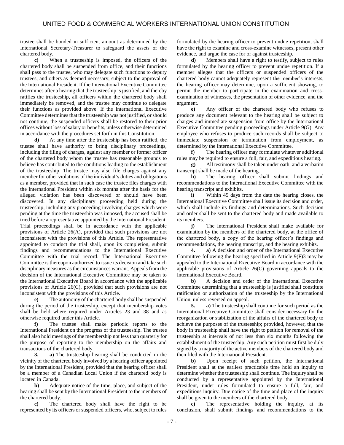trustee shall be bonded in sufficient amount as determined by the International Secretary-Treasurer to safeguard the assets of the chartered body.

**c)** When a trusteeship is imposed, the officers of the chartered body shall be suspended from office, and their functions shall pass to the trustee, who may delegate such functions to deputy trustees, and others as deemed necessary, subject to the approval of the International President. If the International Executive Committee determines after a hearing that the trusteeship is justified, and thereby ratifies the trusteeship, all officers within the chartered body shall immediately be removed, and the trustee may continue to delegate their functions as provided above. If the International Executive Committee determines that the trusteeship was not justified, or should not continue, the suspended officers shall be restored to their prior offices without loss of salary or benefits, unless otherwise determined in accordance with the procedures set forth in this Constitution.

**d)** At any time after the trusteeship has been ratified, the trustee shall have authority to bring disciplinary proceedings, including the filing of charges, against any member or former officer of the chartered body whom the trustee has reasonable grounds to believe has contributed to the conditions leading to the establishment of the trusteeship. The trustee may also file charges against any member for other violations of the individual's duties and obligations as a member, provided that in such case the trustee files charges with the International President within six months after the basis for the alleged violation has been discovered or should have been discovered. In any disciplinary proceeding held during the trusteeship, including any proceeding involving charges which were pending at the time the trusteeship was imposed, the accused shall be tried before a representative appointed by the International President. Trial proceedings shall be in accordance with the applicable provisions of Article 26(A), provided that such provisions are not inconsistent with the provisions of this Article. The representative appointed to conduct the trial shall, upon its completion, submit findings and recommendations to the International Executive Committee with the trial record. The International Executive Committee is thereupon authorized to issue its decision and take such disciplinary measures as the circumstances warrant. Appeals from the decision of the International Executive Committee may be taken to the International Executive Board in accordance with the applicable provisions of Article 26(C), provided that such provisions are not inconsistent with the provisions of this Article.

**e)** The autonomy of the chartered body shall be suspended during the period of the trusteeship, except that membership votes shall be held where required under Articles 23 and 38 and as otherwise required under this Article.<br> **f**) The trustee shall ma

**f)** The trustee shall make periodic reports to the International President on the progress of the trusteeship. The trustee shall also hold meetings of the membership not less than quarterly for the purpose of reporting to the membership on the affairs and transactions of the chartered body.

**3. a)** The trusteeship hearing shall be conducted in the vicinity of the chartered body involved by a hearing officer appointed by the International President, provided that the hearing officer shall be a member of a Canadian Local Union if the chartered body is located in Canada.

**b)** Adequate notice of the time, place, and subject of the hearing shall be sent by the International President to the members of the chartered body.

**c)** The chartered body shall have the right to be represented by its officers or suspended officers, who, subject to rules formulated by the hearing officer to prevent undue repetition, shall have the right to examine and cross-examine witnesses, present other evidence, and argue the case for or against trusteeship.

**d)** Members shall have a right to testify, subject to rules formulated by the hearing officer to prevent undue repetition. If a member alleges that the officers or suspended officers of the chartered body cannot adequately represent the member's interests, the hearing officer may determine, upon a sufficient showing, to permit the member to participate in the examination and crossexamination of witnesses, the presentation of other evidence, and the argument.

**e)** Any officer of the chartered body who refuses to produce any document relevant to the hearing shall be subject to charges and immediate suspension from office by the International Executive Committee pending proceedings under Article 9(G). Any employee who refuses to produce such records shall be subject to immediate suspension or termination from employment, as determined by the International Executive Committee.

**f)** The hearing officer may formulate whatever additional rules may be required to ensure a full, fair, and expeditious hearing.

**g)** All testimony shall be taken under oath, and a verbatim transcript shall be made of the hearing.

**h)** The hearing officer shall submit findings and recommendations to the International Executive Committee with the hearing transcript and exhibits.

**i)** Within 45 days from the date the hearing closes, the International Executive Committee shall issue its decision and order, which shall include its findings and determinations. Such decision and order shall be sent to the chartered body and made available to its members.

**j)** The International President shall make available for examination by the members of the chartered body, at the office of the chartered body, a copy of the hearing officer's findings and recommendations, the hearing transcript, and the hearing exhibits.

**4. a)** A decision and order of the International Executive Committee following the hearing specified in Article 9(F)3 may be appealed to the International Executive Board in accordance with the applicable provisions of Article 26(C) governing appeals to the International Executive Board.

**b)** A decision and order of the International Executive Committee determining that a trusteeship is justified shall constitute ratification or authorization of the trusteeship by the International Union, unless reversed on appeal.

**5. a)** The trusteeship shall continue for such period as the International Executive Committee shall consider necessary for the reorganization or stabilization of the affairs of the chartered body to achieve the purposes of the trusteeship; provided, however, that the body in trusteeship shall have the right to petition for removal of the trusteeship at intervals of not less than six months following the establishment of the trusteeship. Any such petition must first be duly signed by a majority of the active members of the chartered body and then filed with the International President.

**b)** Upon receipt of such petition, the International President shall at the earliest practicable time hold an inquiry to determine whether the trusteeship shall continue. The inquiry shall be conducted by a representative appointed by the International President, under rules formulated to ensure a full, fair, and expeditious inquiry. Due notice of the time and place of the inquiry shall be given to the members of the chartered body.

**c)** The representative holding the inquiry, at its conclusion, shall submit findings and recommendations to the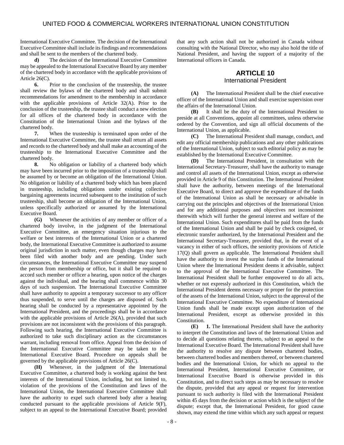International Executive Committee. The decision of the International Executive Committee shall include its findings and recommendations and shall be sent to the members of the chartered body.

**d)** The decision of the International Executive Committee may be appealed to the International Executive Board by any member of the chartered body in accordance with the applicable provisions of Article 26(C).

**6.** Prior to the conclusion of the trusteeship, the trustee shall review the bylaws of the chartered body and shall submit recommendations for amendment to the membership in accordance with the applicable provisions of Article  $32(A)$ . Prior to the conclusion of the trusteeship, the trustee shall conduct a new election for all offices of the chartered body in accordance with the Constitution of the International Union and the bylaws of the chartered body.

**7.** When the trusteeship is terminated upon order of the International Executive Committee, the trustee shall return all assets and records to the chartered body and shall make an accounting of the trusteeship to the International Executive Committee and the chartered body.

**8.** No obligation or liability of a chartered body which may have been incurred prior to the imposition of a trusteeship shall be assumed by or become an obligation of the International Union. No obligation or liability of a chartered body which has been placed in trusteeship, including obligations under existing collective bargaining agreements incurred subsequent to the institution of such trusteeship, shall become an obligation of the International Union, unless specifically authorized or assumed by the International Executive Board.

**(G)** Whenever the activities of any member or officer of a chartered body involve, in the judgment of the International Executive Committee, an emergency situation injurious to the welfare or best interests of the International Union or a chartered body, the International Executive Committee is authorized to assume original jurisdiction in such matter, even though charges may have been filed with another body and are pending. Under such circumstances, the International Executive Committee may suspend the person from membership or office, but it shall be required to accord such member or officer a hearing, upon notice of the charges against the individual, and the hearing shall commence within 30 days of such suspension. The International Executive Committee shall have authority to appoint a temporary successor to any officer thus suspended, to serve until the charges are disposed of. Such hearing shall be conducted by a representative appointed by the International President, and the proceedings shall be in accordance with the applicable provisions of Article 26(A), provided that such provisions are not inconsistent with the provisions of this paragraph. Following such hearing, the International Executive Committee is authorized to take such disciplinary action as the circumstances warrant, including removal from office. Appeal from the decision of the International Executive Committee may be taken to the International Executive Board. Procedure on appeals shall be governed by the applicable provisions of Article 26(C).

**(H)** Whenever, in the judgment of the International Executive Committee, a chartered body is working against the best interests of the International Union, including, but not limited to, violation of the provisions of the Constitution and laws of the International Union, the International Executive Committee shall have the authority to expel such chartered body after a hearing conducted pursuant to the applicable provisions of Article 9(F), subject to an appeal to the International Executive Board; provided

that any such action shall not be authorized in Canada without consulting with the National Director, who may also hold the title of National President, and having the support of a majority of the International officers in Canada.

#### **ARTICLE 10**  International President

**(A)** The International President shall be the chief executive officer of the International Union and shall exercise supervision over the affairs of the International Union.

**(B)** It shall be the duty of the International President to preside at all Conventions, appoint all committees, unless otherwise ordered by the Convention, and sign all official documents of the International Union, as applicable.

**(C)** The International President shall manage, conduct, and edit any official membership publications and any other publications of the International Union, subject to such editorial policy as may be established by the International Executive Committee.

**(D)** The International President, in consultation with the International Secretary-Treasurer, shall have the authority to manage and control all assets of the International Union, except as otherwise provided in Article 9 of this Constitution. The International President shall have the authority, between meetings of the International Executive Board, to direct and approve the expenditure of the funds of the International Union as shall be necessary or advisable in carrying out the principles and objectives of the International Union and for any additional purposes and objectives not inconsistent therewith which will further the general interest and welfare of the International Union. Such expenditures shall be paid from the funds of the International Union and shall be paid by check cosigned, or electronic transfer authorized, by the International President and the International Secretary-Treasurer, provided that, in the event of a vacancy in either of such offices, the seniority provisions of Article 17(Q) shall govern as applicable. The International President shall have the authority to invest the surplus funds of the International Union where the International President deems it advisable, subject to the approval of the International Executive Committee. The International President shall be further empowered to do all acts, whether or not expressly authorized in this Constitution, which the International President deems necessary or proper for the protection of the assets of the International Union, subject to the approval of the International Executive Committee. No expenditure of International Union funds shall be made except upon authorization of the International President, except as otherwise provided in this Constitution.

**(E) 1.** The International President shall have the authority to interpret the Constitution and laws of the International Union and to decide all questions relating thereto, subject to an appeal to the International Executive Board. The International President shall have the authority to resolve any dispute between chartered bodies, between chartered bodies and members thereof, or between chartered bodies and the International Union, for which no appeal to the International President, International Executive Committee, or International Executive Board is otherwise provided in this Constitution, and to direct such steps as may be necessary to resolve the dispute, provided that any appeal or request for intervention pursuant to such authority is filed with the International President within 45 days from the decision or action which is the subject of the dispute; except that, the International President, for good cause shown, may extend the time within which any such appeal or request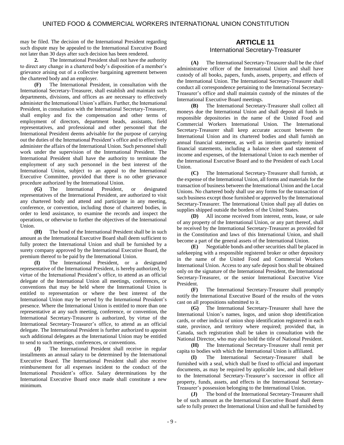may be filed. The decision of the International President regarding such dispute may be appealed to the International Executive Board not later than 30 days after such decision has been rendered.

**2.** The International President shall not have the authority to direct any change in a chartered body's disposition of a member's grievance arising out of a collective bargaining agreement between the chartered body and an employer.

**(F)** The International President, in consultation with the International Secretary-Treasurer, shall establish and maintain such departments, divisions, and offices as are necessary to effectively administer the International Union's affairs. Further, the International President, in consultation with the International Secretary-Treasurer, shall employ and fix the compensation and other terms of employment of directors, department heads, assistants, field representatives, and professional and other personnel that the International President deems advisable for the purpose of carrying out the duties of the International President's office and to effectively administer the affairs of the International Union. Such personnel shall work under the supervision of the International President. The International President shall have the authority to terminate the employment of any such personnel in the best interest of the International Union, subject to an appeal to the International Executive Committee, provided that there is no other grievance procedure authorized by the International Union.

**(G)** The International President, or designated representatives of the International President, are authorized to visit any chartered body and attend and participate in any meeting, conference, or convention, including those of chartered bodies, in order to lend assistance, to examine the records and inspect the operations, or otherwise to further the objectives of the International Union.

**(H)** The bond of the International President shall be in such amount as the International Executive Board shall deem sufficient to fully protect the International Union and shall be furnished by a surety company approved by the International Executive Board, the premium thereof to be paid by the International Union.

**(I)** The International President, or a designated representative of the International President, is hereby authorized, by virtue of the International President's office, to attend as an official delegate of the International Union all meetings, conferences, or conventions that may be held where the International Union is entitled to representation or where the best interest of the International Union may be served by the International President's presence. Where the International Union is entitled to more than one representative at any such meeting, conference, or convention, the International Secretary-Treasurer is authorized, by virtue of the International Secretary-Treasurer's office, to attend as an official delegate. The International President is further authorized to appoint such additional delegates as the International Union may be entitled to send to such meetings, conferences, or conventions.

**(J)** The International President shall receive in regular installments an annual salary to be determined by the International Executive Board. The International President shall also receive reimbursement for all expenses incident to the conduct of the International President's office. Salary determinations by the International Executive Board once made shall constitute a new minimum.

#### **ARTICLE 11**  International Secretary-Treasurer

**(A)** The International Secretary-Treasurer shall be the chief administrative officer of the International Union and shall have custody of all books, papers, funds, assets, property, and effects of the International Union. The International Secretary-Treasurer shall conduct all correspondence pertaining to the International Secretary-Treasurer's office and shall maintain custody of the minutes of the International Executive Board meetings.

**(B)** The International Secretary-Treasurer shall collect all moneys due the International Union and shall deposit all funds in responsible depositories in the name of the United Food and Commercial Workers International Union. The International Secretary-Treasurer shall keep accurate account between the International Union and its chartered bodies and shall furnish an annual financial statement, as well as interim quarterly itemized financial statements, including a balance sheet and statement of income and expenses, of the International Union to each member of the International Executive Board and to the President of each Local Union.

**(C)** The International Secretary-Treasurer shall furnish, at the expense of the International Union, all forms and materials for the transaction of business between the International Union and the Local Unions. No chartered body shall use any forms for the transaction of such business except those furnished or approved by the International Secretary-Treasurer. The International Union shall pay all duties on supplies shipped outside the borders of the United States.

**(D)** All income received from interest, rents, lease, or sale of any property of the International Union, or any part thereof, shall be received by the International Secretary-Treasurer as provided for in the Constitution and laws of this International Union, and shall become a part of the general assets of the International Union.

**(E)** Negotiable bonds and other securities shall be placed in safekeeping with a responsible registered broker or other depository in the name of the United Food and Commercial Workers International Union. Access to any safe deposit box shall be obtained only on the signature of the International President, the International Secretary-Treasurer, or the senior International Executive Vice President.

**(F)** The International Secretary-Treasurer shall promptly notify the International Executive Board of the results of the votes cast on all propositions submitted to it.

**(G)** The International Secretary-Treasurer shall have the International Union's names, logos, and union shop identification cards, or other indicia of union shop identification registered in each state, province, and territory where required; provided that, in Canada, such registration shall be taken in consultation with the National Director, who may also hold the title of National President.

**(H)** The International Secretary-Treasurer shall remit per capita to bodies with which the International Union is affiliated.

**(I)** The International Secretary-Treasurer shall be furnished with a seal, which shall be fixed to official and important documents, as may be required by applicable law, and shall deliver to the International Secretary-Treasurer's successor in office all property, funds, assets, and effects in the International Secretary-Treasurer's possession belonging to the International Union.

**(J)** The bond of the International Secretary-Treasurer shall be of such amount as the International Executive Board shall deem safe to fully protect the International Union and shall be furnished by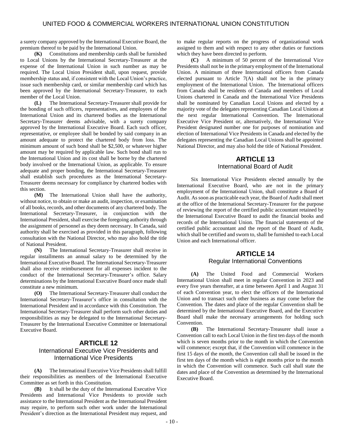a surety company approved by the International Executive Board, the premium thereof to be paid by the International Union.

**(K)** Constitutions and membership cards shall be furnished to Local Unions by the International Secretary-Treasurer at the expense of the International Union in such number as may be required. The Local Union President shall, upon request, provide membership status and, if consistent with the Local Union's practice, issue such membership card, or similar membership card which has been approved by the International Secretary-Treasurer, to each member of the Local Union.

**(L)** The International Secretary-Treasurer shall provide for the bonding of such officers, representatives, and employees of the International Union and its chartered bodies as the International Secretary-Treasurer deems advisable, with a surety company approved by the International Executive Board. Each such officer, representative, or employee shall be bonded by said company in an amount adequate to protect the chartered body from loss. The minimum amount of such bond shall be \$2,500, or whatever higher amount may be required by applicable law. Such bond shall run to the International Union and its cost shall be borne by the chartered body involved or the International Union, as applicable. To ensure adequate and proper bonding, the International Secretary-Treasurer shall establish such procedures as the International Secretary-Treasurer deems necessary for compliance by chartered bodies with this section.

**(M)** The International Union shall have the authority, without notice, to obtain or make an audit, inspection, or examination of all books, records, and other documents of any chartered body. The International Secretary-Treasurer, in conjunction with the International President, shall exercise the foregoing authority through the assignment of personnel as they deem necessary. In Canada, said authority shall be exercised as provided in this paragraph, following consultation with the National Director, who may also hold the title of National President.

**(N)** The International Secretary-Treasurer shall receive in regular installments an annual salary to be determined by the International Executive Board. The International Secretary-Treasurer shall also receive reimbursement for all expenses incident to the conduct of the International Secretary-Treasurer's office. Salary determinations by the International Executive Board once made shall constitute a new minimum.

**(O)** The International Secretary-Treasurer shall conduct the International Secretary-Treasurer's office in consultation with the International President and in accordance with this Constitution. The International Secretary-Treasurer shall perform such other duties and responsibilities as may be delegated to the International Secretary-Treasurer by the International Executive Committee or International Executive Board.

#### **ARTICLE 12**

#### International Executive Vice Presidents and International Vice Presidents

**(A)** The International Executive Vice Presidents shall fulfill their responsibilities as members of the International Executive Committee as set forth in this Constitution.

**(B)** It shall be the duty of the International Executive Vice Presidents and International Vice Presidents to provide such assistance to the International President as the International President may require, to perform such other work under the International President's direction as the International President may request, and

to make regular reports on the progress of organizational work assigned to them and with respect to any other duties or functions which they have been directed to perform.

**(C)** A minimum of 50 percent of the International Vice Presidents shall not be in the primary employment of the International Union. A minimum of three International officers from Canada elected pursuant to Article 7(A) shall not be in the primary employment of the International Union. The International officers from Canada shall be residents of Canada and members of Local Unions chartered in Canada and the International Vice Presidents shall be nominated by Canadian Local Unions and elected by a majority vote of the delegates representing Canadian Local Unions at the next regular International Convention. The International Executive Vice President or, alternatively, the International Vice President designated number one for purposes of nomination and election of International Vice Presidents in Canada and elected by the delegates representing the Canadian Local Unions shall be appointed National Director, and may also hold the title of National President.

#### **ARTICLE 13**  International Board of Audit

Six International Vice Presidents elected annually by the International Executive Board, who are not in the primary employment of the International Union, shall constitute a Board of Audit. As soon as practicable each year, the Board of Audit shall meet at the office of the International Secretary-Treasurer for the purpose of reviewing the report of the certified public accountant retained by the International Executive Board to audit the financial books and records of the International Union. The financial statements of the certified public accountant and the report of the Board of Audit, which shall be certified and sworn to, shall be furnished to each Local Union and each International officer.

#### **ARTICLE 14**  Regular International Conventions

**(A)** The United Food and Commercial Workers International Union shall meet in regular Convention in 2023 and every five years thereafter, at a time between April 1 and August 31 of each Convention year, to elect the officers of the International Union and to transact such other business as may come before the Convention. The dates and place of the regular Convention shall be determined by the International Executive Board, and the Executive Board shall make the necessary arrangements for holding such Convention.

**(B)** The International Secretary-Treasurer shall issue a Convention call to each Local Union in the first ten days of the month which is seven months prior to the month in which the Convention will commence; except that, if the Convention will commence in the first 15 days of the month, the Convention call shall be issued in the first ten days of the month which is eight months prior to the month in which the Convention will commence. Such call shall state the dates and place of the Convention as determined by the International Executive Board.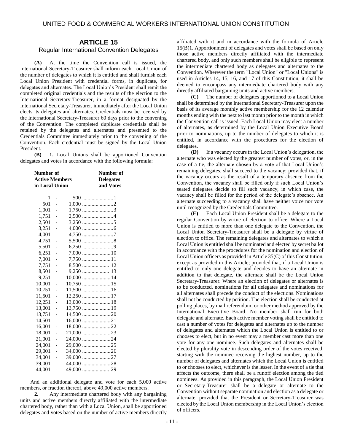## **ARTICLE 15**

#### Regular International Convention Delegates

**(A)** At the time the Convention call is issued, the International Secretary-Treasurer shall inform each Local Union of the number of delegates to which it is entitled and shall furnish each Local Union President with credential forms, in duplicate, for delegates and alternates. The Local Union's President shall remit the completed original credentials and the results of the election to the International Secretary-Treasurer, in a format designated by the International Secretary-Treasurer, immediately after the Local Union elects its delegates and alternates. Credentials must be received by the International Secretary-Treasurer 60 days prior to the convening of the Convention. The completed duplicate credentials shall be retained by the delegates and alternates and presented to the Credentials Committee immediately prior to the convening of the Convention. Each credential must be signed by the Local Union President.

**(B) 1.** Local Unions shall be apportioned Convention delegates and votes in accordance with the following formula:

| Number of             |                | Number of        |
|-----------------------|----------------|------------------|
| <b>Active Members</b> |                | <b>Delegates</b> |
| in Local Union        |                | and Votes        |
|                       |                |                  |
| 1                     | $\overline{a}$ | 500  1           |
| 501                   |                |                  |
| 1,001                 |                | $1,750$ 3        |
| 1,751                 |                |                  |
| 2,501                 |                |                  |
| 3,251                 |                |                  |
| 4,001                 |                |                  |
| 4.751                 |                |                  |
| 5,501                 | $\overline{a}$ |                  |
| 6,251                 |                |                  |
| 7,001                 |                |                  |
| 7,751                 |                |                  |
| 8,501                 |                |                  |
| 9,251                 | $\overline{a}$ |                  |
| 10,001                |                |                  |
| 10,751                |                | $11,500$ 16      |
| 11,501                | $\overline{a}$ |                  |
| 12,251                |                |                  |
| 13,001                |                |                  |
| 13,751                |                | 14,500 20        |
| 14,501                |                |                  |
| 16,001                | -              |                  |
| 18,001                |                |                  |
| 21,001                | -              |                  |
| 24,001                | $\overline{a}$ | 29,000 25        |
| 29,001                | $\overline{a}$ |                  |
| 34,001                |                |                  |
| 39,001                |                | 44,000 28        |
| 44,001                | $\overline{a}$ |                  |
|                       |                |                  |

And an additional delegate and vote for each 5,000 active members, or fraction thereof, above 49,000 active members.

**2.** Any intermediate chartered body with any bargaining units and active members directly affiliated with the intermediate chartered body, rather than with a Local Union, shall be apportioned delegates and votes based on the number of active members directly

affiliated with it and in accordance with the formula of Article 15(B)1. Apportionment of delegates and votes shall be based on only those active members directly affiliated with the intermediate chartered body, and only such members shall be eligible to represent the intermediate chartered body as delegates and alternates to the Convention. Wherever the term "Local Union" or "Local Unions" is used in Articles 14, 15, 16, and 17 of this Constitution, it shall be deemed to encompass any intermediate chartered body with any directly affiliated bargaining units and active members.

**(C)** The number of delegates apportioned to a Local Union shall be determined by the International Secretary-Treasurer upon the basis of its average monthly active membership for the 12 calendar months ending with the next to last month prior to the month in which the Convention call is issued. Each Local Union may elect a number of alternates, as determined by the Local Union Executive Board prior to nominations, up to the number of delegates to which it is entitled, in accordance with the procedures for the election of delegates.

**(D)** If a vacancy occurs in the Local Union's delegation, the alternate who was elected by the greatest number of votes, or, in the case of a tie, the alternate chosen by a vote of that Local Union's remaining delegates, shall succeed to the vacancy; provided that, if the vacancy occurs as the result of a temporary absence from the Convention, the vacancy shall be filled only if such Local Union's seated delegates decide to fill such vacancy, in which case, the vacancy shall be filled for the period of the delegate's absence. An alternate succeeding to a vacancy shall have neither voice nor vote until recognized by the Credentials Committee.

**(E)** Each Local Union President shall be a delegate to the regular Convention by virtue of election to office. Where a Local Union is entitled to more than one delegate to the Convention, the Local Union Secretary-Treasurer shall be a delegate by virtue of election to office. The remaining delegates and alternates to which a Local Union is entitled shall be nominated and elected by secret ballot in accordance with the procedures for the nomination and election of Local Union officers as provided in Article 35(C) of this Constitution, except as provided in this Article; provided that, if a Local Union is entitled to only one delegate and decides to have an alternate in addition to that delegate, the alternate shall be the Local Union Secretary-Treasurer. Where an election of delegates or alternates is to be conducted, nominations for all delegates and nominations for all alternates shall precede the conduct of the elections. Nominations shall not be conducted by petition. The election shall be conducted at polling places, by mail referendum, or other method approved by the International Executive Board. No member shall run for both delegate and alternate. Each active member voting shall be entitled to cast a number of votes for delegates and alternates up to the number of delegates and alternates which the Local Union is entitled to or chooses to elect, but in no event may a member cast more than one vote for any one nominee. Such delegates and alternates shall be elected by plurality vote in descending order of the votes received, starting with the nominee receiving the highest number, up to the number of delegates and alternates which the Local Union is entitled to or chooses to elect, whichever is the lesser. In the event of a tie that affects the outcome, there shall be a runoff election among the tied nominees. As provided in this paragraph, the Local Union President or Secretary-Treasurer shall be a delegate or alternate to the Convention without separate nomination and election as a delegate or alternate, provided that the President or Secretary-Treasurer was elected by the Local Union membership in the Local Union's election of officers.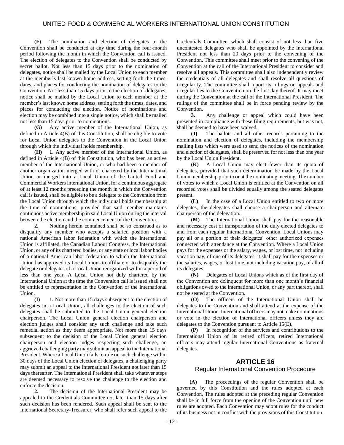**(F)** The nomination and election of delegates to the Convention shall be conducted at any time during the four-month period following the month in which the Convention call is issued. The election of delegates to the Convention shall be conducted by secret ballot. Not less than 15 days prior to the nomination of delegates, notice shall be mailed by the Local Union to each member at the member's last known home address, setting forth the times, dates, and places for conducting the nomination of delegates to the Convention. Not less than 15 days prior to the election of delegates, notice shall be mailed by the Local Union to each member at the member's last known home address, setting forth the times, dates, and places for conducting the election. Notice of nominations and election may be combined into a single notice, which shall be mailed not less than 15 days prior to nominations.

**(G)** Any active member of the International Union, as defined in Article 4(B) of this Constitution, shall be eligible to vote for Local Union delegates to the Convention in the Local Union through which the individual holds membership.

**(H) 1.** Any active member of the International Union, as defined in Article 4(B) of this Constitution, who has been an active member of the International Union, or who had been a member of another organization merged with or chartered by the International Union or merged into a Local Union of the United Food and Commercial Workers International Union, for a continuous aggregate of at least 12 months preceding the month in which the Convention call is issued, shall be eligible to be a delegate to the Convention from the Local Union through which the individual holds membership at the time of nominations, provided that said member maintains continuous active membership in said Local Union during the interval between the election and the commencement of the Convention.

**2.** Nothing herein contained shall be so construed as to disqualify any member who accepts a salaried position with a national American labor federation with which the International Union is affiliated, the Canadian Labour Congress, the International Union, or any of its chartered bodies, or any state or local labor bodies of a national American labor federation to which the International Union has approved its Local Unions to affiliate or to disqualify the delegate or delegates of a Local Union reorganized within a period of less than one year. A Local Union not duly chartered by the International Union at the time the Convention call is issued shall not be entitled to representation in the Convention of the International Union.

**(I) 1.** Not more than 15 days subsequent to the election of delegates in a Local Union, all challenges to the election of such delegates shall be submitted to the Local Union general election chairperson. The Local Union general election chairperson and election judges shall consider any such challenge and take such remedial action as they deem appropriate. Not more than 15 days subsequent to the decision of the Local Union general election chairperson and election judges respecting such challenge, an aggrieved challenging party may submit an appeal to the International President. Where a Local Union fails to rule on such challenge within 30 days of the Local Union election of delegates, a challenging party may submit an appeal to the International President not later than 15 days thereafter. The International President shall take whatever steps are deemed necessary to resolve the challenge to the election and enforce the decision.

**2.** The decision of the International President may be appealed to the Credentials Committee not later than 15 days after such decision has been rendered. Such appeal shall be sent to the International Secretary-Treasurer, who shall refer such appeal to the

Credentials Committee, which shall consist of not less than five uncontested delegates who shall be appointed by the International President not less than 20 days prior to the convening of the Convention. This committee shall meet prior to the convening of the Convention at the call of the International President to consider and resolve all appeals. This committee shall also independently review the credentials of all delegates and shall resolve all questions of irregularity. The committee shall report its rulings on appeals and irregularities to the Convention on the first day thereof. It may meet during the Convention at the call of the International President. The rulings of the committee shall be in force pending review by the Convention.

**3.** Any challenge or appeal which could have been presented in compliance with these filing requirements, but was not, shall be deemed to have been waived.

**(J)** The ballots and all other records pertaining to the nomination and election of delegates, including the membership mailing lists which were used to send the notices of the nomination and election of delegates, shall be preserved for not less than one year by the Local Union President.

**(K)** A Local Union may elect fewer than its quota of delegates, provided that such determination be made by the Local Union membership prior to or at the nominating meeting. The number of votes to which a Local Union is entitled at the Convention on all recorded votes shall be divided equally among the seated delegates present.

**(L)** In the case of a Local Union entitled to two or more delegates, the delegates shall choose a chairperson and alternate chairperson of the delegation.

**(M)** The International Union shall pay for the reasonable and necessary cost of transportation of the duly elected delegates to and from each regular International Convention. Local Unions may pay all or a portion of their delegates' other authorized expenses connected with attendance at the Convention. Where a Local Union pays for the expenses or the salary, wages, or lost time, not including vacation pay, of one of its delegates, it shall pay for the expenses or the salaries, wages, or lost time, not including vacation pay, of all of its delegates.

**(N)** Delegates of Local Unions which as of the first day of the Convention are delinquent for more than one month's financial obligations owed to the International Union, or any part thereof, shall not be seated at the Convention.

**(O)** The officers of the International Union shall be delegates to the Convention and shall attend at the expense of the International Union. International officers may not make nominations or vote in the election of International officers unless they are delegates to the Convention pursuant to Article 15(E).

**(P)** In recognition of the services and contributions to the International Union of its retired officers, retired International officers may attend regular International Conventions as fraternal delegates.

#### **ARTICLE 16**

#### Regular International Convention Procedure

**(A)** The proceedings of the regular Convention shall be governed by this Constitution and the rules adopted at each Convention. The rules adopted at the preceding regular Convention shall be in full force from the opening of the Convention until new rules are adopted. Each Convention may adopt rules for the conduct of its business not in conflict with the provisions of this Constitution.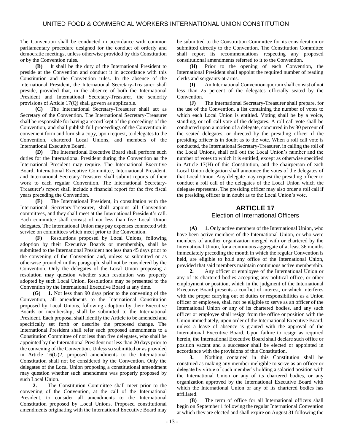The Convention shall be conducted in accordance with common parliamentary procedure designed for the conduct of orderly and democratic meetings, unless otherwise provided by this Constitution or by the Convention rules.

**(B)** It shall be the duty of the International President to preside at the Convention and conduct it in accordance with this Constitution and the Convention rules. In the absence of the International President, the International Secretary-Treasurer shall preside, provided that, in the absence of both the International President and International Secretary-Treasurer, the seniority provisions of Article 17(Q) shall govern as applicable.

**(C)** The International Secretary-Treasurer shall act as Secretary of the Convention. The International Secretary-Treasurer shall be responsible for having a record kept of the proceedings of the Convention, and shall publish full proceedings of the Convention in convenient form and furnish a copy, upon request, to delegates to the Convention, chartered Local Unions, and members of the International Executive Board.

**(D)** The International Executive Board shall perform such duties for the International President during the Convention as the International President may require. The International Executive Board, International Executive Committee, International President, and International Secretary-Treasurer shall submit reports of their work to each regular Convention. The International Secretary-Treasurer's report shall include a financial report for the five fiscal years preceding the Convention.

**(E)** The International President, in consultation with the International Secretary-Treasurer, shall appoint all Convention committees, and they shall meet at the International President's call. Each committee shall consist of not less than five Local Union delegates. The International Union may pay expenses connected with service on committees which meet prior to the Convention.<br>
(F) Resolutions proposed by Local Unions.

Resolutions proposed by Local Unions, following adoption by their Executive Boards or membership, shall be submitted to the International President not less than 45 days prior to the convening of the Convention and, unless so submitted or as otherwise provided in this paragraph, shall not be considered by the Convention. Only the delegates of the Local Union proposing a resolution may question whether such resolution was properly adopted by such Local Union. Resolutions may be presented to the Convention by the International Executive Board at any time.

**(G) 1.** Not less than 90 days prior to the convening of the Convention, all amendments to the International Constitution proposed by Local Unions, following adoption by their Executive Boards or membership, shall be submitted to the International President. Each proposal shall identify the Article to be amended and specifically set forth or describe the proposed change. The International President shall refer such proposed amendments to a Constitution Committee of not less than five delegates, who shall be appointed by the International President not less than 20 days prior to the convening of the Convention. Unless so submitted or as provided in Article 16(G)2, proposed amendments to the International Constitution shall not be considered by the Convention. Only the delegates of the Local Union proposing a constitutional amendment may question whether such amendment was properly proposed by such Local Union.

**2.** The Constitution Committee shall meet prior to the convening of the Convention, at the call of the International President, to consider all amendments to the International Constitution proposed by Local Unions. Proposed constitutional amendments originating with the International Executive Board may

be submitted to the Constitution Committee for its consideration or submitted directly to the Convention. The Constitution Committee shall report its recommendations respecting any proposed constitutional amendments referred to it to the Convention.

**(H)** Prior to the opening of each Convention, the International President shall appoint the required number of reading clerks and sergeants-at-arms.

**(I)** An International Convention quorum shall consist of not less than 25 percent of the delegates officially seated by the Convention.

**(J)** The International Secretary-Treasurer shall prepare, for the use of the Convention, a list containing the number of votes to which each Local Union is entitled. Voting shall be by a voice, standing, or roll call vote of the delegates. A roll call vote shall be conducted upon a motion of a delegate, concurred in by 30 percent of the seated delegates, or directed by the presiding officer if the presiding officer is in doubt as to the vote. When a roll call vote is conducted, the International Secretary-Treasurer, in calling the roll of the Local Unions, shall call out the Local Union's number and the number of votes to which it is entitled, except as otherwise specified in Article 17(H) of this Constitution, and the chairperson of each Local Union delegation shall announce the votes of the delegates of that Local Union. Any delegate may request the presiding officer to conduct a roll call of the delegates of the Local Union which the delegate represents. The presiding officer may also order a roll call if the presiding officer is in doubt as to the Local Union's vote.

#### **ARTICLE 17** Election of International Officers

**(A) 1.** Only active members of the International Union, who have been active members of the International Union, or who were members of another organization merged with or chartered by the International Union, for a continuous aggregate of at least 36 months immediately preceding the month in which the regular Convention is held, are eligible to hold any office of the International Union, provided that said members maintain continuous active membership.

**2.** Any officer or employee of the International Union or any of its chartered bodies accepting any political office, or other employment or position, which in the judgment of the International Executive Board presents a conflict of interest, or which interferes with the proper carrying out of duties or responsibilities as a Union officer or employee, shall not be eligible to serve as an officer of the International Union or any of its chartered bodies, and any such officer or employee shall resign from the office or position with the Union immediately, upon order of the International Executive Board, unless a leave of absence is granted with the approval of the International Executive Board. Upon failure to resign as required herein, the International Executive Board shall declare such office or position vacant and a successor shall be elected or appointed in accordance with the provisions of this Constitution.

**3.** Nothing contained in this Constitution shall be construed as making any member ineligible to serve as an officer or delegate by virtue of such member's holding a salaried position with the International Union or any of its chartered bodies, or any organization approved by the International Executive Board with which the International Union or any of its chartered bodies has affiliated.

**(B)** The term of office for all International officers shall begin on September 1 following the regular International Convention at which they are elected and shall expire on August 31 following the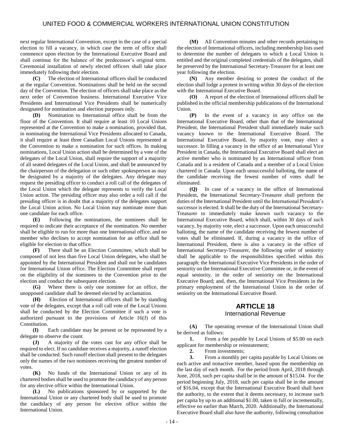next regular International Convention, except in the case of a special election to fill a vacancy, in which case the term of office shall commence upon election by the International Executive Board and shall continue for the balance of the predecessor's original term. Ceremonial installation of newly elected officers shall take place immediately following their election.

**(C)** The election of International officers shall be conducted at the regular Convention. Nominations shall be held on the second day of the Convention. The election of officers shall take place as the next order of Convention business. International Executive Vice Presidents and International Vice Presidents shall be numerically designated for nomination and election purposes only.

**(D)** Nomination to International office shall be from the floor of the Convention. It shall require at least 10 Local Unions represented at the Convention to make a nomination, provided that, in nominating the International Vice Presidents allocated to Canada, it shall require at least three Canadian Local Unions represented at the Convention to make a nomination for such offices. In making nominations, Local Union action shall be determined by a vote of the delegates of the Local Union, shall require the support of a majority of all seated delegates of the Local Union, and shall be announced by the chairperson of the delegation or such other spokesperson as may be designated by a majority of the delegates. Any delegate may request the presiding officer to conduct a roll call of the delegates of the Local Union which the delegate represents to verify the Local Union action. The presiding officer may also order a roll call if the presiding officer is in doubt that a majority of the delegates support the Local Union action. No Local Union may nominate more than one candidate for each office.

**(E)** Following the nominations, the nominees shall be required to indicate their acceptance of the nomination. No member shall be eligible to run for more than one International office, and no member who declines to accept nomination for an office shall be eligible for election to that office.

**(F)** There shall be an Election Committee, which shall be composed of not less than five Local Union delegates, who shall be appointed by the International President and shall not be candidates for International Union office. The Election Committee shall report on the eligibility of the nominees to the Convention prior to the election and conduct the subsequent election.

**(G)** Where there is only one nominee for an office, the unopposed candidate shall be deemed elected by acclamation.

**(H)** Election of International officers shall be by standing vote of the delegates, except that a roll call vote of the Local Unions shall be conducted by the Election Committee if such a vote is authorized pursuant to the provisions of Article 16(J) of this Constitution.

**(I)** Each candidate may be present or be represented by a delegate to observe the count.

**(J)** A majority of the votes cast for any office shall be required to elect. If no candidate receives a majority, a runoff election shall be conducted. Such runoff election shall present to the delegates only the names of the two nominees receiving the greatest number of votes.

**(K)** No funds of the International Union or any of its chartered bodies shall be used to promote the candidacy of any person for any elective office within the International Union.

**(L)** No publications sponsored by or supported by the International Union or any chartered body shall be used to promote the candidacy of any person for elective office within the International Union.

**(M)** All Convention minutes and other records pertaining to the election of International officers, including membership lists used to determine the number of delegates to which a Local Union is entitled and the original completed credentials of the delegates, shall be preserved by the International Secretary-Treasurer for at least one year following the election.

**(N)** Any member desiring to protest the conduct of the election shall lodge a protest in writing within 30 days of the election with the International Executive Board.

**(O)** A report of the election of International officers shall be published in the official membership publications of the International Union.

**(P)** In the event of a vacancy in any office on the International Executive Board, other than that of the International President, the International President shall immediately make such vacancy known to the International Executive Board. The International Executive Board, by majority vote, may elect a successor. In filling a vacancy in the office of an International Vice President in Canada, the International Executive Board shall elect an active member who is nominated by an International officer from Canada and is a resident of Canada and a member of a Local Union chartered in Canada. Upon each unsuccessful balloting, the name of the candidate receiving the fewest number of votes shall be eliminated.

**(Q)** In case of a vacancy in the office of International President, the International Secretary-Treasurer shall perform the duties of the International President until the International President's successor is elected. It shall be the duty of the International Secretary-Treasurer to immediately make known such vacancy to the International Executive Board, which shall, within 30 days of such vacancy, by majority vote, elect a successor. Upon each unsuccessful balloting, the name of the candidate receiving the fewest number of votes shall be eliminated. If, during a vacancy in the office of International President, there is also a vacancy in the office of International Secretary-Treasurer, the following order of seniority shall be applicable to the responsibilities specified within this paragraph: the International Executive Vice Presidents in the order of seniority on the International Executive Committee or, in the event of equal seniority, in the order of seniority on the International Executive Board; and, then, the International Vice Presidents in the primary employment of the International Union in the order of seniority on the International Executive Board.

#### **ARTICLE 18**

#### International Revenue

**(A)** The operating revenue of the International Union shall be derived as follows:

**1.** From a fee payable by Local Unions of \$5.00 on each applicant for membership or reinstatement;

**2.** From investments;

**3.** From a monthly per capita payable by Local Unions on each active and nonactive member, based upon the membership on the last day of each month. For the period from April, 2018 through June, 2018, such per capita shall be in the amount of \$15.04. For the period beginning July, 2018, such per capita shall be in the amount of \$16.04, except that the International Executive Board shall have the authority, to the extent that it deems necessary, to increase such per capita by up to an additional \$1.00, taken in full or incrementally, effective no earlier than March, 2020. Additionally, the International Executive Board shall also have the authority, following consultation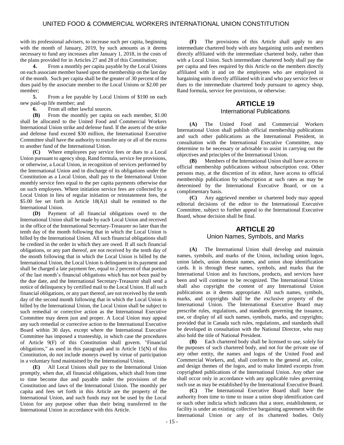with its professional advisers, to increase such per capita, beginning with the month of January, 2019, by such amounts as it deems necessary to fund any increases after January 1, 2018, in the costs of the plans provided for in Articles 27 and 28 of this Constitution;

**4.** From a monthly per capita payable by the Local Unions on each associate member based upon the membership on the last day of the month. Such per capita shall be the greater of 30 percent of the dues paid by the associate member to the Local Unions or \$2.00 per member;

**5.** From a fee payable by Local Unions of \$100 on each new paid-up life member; and

**6.** From all other lawful sources.

**(B)** From the monthly per capita on each member, \$1.00 shall be allocated to the United Food and Commercial Workers International Union strike and defense fund. If the assets of the strike and defense fund exceed \$30 million, the International Executive Committee shall have the authority to transfer any or all of the excess to another fund of the International Union.

**(C)** Where employees pay service fees or dues to a Local Union pursuant to agency shop, Rand formula, service fee provisions, or otherwise, a Local Union, in recognition of services performed by the International Union and in discharge of its obligations under the Constitution as a Local Union, shall pay to the International Union monthly service fees equal to the per capita payments otherwise due on such employees. Where initiation service fees are collected by a Local Union in lieu of regular initiation or reinstatement fees, the \$5.00 fee set forth in Article 18(A)1 shall be remitted to the International Union.

**(D)** Payment of all financial obligations owed to the International Union shall be made by each Local Union and received in the office of the International Secretary-Treasurer no later than the tenth day of the month following that in which the Local Union is billed by the International Union. All such financial obligations shall be credited in the order in which they are owed. If all such financial obligations, or any part thereof, are not received by the tenth day of the month following that in which the Local Union is billed by the International Union, the Local Union is delinquent in its payment and shall be charged a late payment fee, equal to 2 percent of that portion of the last month's financial obligations which has not been paid by the due date, and the International Secretary-Treasurer shall send a notice of delinquency by certified mail to the Local Union. If all such financial obligations, or any part thereof, are not received by the tenth day of the second month following that in which the Local Union is billed by the International Union, the Local Union shall be subject to such remedial or corrective action as the International Executive Committee may deem just and proper. A Local Union may appeal any such remedial or corrective action to the International Executive Board within 30 days, except where the International Executive Committee has imposed a trusteeship, in which case the procedures of Article 9(F) of this Constitution shall govern. "Financial obligations," as used in this paragraph and in Article 15(N) of this Constitution, do not include moneys owed by virtue of participation in a voluntary fund maintained by the International Union.

**(E)** All Local Unions shall pay to the International Union promptly, when due, all financial obligations, which shall from time to time become due and payable under the provisions of the Constitution and laws of the International Union. The monthly per capita and fees set forth in this Article are the property of the International Union, and such funds may not be used by the Local Union for any purpose other than their being transferred to the International Union in accordance with this Article.

**(F)** The provisions of this Article shall apply to any intermediate chartered body with any bargaining units and members directly affiliated with the intermediate chartered body, rather than with a Local Union. Such intermediate chartered body shall pay the per capita and fees required by this Article on the members directly affiliated with it and on the employees who are employed in bargaining units directly affiliated with it and who pay service fees or dues to the intermediate chartered body pursuant to agency shop, Rand formula, service fee provisions, or otherwise.

#### **ARTICLE 19** International Publications

**(A)** The United Food and Commercial Workers International Union shall publish official membership publications and such other publications as the International President, in consultation with the International Executive Committee, may determine to be necessary or advisable to assist in carrying out the objectives and principles of the International Union.

**(B)** Members of the International Union shall have access to official membership publications without subscription cost. Other persons may, at the discretion of its editor, have access to official membership publication by subscription at such rates as may be determined by the International Executive Board, or on a complimentary basis.

**(C)** Any aggrieved member or chartered body may appeal editorial decisions of the editor to the International Executive Committee, subject to further appeal to the International Executive Board, whose decision shall be final.

#### **ARTICLE 20**

#### Union Names, Symbols, and Marks

**(A)** The International Union shall develop and maintain names, symbols, and marks of the Union, including union logos, union labels, union domain names, and union shop identification cards. It is through these names, symbols, and marks that the International Union and its functions, products, and services have been and will continue to be recognized. The International Union shall also copyright the content of any International Union publications as it deems appropriate. All such names, symbols, marks, and copyrights shall be the exclusive property of the International Union. The International Executive Board may prescribe rules, regulations, and standards governing the issuance, use, or display of all such names, symbols, marks, and copyrights; provided that in Canada such rules, regulations, and standards shall be developed in consultation with the National Director, who may also hold the title of National President.

**(B)** Each chartered body shall be licensed to use, solely for the purposes of such chartered body, and not for the private use of any other entity, the names and logos of the United Food and Commercial Workers, and, shall conform to the general art, color, and design themes of the logos, and to make limited excerpts from copyrighted publications of the International Union. Any other use shall occur only in accordance with any applicable rules governing such use as may be established by the International Executive Board.

**(C)** The International Executive Board shall have the authority from time to time to issue a union shop identification card or such other indicia which indicates that a store, establishment, or facility is under an existing collective bargaining agreement with the International Union or any of its chartered bodies. Only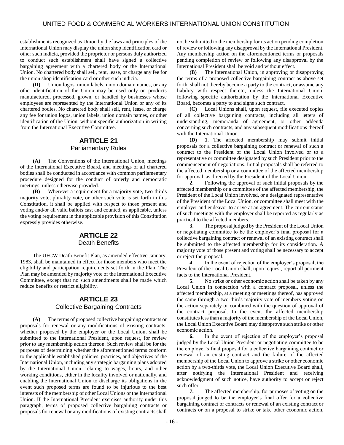establishments recognized as Union by the laws and principles of the International Union may display the union shop identification card or other such indicia, provided the proprietor or persons duly authorized to conduct such establishment shall have signed a collective bargaining agreement with a chartered body or the International Union. No chartered body shall sell, rent, lease, or charge any fee for the union shop identification card or other such indicia.

**(D)** Union logos, union labels, union domain names, or any other identification of the Union may be used only on products manufactured, processed, grown, or handled by businesses whose employees are represented by the International Union or any of its chartered bodies. No chartered body shall sell, rent, lease, or charge any fee for union logos, union labels, union domain names, or other identification of the Union, without specific authorization in writing from the International Executive Committee.

#### **ARTICLE 21**  Parliamentary Rules

**(A)** The Conventions of the International Union, meetings of the International Executive Board, and meetings of all chartered bodies shall be conducted in accordance with common parliamentary procedure designed for the conduct of orderly and democratic meetings, unless otherwise provided.

**(B)** Wherever a requirement for a majority vote, two-thirds majority vote, plurality vote, or other such vote is set forth in this Constitution, it shall be applied with respect to those present and voting and/or all valid ballots cast and counted, as applicable, unless the voting requirement in the applicable provision of this Constitution expressly provides otherwise.

#### **ARTICLE 22** Death Benefits

The UFCW Death Benefit Plan, as amended effective January, 1983, shall be maintained in effect for those members who meet the eligibility and participation requirements set forth in the Plan. The Plan may be amended by majority vote of the International Executive Committee, except that no such amendments shall be made which reduce benefits or restrict eligibility.

#### **ARTICLE 23**  Collective Bargaining Contracts

**(A)** The terms of proposed collective bargaining contracts or proposals for renewal or any modifications of existing contracts, whether proposed by the employer or the Local Union, shall be submitted to the International President, upon request, for review prior to any membership action thereon. Such review shall be for the purposes of determining whether the aforementioned terms conform to the applicable established policies, practices, and objectives of the International Union, including any strategic bargaining plans adopted by the International Union, relating to wages, hours, and other working conditions, either in the locality involved or nationally, and enabling the International Union to discharge its obligations in the event such proposed terms are found to be injurious to the best interests of the membership of other Local Unions or the International Union. If the International President exercises authority under this paragraph, terms of proposed collective bargaining contracts or proposals for renewal or any modifications of existing contracts shall

not be submitted to the membership for its action pending completion of review or following any disapproval by the International President. Any membership action on the aforementioned terms or proposals pending completion of review or following any disapproval by the International President shall be void and without effect.

**(B)** The International Union, in approving or disapproving the terms of a proposed collective bargaining contract as above set forth, shall not thereby become a party to the contract, or assume any liability with respect thereto, unless the International Union, following specific authorization by the International Executive Board, becomes a party to and signs such contract.

**(C)** Local Unions shall, upon request, file executed copies of all collective bargaining contracts, including all letters of understanding, memoranda of agreement, or other addenda concerning such contracts, and any subsequent modifications thereof with the International Union.

**(D) 1.** The affected membership may submit initial proposals for a collective bargaining contract or renewal of such a contract to the President of the Local Union involved or to a representative or committee designated by such President prior to the commencement of negotiations. Initial proposals shall be referred to the affected membership or a committee of the affected membership for approval, as directed by the President of the Local Union.

**2.** Following the approval of such initial proposals by the affected membership or a committee of the affected membership, the President of the Local Union involved, or a designated representative of the President of the Local Union, or committee shall meet with the employer and endeavor to arrive at an agreement. The current status of such meetings with the employer shall be reported as regularly as practical to the affected members.

**3.** The proposal judged by the President of the Local Union or negotiating committee to be the employer's final proposal for a collective bargaining contract or renewal of an existing contract shall be submitted to the affected membership for its consideration. A majority vote of those present and voting shall be necessary to accept or reject the proposal.

**4.** In the event of rejection of the employer's proposal, the President of the Local Union shall, upon request, report all pertinent facts to the International President.

**5.** No strike or other economic action shall be taken by any Local Union in connection with a contract proposal, unless the affected membership, at a meeting or meetings thereof, has approved the same through a two-thirds majority vote of members voting on the action separately or combined with the question of approval of the contract proposal. In the event the affected membership constitutes less than a majority of the membership of the Local Union, the Local Union Executive Board may disapprove such strike or other economic action.

**6.** In the event of rejection of the employer's proposal judged by the Local Union President or negotiating committee to be the employer's final proposal for a collective bargaining contract or renewal of an existing contract and the failure of the affected membership of the Local Union to approve a strike or other economic action by a two-thirds vote, the Local Union Executive Board shall, after notifying the International President and receiving acknowledgment of such notice, have authority to accept or reject such offer.

**7.** The affected membership, for purposes of voting on the proposal judged to be the employer's final offer for a collective bargaining contract or contracts or renewal of an existing contract or contracts or on a proposal to strike or take other economic action,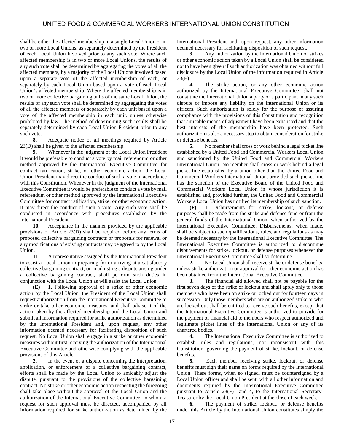shall be either the affected membership in a single Local Union or in two or more Local Unions, as separately determined by the President of each Local Union involved prior to any such vote. Where such affected membership is in two or more Local Unions, the results of any such vote shall be determined by aggregating the votes of all the affected members, by a majority of the Local Unions involved based upon a separate vote of the affected membership of each, or separately by each Local Union based upon a vote of each Local Union's affected membership. Where the affected membership is in two or more collective bargaining units of the same Local Union, the results of any such vote shall be determined by aggregating the votes of all the affected members or separately by each unit based upon a vote of the affected membership in each unit, unless otherwise prohibited by law. The method of determining such results shall be separately determined by each Local Union President prior to any such vote.

**8.** Adequate notice of all meetings required by Article 23(D) shall be given to the affected membership.

**9.** Whenever in the judgment of the Local Union President it would be preferable to conduct a vote by mail referendum or other method approved by the International Executive Committee for contract ratification, strike, or other economic action, the Local Union President may direct the conduct of such a vote in accordance with this Constitution. Whenever in the judgment of the International Executive Committee it would be preferable to conduct a vote by mail referendum or other method approved by the International Executive Committee for contract ratification, strike, or other economic action, it may direct the conduct of such a vote. Any such vote shall be conducted in accordance with procedures established by the International President.

**10.** Acceptance in the manner provided by the applicable provisions of Article 23(D) shall be required before any terms of proposed collective bargaining contracts or proposals for renewal or any modifications of existing contracts may be agreed to by the Local Union.

**11.** A representative assigned by the International President to assist a Local Union in preparing for or arriving at a satisfactory collective bargaining contract, or in adjusting a dispute arising under a collective bargaining contract, shall perform such duties in conjunction with the Local Union as will assist the Local Union.

**(E) 1.** Following approval of a strike or other economic action by the Local Union, the President of the Local Union shall request authorization from the International Executive Committee to strike or take other economic measures, and shall advise it of the action taken by the affected membership and the Local Union and submit all information required for strike authorization as determined by the International President and, upon request, any other information deemed necessary for facilitating disposition of such request. No Local Union shall engage in a strike or other economic measures without first receiving the authorization of the International Executive Committee and otherwise complying with the applicable provisions of this Article.

**2.** In the event of a dispute concerning the interpretation, application, or enforcement of a collective bargaining contract, efforts shall be made by the Local Union to amicably adjust the dispute, pursuant to the provisions of the collective bargaining contract. No strike or other economic action respecting the foregoing shall take place without the approval of the Local Union and the authorization of the International Executive Committee, to whom a request for such approval must be directed, accompanied by all information required for strike authorization as determined by the

International President and, upon request, any other information deemed necessary for facilitating disposition of such request.

**3.** Any authorization by the International Union of strikes or other economic action taken by a Local Union shall be considered not to have been given if such authorization was obtained without full disclosure by the Local Union of the information required in Article 23(E).

**4.** The strike action, or any other economic action authorized by the International Executive Committee, shall not constitute the International Union a party or a participant in any such dispute or impose any liability on the International Union or its officers. Such authorization is solely for the purpose of assuring compliance with the provisions of this Constitution and recognition that amicable means of adjustment have been exhausted and that the best interests of the membership have been protected. Such authorization is also a necessary step to obtain consideration for strike or defense benefits.

**5.** No member shall cross or work behind a legal picket line established by a United Food and Commercial Workers Local Union and sanctioned by the United Food and Commercial Workers International Union. No member shall cross or work behind a legal picket line established by a union other than the United Food and Commercial Workers International Union, provided such picket line has the sanction of the Executive Board of the United Food and Commercial Workers Local Union in whose jurisdiction it is established and, provided further, the United Food and Commercial Workers Local Union has notified its membership of such sanction.

**(F) 1.** Disbursements for strike, lockout, or defense purposes shall be made from the strike and defense fund or from the general funds of the International Union, when authorized by the International Executive Committee. Disbursements, when made, shall be subject to such qualifications, rules, and regulations as may be deemed necessary by the International Executive Committee. The International Executive Committee is authorized to discontinue disbursements for strike, lockout, or defense purposes whenever the International Executive Committee shall so determine.

**2.** No Local Union shall receive strike or defense benefits, unless strike authorization or approval for other economic action has been obtained from the International Executive Committee.

**3.** The financial aid allowed shall not be payable for the first seven days of the strike or lockout and shall apply only to those members who have been on strike or locked out for fourteen days in succession. Only those members who are on authorized strike or who are locked out shall be entitled to receive such benefits, except that the International Executive Committee is authorized to provide for the payment of financial aid to members who respect authorized and legitimate picket lines of the International Union or any of its chartered bodies.

**4.** The International Executive Committee is authorized to establish rules and regulations, not inconsistent with this Constitution, governing the payment of strike, lockout, or defense benefits.

**5.** Each member receiving strike, lockout, or defense benefits must sign their name on forms required by the International Union. These forms, when so signed, must be countersigned by a Local Union officer and shall be sent, with all other information and documents required by the International Executive Committee pursuant to Article 23(F)1 and 4, to the International Secretary-Treasurer by the Local Union President at the close of each week.

**6.** The payment of strike, lockout, or defense benefits under this Article by the International Union constitutes simply the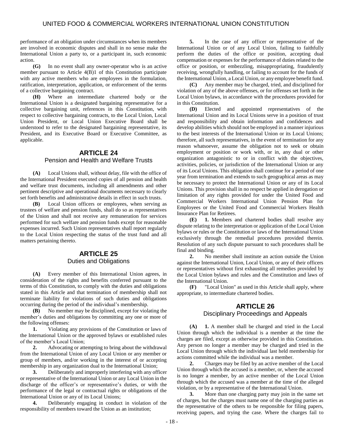performance of an obligation under circumstances when its members are involved in economic disputes and shall in no sense make the International Union a party to, or a participant in, such economic action.

**(G)** In no event shall any owner-operator who is an active member pursuant to Article 4(B)1 of this Constitution participate with any active members who are employees in the formulation, ratification, interpretation, application, or enforcement of the terms of a collective bargaining contract.

**(H)** Where an intermediate chartered body or the International Union is a designated bargaining representative for a collective bargaining unit, references in this Constitution, with respect to collective bargaining contracts, to the Local Union, Local Union President, or Local Union Executive Board shall be understood to refer to the designated bargaining representative, its President, and its Executive Board or Executive Committee, as applicable.

#### **ARTICLE 24**

#### Pension and Health and Welfare Trusts

**(A)** Local Unions shall, without delay, file with the office of the International President executed copies of all pension and health and welfare trust documents, including all amendments and other pertinent descriptive and operational documents necessary to clearly set forth benefits and administrative details in effect in such trusts.

**(B)** Local Union officers or employees, when serving as trustees of welfare and pension funds, shall do so as representatives of the Union and shall not receive any remuneration for services performed for such welfare and pension funds except for reasonable expenses incurred. Such Union representatives shall report regularly to the Local Union respecting the status of the trust fund and all matters pertaining thereto.

#### **ARTICLE 25** Duties and Obligations

**(A)** Every member of this International Union agrees, in consideration of the rights and benefits conferred pursuant to the terms of this Constitution, to comply with the duties and obligations stated in this Article and that termination of membership shall not terminate liability for violations of such duties and obligations occurring during the period of the individual's membership.

**(B)** No member may be disciplined, except for violating the member's duties and obligations by committing any one or more of the following offenses:

**1.** Violating any provisions of the Constitution or laws of the International Union or the approved bylaws or established rules of the member's Local Union;

**2.** Advocating or attempting to bring about the withdrawal from the International Union of any Local Union or any member or group of members, and/or working in the interest of or accepting membership in any organization dual to the International Union;

**3.** Deliberately and improperly interfering with any officer or representative of the International Union or any Local Union in the discharge of the officer's or representative's duties, or with the performance of the legal or contractual rights or obligations of the International Union or any of its Local Unions;

**4.** Deliberately engaging in conduct in violation of the responsibility of members toward the Union as an institution;

**5.** In the case of any officer or representative of the International Union or of any Local Union, failing to faithfully perform the duties of the office or position, accepting dual compensation or expenses for the performance of duties related to the office or position, or embezzling, misappropriating, fraudulently receiving, wrongfully handling, or failing to account for the funds of the International Union, a Local Union, or any employee benefit fund.

**(C)** Any member may be charged, tried, and disciplined for violation of any of the above offenses, or for offenses set forth in the Local Union bylaws, in accordance with the procedures provided for in this Constitution.

**(D)** Elected and appointed representatives of the International Union and its Local Unions serve in a position of trust and responsibility and obtain information and confidences and develop abilities which should not be employed in a manner injurious to the best interests of the International Union or its Local Unions; therefore, all such representatives, in the event of termination for any reason whatsoever, assume the obligation not to seek or obtain employment or position or work with, or in, any dual or other organization antagonistic to or in conflict with the objectives, activities, policies, or jurisdiction of the International Union or any of its Local Unions. This obligation shall continue for a period of one year from termination and extends to such geographical areas as may be necessary to protect the International Union or any of its Local Unions. This provision shall in no respect be applied in derogation or limitation of any rights provided for under the United Food and Commercial Workers International Union Pension Plan for Employees or the United Food and Commercial Workers Health Insurance Plan for Retirees.

**(E) 1.** Members and chartered bodies shall resolve any dispute relating to the interpretation or application of the Local Union bylaws or rules or the Constitution or laws of the International Union exclusively through the remedial procedures provided therein. Resolution of any such dispute pursuant to such procedures shall be final and binding.

**2.** No member shall institute an action outside the Union against the International Union, Local Union, or any of their officers or representatives without first exhausting all remedies provided by the Local Union bylaws and rules and the Constitution and laws of the International Union.

**(F)** "Local Union" as used in this Article shall apply, where appropriate, to intermediate chartered bodies.

#### **ARTICLE 26**  Disciplinary Proceedings and Appeals

**(A) 1.** A member shall be charged and tried in the Local Union through which the individual is a member at the time the charges are filed, except as otherwise provided in this Constitution. Any person no longer a member may be charged and tried in the Local Union through which the individual last held membership for actions committed while the individual was a member.

**2.** Charges may be filed by an active member of the Local Union through which the accused is a member, or, where the accused is no longer a member, by an active member of the Local Union through which the accused was a member at the time of the alleged violation, or by a representative of the International Union.

**3.** More than one charging party may join in the same set of charges, but the charges must name one of the charging parties as the representative of the others to be responsible for filing papers, receiving papers, and trying the case. Where the charges fail to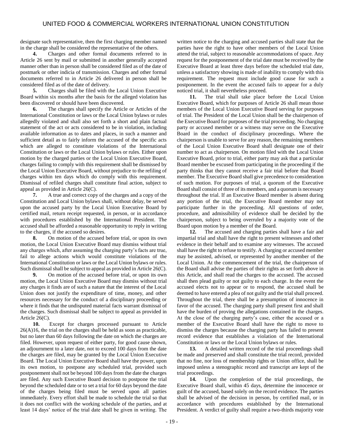designate such representative, then the first charging member named in the charge shall be considered the representative of the others.

**4.** Charges and other formal documents referred to in Article 26 sent by mail or submitted in another generally accepted manner other than in person shall be considered filed as of the date of postmark or other indicia of transmission. Charges and other formal documents referred to in Article 26 delivered in person shall be considered filed as of the date of delivery.

**5.** Charges shall be filed with the Local Union Executive Board within six months after the basis for the alleged violation has been discovered or should have been discovered.

**6.** The charges shall specify the Article or Articles of the International Constitution or laws or the Local Union bylaws or rules allegedly violated and shall also set forth a short and plain factual statement of the act or acts considered to be in violation, including available information as to dates and places, in such a manner and sufficient detail as to fairly inform the accused of the specific acts which are alleged to constitute violations of the International Constitution or laws or the Local Union bylaws or rules. Either upon motion by the charged parties or the Local Union Executive Board, charges failing to comply with this requirement shall be dismissed by the Local Union Executive Board, without prejudice to the refiling of charges within ten days which do comply with this requirement. Dismissal of refiled charges shall constitute final action, subject to appeal as provided in Article 26(C).

**7.** A true and correct copy of the charges and a copy of the Constitution and Local Union bylaws shall, without delay, be served upon the accused party by the Local Union Executive Board by certified mail, return receipt requested, in person, or in accordance with procedures established by the International President. The accused shall be afforded a reasonable opportunity to reply in writing to the charges, if the accused so desires.

**8.** On motion of the accused before trial, or upon its own motion, the Local Union Executive Board may dismiss without trial any charges which, after assuming the charging party's facts are true, fail to allege actions which would constitute violations of the International Constitution or laws or the Local Union bylaws or rules. Such dismissal shall be subject to appeal as provided in Article 26(C).

**9.** On motion of the accused before trial, or upon its own motion, the Local Union Executive Board may dismiss without trial any charges it finds are of such a nature that the interest of the Local Union does not justify the expenditure of time, money, and other resources necessary for the conduct of a disciplinary proceeding or where it finds that the undisputed material facts warrant dismissal of the charges. Such dismissal shall be subject to appeal as provided in Article 26(C).<br>10.  $\overline{10}$ .

**10.** Except for charges processed pursuant to Article  $26(A)16$ , the trial on the charges shall be held as soon as practicable, but no later than 60 days following the date on which the charges are filed. However, upon request of either party, for good cause shown, an adjournment to a later date, not to exceed 100 days from the date the charges are filed, may be granted by the Local Union Executive Board. The Local Union Executive Board shall have the power, upon its own motion, to postpone any scheduled trial, provided such postponement shall not be beyond 100 days from the date the charges are filed. Any such Executive Board decision to postpone the trial beyond the scheduled date or to set a trial for 60 days beyond the date of the charges being filed must be served upon all parties immediately. Every effort shall be made to schedule the trial so that it does not conflict with the working schedule of the parties, and at least 14 days' notice of the trial date shall be given in writing. The

written notice to the charging and accused parties shall state that the parties have the right to have other members of the Local Union attend the trial, subject to reasonable accommodations of space. Any request for the postponement of the trial date must be received by the Executive Board at least three days before the scheduled trial date, unless a satisfactory showing is made of inability to comply with this requirement. The request must include good cause for such a postponement. In the event the accused fails to appear for a duly noticed trial, it shall nevertheless proceed.

**11.** The trial shall take place before the Local Union Executive Board, which for purposes of Article 26 shall mean those members of the Local Union Executive Board serving for purposes of trial. The President of the Local Union shall be the chairperson of the Executive Board for purposes of the trial proceeding. No charging party or accused member or a witness may serve on the Executive Board in the conduct of disciplinary proceedings. Where the chairperson is unable to serve for any reason, the remaining members of the Local Union Executive Board shall designate one of their number to act as chairperson. On motion filed with the Local Union Executive Board, prior to trial, either party may ask that a particular Board member be excused from participating in the proceeding if the party thinks that they cannot receive a fair trial before that Board member. The Executive Board shall give precedence to consideration of such motion. For purposes of trial, a quorum of the Executive Board shall consist of three of its members, and a quorum is necessary throughout the trial. If an Executive Board member is absent during any portion of the trial, the Executive Board member may not participate further in the proceeding. All questions of order, procedure, and admissibility of evidence shall be decided by the chairperson, subject to being overruled by a majority vote of the Board upon motion by a member of the Board.

**12.** The accused and charging parties shall have a fair and impartial trial and shall have the right to present witnesses and other evidence in their behalf and to examine any witnesses. The accused shall have the right to refuse to testify. A charging or accused member may be assisted, advised, or represented by another member of the Local Union. At the commencement of the trial, the chairperson of the Board shall advise the parties of their rights as set forth above in this Article, and shall read the charges to the accused. The accused shall then plead guilty or not guilty to each charge. In the event the accused elects not to appear or to respond, the accused shall be deemed to have entered a plea of not guilty and the trial shall proceed. Throughout the trial, there shall be a presumption of innocence in favor of the accused. The charging party shall present first and shall have the burden of proving the allegations contained in the charges. At the close of the charging party's case, either the accused or a member of the Executive Board shall have the right to move to dismiss the charges because the charging party has failed to present record evidence that establishes a violation of the International Constitution or laws or the Local Union bylaws or rules.

**13.** A detailed written record of the trial proceedings shall be made and preserved and shall constitute the trial record, provided that no fine, nor loss of membership rights or Union office, shall be imposed unless a stenographic record and transcript are kept of the trial proceedings.

**14.** Upon the completion of the trial proceedings, the Executive Board shall, within 45 days, determine the innocence or guilt of the accused, based solely on the record evidence. The parties shall be advised of the decision in person, by certified mail, or in accordance with procedures established by the International President. A verdict of guilty shall require a two-thirds majority vote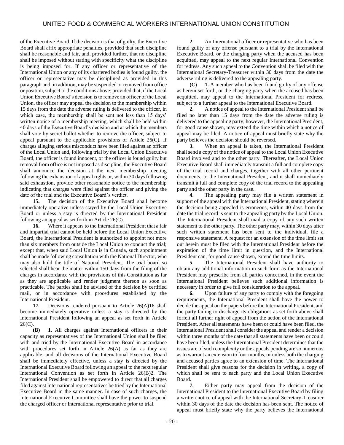of the Executive Board. If the decision is that of guilty, the Executive Board shall affix appropriate penalties, provided that such discipline shall be reasonable and fair, and, provided further, that no discipline shall be imposed without stating with specificity what the discipline is being imposed for. If any officer or representative of the International Union or any of its chartered bodies is found guilty, the officer or representative may be disciplined as provided in this paragraph and, in addition, may be suspended or removed from office or position, subject to the conditions above; provided that, if the Local Union Executive Board's decision is to remove an officer of the Local Union, the officer may appeal the decision to the membership within 15 days from the date the adverse ruling is delivered to the officer, in which case, the membership shall be sent not less than 15 days' written notice of a membership meeting, which shall be held within 40 days of the Executive Board's decision and at which the members shall vote by secret ballot whether to remove the officer, subject to appeal pursuant to the applicable provisions of Article 26(C). If charges alleging serious misconduct have been filed against an officer of the Local Union and, following trial by the Local Union Executive Board, the officer is found innocent, or the officer is found guilty but removal from office is not imposed as discipline, the Executive Board shall announce the decision at the next membership meeting following the exhaustion of appeal rights or, within 30 days following said exhaustion, provide other reasonable notice to the membership indicating that charges were filed against the officer and giving the date of the trial and the Executive Board's verdict.

**15.** The decision of the Executive Board shall become immediately operative unless stayed by the Local Union Executive Board or unless a stay is directed by the International President following an appeal as set forth in Article 26(C).

**16.** Where it appears to the International President that a fair and impartial trial cannot be held before the Local Union Executive Board, the International President is authorized to appoint not more than six members from outside the Local Union to conduct the trial; except that, when said Local Union is in Canada, such appointment shall be made following consultation with the National Director, who may also hold the title of National President. The trial board so selected shall hear the matter within 150 days from the filing of the charges in accordance with the provisions of this Constitution as far as they are applicable and render judgment thereon as soon as practicable. The parties shall be advised of the decision by certified mail, or in accordance with procedures established by the International President.

**17.** Decisions rendered pursuant to Article 26(A)16 shall become immediately operative unless a stay is directed by the International President following an appeal as set forth in Article 26(C).

**(B) 1.** All charges against International officers in their capacity as representatives of the International Union shall be filed with and tried by the International Executive Board in accordance with procedures set forth in Article 26(A) as far as they are applicable, and all decisions of the International Executive Board shall be immediately effective, unless a stay is directed by the International Executive Board following an appeal to the next regular International Convention as set forth in Article 26(B)2. The International President shall be empowered to direct that all charges filed against International representatives be tried by the International Executive Board in the same manner. In case of such charges, the International Executive Committee shall have the power to suspend the charged officer or International representative prior to trial.

**2.** An International officer or representative who has been found guilty of any offense pursuant to a trial by the International Executive Board, or the charging party when the accused has been acquitted, may appeal to the next regular International Convention for redress. Any such appeal to the Convention shall be filed with the International Secretary-Treasurer within 30 days from the date the adverse ruling is delivered to the appealing party.

**(C) 1.** A member who has been found guilty of any offense as herein set forth, or the charging party when the accused has been acquitted, may appeal to the International President for redress, subject to a further appeal to the International Executive Board.

**2.** A notice of appeal to the International President shall be filed no later than 15 days from the date the adverse ruling is delivered to the appealing party; however, the International President, for good cause shown, may extend the time within which a notice of appeal may be filed. A notice of appeal must briefly state why the party believes the decision should be reversed.

**3.** When an appeal is taken, the International President shall send a copy of the notice of appeal to the Local Union Executive Board involved and to the other party. Thereafter, the Local Union Executive Board shall immediately transmit a full and complete copy of the trial record and charges, together with all other pertinent documents, to the International President, and it shall immediately transmit a full and complete copy of the trial record to the appealing party and the other party in the case.

**4.** The appealing party may file a written statement in support of the appeal with the International President, stating wherein the decision being appealed is erroneous, within 40 days from the date the trial record is sent to the appealing party by the Local Union. The International President shall mail a copy of any such written statement to the other party. The other party may, within 30 days after such written statement has been sent to the individual, file a responsive statement. A request for an extension of the time limit set out herein must be filed with the International President before the expiration of the time limit in question, and the International President can, for good cause shown, extend the time limits.

**5.** The International President shall have authority to obtain any additional information in such form as the International President may prescribe from all parties concerned, in the event the International President believes such additional information is necessary in order to give full consideration to the appeal.

**6.** Upon failure of any party to comply with the foregoing requirements, the International President shall have the power to decide the appeal on the papers before the International President, and the party failing to discharge its obligations as set forth above shall forfeit all further right of appeal from the action of the International President. After all statements have been or could have been filed, the International President shall consider the appeal and render a decision within three months of the date that all statements have been or could have been filed, unless the International President determines that the issues are of such complexity or the appeals pending are so numerous as to warrant an extension to four months, or unless both the charging and accused parties agree to an extension of time. The International President shall give reasons for the decision in writing, a copy of which shall be sent to each party and the Local Union Executive Board.

**7.** Either party may appeal from the decision of the International President to the International Executive Board by filing a written notice of appeal with the International Secretary-Treasurer within 30 days of the date the decision has been sent. The notice of appeal must briefly state why the party believes the International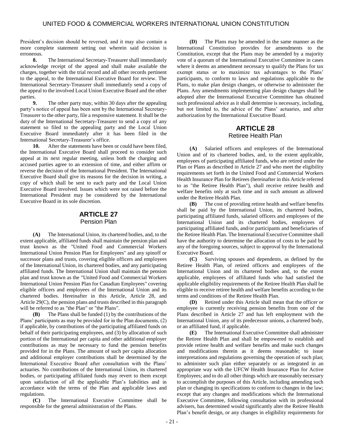President's decision should be reversed, and it may also contain a more complete statement setting out wherein said decision is erroneous.

**8.** The International Secretary-Treasurer shall immediately acknowledge receipt of the appeal and shall make available the charges, together with the trial record and all other records pertinent to the appeal, to the International Executive Board for review. The International Secretary-Treasurer shall immediately send a copy of the appeal to the involved Local Union Executive Board and the other parties.

**9.** The other party may, within 30 days after the appealing party's notice of appeal has been sent by the International Secretary-Treasurer to the other party, file a responsive statement. It shall be the duty of the International Secretary-Treasurer to send a copy of any statement so filed to the appealing party and the Local Union Executive Board immediately after it has been filed in the International Secretary-Treasurer's office.

**10.** After the statements have been or could have been filed, the International Executive Board shall proceed to consider such appeal at its next regular meeting, unless both the charging and accused parties agree to an extension of time, and either affirm or reverse the decision of the International President. The International Executive Board shall give its reasons for the decision in writing, a copy of which shall be sent to each party and the Local Union Executive Board involved. Issues which were not raised before the International President may be considered by the International Executive Board in its sole discretion.

#### **ARTICLE 27**  Pension Plan

**(A)** The International Union, its chartered bodies, and, to the extent applicable, affiliated funds shall maintain the pension plan and trust known as the "United Food and Commercial Workers International Union Pension Plan for Employees" and any spinoff or successor plans and trusts, covering eligible officers and employees of the International Union, its chartered bodies, and any participating affiliated funds. The International Union shall maintain the pension plan and trust known as the "United Food and Commercial Workers International Union Pension Plan for Canadian Employees" covering eligible officers and employees of the International Union and its chartered bodies. Hereinafter in this Article, Article 28, and Article 29(C), the pension plans and trusts described in this paragraph will be referred to as "the Plan" or "the Plans".

**(B)** The Plans shall be funded (1) by the contributions of the Plans' participants as may be provided for in the Plan documents, (2) if applicable, by contributions of the participating affiliated funds on behalf of their participating employees, and (3) by allocation of such portion of the International per capita and other additional employer contributions as may be necessary to fund the pension benefits provided for in the Plans. The amount of such per capita allocation and additional employer contributions shall be determined by the International Executive Board after consultation with the Plans' actuaries. No contributions of the International Union, its chartered bodies, or participating affiliated funds may revert to them except upon satisfaction of all the applicable Plan's liabilities and in accordance with the terms of the Plan and applicable laws and regulations.

**(C)** The International Executive Committee shall be responsible for the general administration of the Plans.

**(D)** The Plans may be amended in the same manner as the International Constitution provides for amendments to the Constitution, except that the Plans may be amended by a majority vote of a quorum of the International Executive Committee in cases where it deems an amendment necessary to qualify the Plans for tax exempt status or to maximize tax advantages to the Plans' participants, to conform to laws and regulations applicable to the Plans, to make plan design changes, or otherwise to administer the Plans. Any amendments implementing plan design changes shall be adopted after the International Executive Committee has obtained such professional advice as it shall determine is necessary, including, but not limited to, the advice of the Plans' actuaries, and after authorization by the International Executive Board.

#### **ARTICLE 28**  Retiree Health Plan

**(A)** Salaried officers and employees of the International Union and of its chartered bodies, and, to the extent applicable, employees of participating affiliated funds, who are retired under the Plan or Plans as described in Article 27 and who meet the eligibility requirements set forth in the United Food and Commercial Workers Health Insurance Plan for Retirees (hereinafter in this Article referred to as "the Retiree Health Plan"), shall receive retiree health and welfare benefits only at such time and in such amount as allowed under the Retiree Health Plan.

**(B)** The cost of providing retiree health and welfare benefits shall be paid by the International Union, its chartered bodies, participating affiliated funds, salaried officers and employees of the International Union and its chartered bodies, employees of participating affiliated funds, and/or participants and beneficiaries of the Retiree Health Plan. The International Executive Committee shall have the authority to determine the allocation of costs to be paid by any of the foregoing sources, subject to approval by the International Executive Board.

**(C)** Surviving spouses and dependents, as defined by the Retiree Health Plan, of retired officers and employees of the International Union and its chartered bodies and, to the extent applicable, employees of affiliated funds who had satisfied the applicable eligibility requirements of the Retiree Health Plan shall be eligible to receive retiree health and welfare benefits according to the terms and conditions of the Retiree Health Plan.

**(D)** Retired under this Article shall mean that the officer or employee is currently receiving pension benefits from one of the Plans described in Article 27 and has left employment with the International Union, any of its predecessor unions, a chartered body, or an affiliated fund, if applicable.

**(E)** The International Executive Committee shall administer the Retiree Health Plan and shall be empowered to establish and provide retiree health and welfare benefits and make such changes and modifications therein as it deems reasonable; to issue interpretations and regulations governing the operation of such plan; to administer such plan either separately or as integrated in an appropriate way with the UFCW Health Insurance Plan for Active Employees; and to do all other things which are reasonably necessary to accomplish the purposes of this Article, including amending such plan or changing its specifications to conform to changes in the law; except that any changes and modifications which the International Executive Committee, following consultation with its professional advisers, has determined would significantly alter the Retiree Health Plan's benefit design, or any changes in eligibility requirements for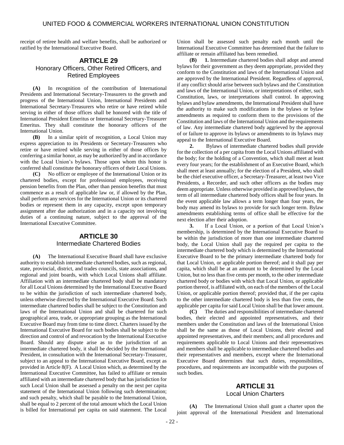receipt of retiree health and welfare benefits, shall be authorized or ratified by the International Executive Board.

#### **ARTICLE 29**  Honorary Officers, Other Retired Officers, and Retired Employees

**(A)** In recognition of the contribution of International Presidents and International Secretary-Treasurers to the growth and progress of the International Union, International Presidents and International Secretary-Treasurers who retire or have retired while serving in either of those offices shall be honored with the title of International President Emeritus or International Secretary-Treasurer Emeritus. They shall constitute the honorary officers of the International Union.

**(B)** In a similar spirit of recognition, a Local Union may express appreciation to its Presidents or Secretary-Treasurers who retire or have retired while serving in either of those offices by conferring a similar honor, as may be authorized by and in accordance with the Local Union's bylaws. Those upon whom this honor is conferred shall constitute the honorary officers of their Local Unions.

**(C)** No officer or employee of the International Union or its chartered bodies, except for professional employees, receiving pension benefits from the Plan, other than pension benefits that must commence as a result of applicable law or, if allowed by the Plan, shall perform any services for the International Union or its chartered bodies or represent them in any capacity, except upon temporary assignment after due authorization and in a capacity not involving duties of a continuing nature, subject to the approval of the International Executive Committee.

#### **ARTICLE 30**  Intermediate Chartered Bodies

**(A)** The International Executive Board shall have exclusive authority to establish intermediate chartered bodies, such as regional, state, provincial, district, and trades councils, state associations, and regional and joint boards, with which Local Unions shall affiliate. Affiliation with an intermediate chartered body shall be mandatory for all Local Unions determined by the International Executive Board to be within the jurisdiction of such intermediate chartered body, unless otherwise directed by the International Executive Board. Such intermediate chartered bodies shall be subject to the Constitution and laws of the International Union and shall be chartered for such geographical area, trade, or appropriate grouping as the International Executive Board may from time to time direct. Charters issued by the International Executive Board for such bodies shall be subject to the direction and control of and revocation by the International Executive Board. Should any dispute arise as to the jurisdiction of an intermediate chartered body, it shall be decided by the International President, in consultation with the International Secretary-Treasurer, subject to an appeal to the International Executive Board, except as provided in Article 8(F). A Local Union which, as determined by the International Executive Committee, has failed to affiliate or remain affiliated with an intermediate chartered body that has jurisdiction for such Local Union shall be assessed a penalty on the next per capita statement of the International Union following such determination; and such penalty, which shall be payable to the International Union, shall be equal to 2 percent of the total amount which the Local Union is billed for International per capita on said statement. The Local

Union shall be assessed such penalty each month until the International Executive Committee has determined that the failure to affiliate or remain affiliated has been remedied.

**(B) 1.** Intermediate chartered bodies shall adopt and amend bylaws for their government as they deem appropriate, provided they conform to the Constitution and laws of the International Union and are approved by the International President. Regardless of approval, if any conflict should arise between such bylaws and the Constitution and laws of the International Union, or interpretations of either, such Constitution, laws, or interpretations shall control. In approving bylaws and bylaw amendments, the International President shall have the authority to make such modifications in the bylaws or bylaw amendments as required to conform them to the provisions of the Constitution and laws of the International Union and the requirements of law. Any intermediate chartered body aggrieved by the approval of or failure to approve its bylaws or amendments to its bylaws may appeal to the International Executive Board.

**2.** Bylaws of intermediate chartered bodies shall provide for the collection of a per capita from the Local Unions affiliated with the body; for the holding of a Convention, which shall meet at least every four years; for the establishment of an Executive Board, which shall meet at least annually; for the election of a President, who shall be the chief executive officer, a Secretary-Treasurer, at least two Vice Presidents, a Recorder, and such other officers as the bodies may deem appropriate. Unless otherwise provided in approved bylaws, the term of all intermediate chartered body offices shall be four years. In the event applicable law allows a term longer than four years, the body may amend its bylaws to provide for such longer term. Bylaw amendments establishing terms of office shall be effective for the next election after their adoption.

**3.** If a Local Union, or a portion of that Local Union's membership, is determined by the International Executive Board to be within the jurisdiction of more than one intermediate chartered body, the Local Union shall pay the required per capita to the intermediate chartered body which is determined by the International Executive Board to be the primary intermediate chartered body for that Local Union, or applicable portion thereof; and it shall pay per capita, which shall be at an amount to be determined by the Local Union, but no less than five cents per month, to the other intermediate chartered body or bodies with which that Local Union, or applicable portion thereof, is affiliated with, on each of the members of the Local Union, or applicable portion thereof; provided that, if the per capita to the other intermediate chartered body is less than five cents, the applicable per capita for said Local Union shall be that lower amount.

**(C)** The duties and responsibilities of intermediate chartered bodies, their elected and appointed representatives, and their members under the Constitution and laws of the International Union shall be the same as those of Local Unions, their elected and appointed representatives, and their members; and all procedures and requirements applicable to Local Unions and their representatives and members shall be applicable to intermediate chartered bodies and their representatives and members, except where the International Executive Board determines that such duties, responsibilities, procedures, and requirements are incompatible with the purposes of such bodies.

#### **ARTICLE 31** Local Union Charters

**(A)** The International Union shall grant a charter upon the joint approval of the International President and International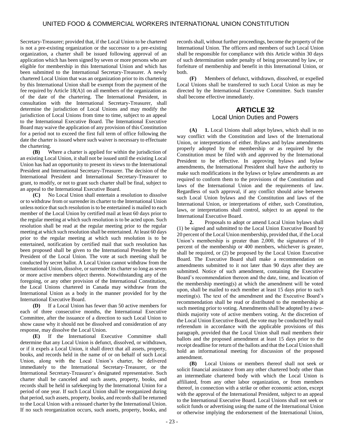Secretary-Treasurer; provided that, if the Local Union to be chartered is not a pre-existing organization or the successor to a pre-existing organization, a charter shall be issued following approval of an application which has been signed by seven or more persons who are eligible for membership in this International Union and which has been submitted to the International Secretary-Treasurer. A newly chartered Local Union that was an organization prior to its chartering by this International Union shall be exempt from the payment of the fee required by Article 18(A)1 on all members of the organization as of the date of the chartering. The International President, in consultation with the International Secretary-Treasurer, shall determine the jurisdiction of Local Unions and may modify the jurisdiction of Local Unions from time to time, subject to an appeal to the International Executive Board. The International Executive Board may waive the application of any provision of this Constitution for a period not to exceed the first full term of office following the date the charter is issued where such waiver is necessary to effectuate the chartering.

**(B)** Where a charter is applied for within the jurisdiction of an existing Local Union, it shall not be issued until the existing Local Union has had an opportunity to present its views to the International President and International Secretary-Treasurer. The decision of the International President and International Secretary-Treasurer to grant, to modify, or not to grant such charter shall be final, subject to an appeal to the International Executive Board.

**(C)** No Local Union shall entertain a resolution to dissolve or to withdraw from or surrender its charter to the International Union unless notice that such resolution is to be entertained is mailed to each member of the Local Union by certified mail at least 60 days prior to the regular meeting at which such resolution is to be acted upon. Such resolution shall be read at the regular meeting prior to the regular meeting at which such resolution shall be entertained. At least 60 days prior to the regular meeting at which such resolution is to be entertained, notification by certified mail that such resolution has been proposed shall be given to the International President by the President of the Local Union. The vote at such meeting shall be conducted by secret ballot. A Local Union cannot withdraw from the International Union, dissolve, or surrender its charter so long as seven or more active members object thereto. Notwithstanding any of the foregoing, or any other provision of the International Constitution, the Local Unions chartered in Canada may withdraw from the International Union as a body in the manner provided for by the International Executive Board.

**(D)** If a Local Union has fewer than 50 active members for each of three consecutive months, the International Executive Committee, after the issuance of a direction to such Local Union to show cause why it should not be dissolved and consideration of any response, may dissolve the Local Union.

**(E)** If the International Executive Committee shall determine that any Local Union is defunct, dissolved, or withdrawn, or if it expels a Local Union, it shall direct that all assets, property, books, and records held in the name of or on behalf of such Local Union, along with the Local Union's charter, be delivered immediately to the International Secretary-Treasurer, or the International Secretary-Treasurer's designated representative. Such charter shall be canceled and such assets, property, books, and records shall be held in safekeeping by the International Union for a period of one year. If such Local Union shall be reorganized during that period, such assets, property, books, and records shall be returned to the Local Union with a reissued charter by the International Union. If no such reorganization occurs, such assets, property, books, and

records shall, without further proceedings, become the property of the International Union. The officers and members of such Local Union shall be responsible for compliance with this Article within 30 days of such determination under penalty of being prosecuted by law, or forfeiture of membership and benefit in this International Union, or both.

**(F)** Members of defunct, withdrawn, dissolved, or expelled Local Unions shall be transferred to such Local Union as may be directed by the International Executive Committee. Such transfer shall become effective immediately.

#### **ARTICLE 32**

#### Local Union Duties and Powers

**(A) 1.** Local Unions shall adopt bylaws, which shall in no way conflict with the Constitution and laws of the International Union, or interpretations of either. Bylaws and bylaw amendments properly adopted by the membership or as required by the Constitution must be filed with and approved by the International President to be effective. In approving bylaws and bylaw amendments, the International President shall have the authority to make such modifications in the bylaws or bylaw amendments as are required to conform them to the provisions of the Constitution and laws of the International Union and the requirements of law. Regardless of such approval, if any conflict should arise between such Local Union bylaws and the Constitution and laws of the International Union, or interpretations of either, such Constitution, laws, or interpretations shall control, subject to an appeal to the International Executive Board.

**2.** Proposals to adopt or amend Local Union bylaws shall (1) be signed and submitted to the Local Union Executive Board by 20 percent of the Local Union membership, provided that, if the Local Union's membership is greater than 2,000, the signatures of 10 percent of the membership or 400 members, whichever is greater, shall be required, or (2) be proposed by the Local Union Executive Board. The Executive Board shall make a recommendation on amendments submitted to it not later than 90 days after they are submitted. Notice of such amendment, containing the Executive Board's recommendation thereon and the date, time, and location of the membership meeting(s) at which the amendment will be voted upon, shall be mailed to each member at least 15 days prior to such meeting(s). The text of the amendment and the Executive Board's recommendation shall be read or distributed to the membership at such meeting prior to voting. Amendments shall be adopted by a twothirds majority vote of active members voting. At the discretion of the Local Union Executive Board, the vote may be conducted by mail referendum in accordance with the applicable provisions of this paragraph, provided that the Local Union shall mail members their ballots and the proposed amendment at least 15 days prior to the receipt deadline for return of the ballots and that the Local Union shall hold an informational meeting for discussion of the proposed amendment.

**(B)** Local Unions or members thereof shall not seek or solicit financial assistance from any other chartered body other than an intermediate chartered body with which the Local Union is affiliated, from any other labor organization, or from members thereof, in connection with a strike or other economic action, except with the approval of the International President, subject to an appeal to the International Executive Board. Local Unions shall not seek or solicit funds or advertising using the name of the International Union or otherwise implying the endorsement of the International Union,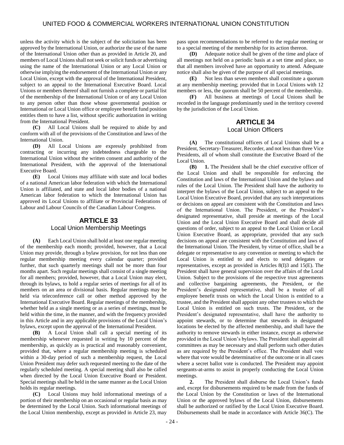unless the activity which is the subject of the solicitation has been approved by the International Union, or authorize the use of the name of the International Union other than as provided in Article 20, and members of Local Unions shall not seek or solicit funds or advertising using the name of the International Union or any Local Union or otherwise implying the endorsement of the International Union or any Local Union, except with the approval of the International President, subject to an appeal to the International Executive Board. Local Unions or members thereof shall not furnish a complete or partial list of the membership of the International Union or of any Local Union to any person other than those whose governmental position or International or Local Union office or employee benefit fund position entitles them to have a list, without specific authorization in writing from the International President.

**(C)** All Local Unions shall be required to abide by and conform with all of the provisions of the Constitution and laws of the International Union.

**(D)** All Local Unions are expressly prohibited from contracting or incurring any indebtedness chargeable to the International Union without the written consent and authority of the International President, with the approval of the International Executive Board.

**(E)** Local Unions may affiliate with state and local bodies of a national American labor federation with which the International Union is affiliated, and state and local labor bodies of a national American labor federation to which the International Union has approved its Local Unions to affiliate or Provincial Federations of Labour and Labour Councils of the Canadian Labour Congress.

#### **ARTICLE 33**  Local Union Membership Meetings

**(A)** Each Local Union shall hold at least one regular meeting of the membership each month; provided, however, that a Local Union may provide, through a bylaw provision, for not less than one regular membership meeting every calendar quarter; provided further, that such quarterly meetings shall not be more than four months apart. Such regular meetings shall consist of a single meeting for all members; provided, however, that a Local Union may elect, through its bylaws, to hold a regular series of meetings for all of its members on an area or divisional basis. Regular meetings may be held via teleconference call or other method approved by the International Executive Board. Regular meetings of the membership, whether held as a single meeting or as a series of meetings, must be held within the time, in the manner, and with the frequency provided in this Article and in any applicable provisions of the Local Union's bylaws, except upon the approval of the International President.

**(B)** A Local Union shall call a special meeting of its membership whenever requested in writing by 10 percent of the membership, as quickly as is practical and reasonably convenient, provided that, where a regular membership meeting is scheduled within a 30-day period of such a membership request, the Local Union President may defer such requested meeting to the date of the regularly scheduled meeting. A special meeting shall also be called when directed by the Local Union Executive Board or President. Special meetings shall be held in the same manner as the Local Union holds its regular meetings.

**(C)** Local Unions may hold informational meetings of a portion of their membership on an occasional or regular basis as may be determined by the Local Union. Such informational meetings of the Local Union membership, except as provided in Article 23, may pass upon recommendations to be referred to the regular meeting or to a special meeting of the membership for its action thereon.

**(D)** Adequate notice shall be given of the time and place of all meetings not held on a periodic basis at a set time and place, so that all members involved have an opportunity to attend. Adequate notice shall also be given of the purpose of all special meetings.

**(E)** Not less than seven members shall constitute a quorum at any membership meeting; provided that in Local Unions with 12 members or less, the quorum shall be 50 percent of the membership.

**(F)** All business at meetings of Local Unions shall be recorded in the language predominantly used in the territory covered by the jurisdiction of the Local Union.

#### **ARTICLE 34** Local Union Officers

**(A)** The constitutional officers of Local Unions shall be a President, Secretary-Treasurer, Recorder, and not less than three Vice Presidents, all of whom shall constitute the Executive Board of the Local Union.

**(B) 1.** The President shall be the chief executive officer of the Local Union and shall be responsible for enforcing the Constitution and laws of the International Union and the bylaws and rules of the Local Union. The President shall have the authority to interpret the bylaws of the Local Union, subject to an appeal to the Local Union Executive Board, provided that any such interpretations or decisions on appeal are consistent with the Constitution and laws of the International Union. The President, or the President's designated representative, shall preside at meetings of the Local Union and the Local Union Executive Board and shall decide all questions of order, subject to an appeal to the Local Union or Local Union Executive Board, as appropriate, provided that any such decisions on appeal are consistent with the Constitution and laws of the International Union. The President, by virtue of office, shall be a delegate or representative to any convention or meeting to which the Local Union is entitled to and elects to send delegates or representatives, except as provided in Articles 8(I)3 and 15(E). The President shall have general supervision over the affairs of the Local Union. Subject to the provisions of the respective trust agreements and collective bargaining agreements, the President, or the President's designated representative, shall be a trustee of all employee benefit trusts on which the Local Union is entitled to a trustee, and the President shall appoint any other trustees to which the Local Union is entitled on such trusts. The President, or the President's designated representative, shall have the authority to appoint stewards, or to determine that stewards in designated locations be elected by the affected membership, and shall have the authority to remove stewards in either instance, except as otherwise provided in the Local Union's bylaws. The President shall appoint all committees as may be necessary and shall perform such other duties as are required by the President's office. The President shall vote where that vote would be determinative of the outcome or in all cases where a secret ballot vote is conducted. The President may appoint sergeants-at-arms to assist in properly conducting the Local Union meetings.

**2.** The President shall disburse the Local Union's funds and, except for disbursements required to be made from the funds of the Local Union by the Constitution or laws of the International Union or the approved bylaws of the Local Union, disbursements shall be authorized or ratified by the Local Union Executive Board. Disbursements shall be made in accordance with Article 36(C). The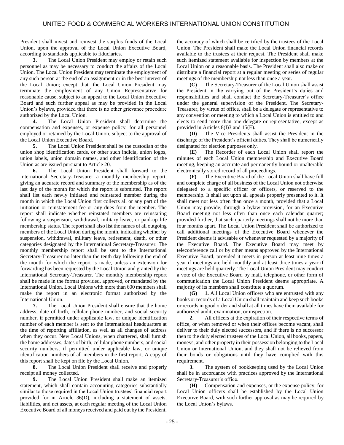President shall invest and reinvest the surplus funds of the Local Union, upon the approval of the Local Union Executive Board, according to standards applicable to fiduciaries.

**3.** The Local Union President may employ or retain such personnel as may be necessary to conduct the affairs of the Local Union. The Local Union President may terminate the employment of any such person at the end of an assignment or in the best interest of the Local Union; except that, the Local Union President may terminate the employment of any Union Representative for reasonable cause, subject to an appeal to the Local Union Executive Board and such further appeal as may be provided in the Local Union's bylaws, provided that there is no other grievance procedure authorized by the Local Union.

**4.** The Local Union President shall determine the compensation and expenses, or expense policy, for all personnel employed or retained by the Local Union, subject to the approval of the Local Union Executive Board.

**5.** The Local Union President shall be the custodian of the union shop identification cards, or other such indicia, union logos, union labels, union domain names, and other identification of the Union as are issued pursuant to Article 20.

**6.** The Local Union President shall forward to the International Secretary-Treasurer a monthly membership report, giving an accurate record and summary of the membership as of the last day of the month for which the report is submitted. The report shall list each newly initiated and reinstated member during the month in which the Local Union first collects all or any part of the initiation or reinstatement fee or any dues from the member. The report shall indicate whether reinstated members are reinstating following a suspension, withdrawal, military leave, or paid-up life membership status. The report shall also list the names of all outgoing members of the Local Union during the month, indicating whether by suspension, withdrawal, military leave, retirement, death, or other categories designated by the International Secretary-Treasurer. The monthly membership report shall be sent to the International Secretary-Treasurer no later than the tenth day following the end of the month for which the report is made, unless an extension for forwarding has been requested by the Local Union and granted by the International Secretary-Treasurer. The monthly membership report shall be made in the format provided, approved, or mandated by the International Union. Local Unions with more than 600 members shall make the report in an electronic format authorized by the International Union.

**7.** The Local Union President shall ensure that the home address, date of birth, cellular phone number, and social security number, if permitted under applicable law, or unique identification number of each member is sent to the International headquarters at the time of reporting affiliation, as well as all changes of address when they occur. New Local Unions, when chartered, shall furnish the home addresses, dates of birth, cellular phone numbers, and social security numbers, if permitted under applicable law, or unique identification numbers of all members in the first report. A copy of this report shall be kept on file by the Local Union.

**8.** The Local Union President shall receive and properly receipt all money collected.

**9.** The Local Union President shall make an itemized statement, which shall contain accounting categories substantially similar to those required in the Local Union trustees' financial report provided for in Article 36(D), including a statement of assets, liabilities, and net assets, at each regular meeting of the Local Union Executive Board of all moneys received and paid out by the President,

the accuracy of which shall be certified by the trustees of the Local Union. The President shall make the Local Union financial records available to the trustees at their request. The President shall make such itemized statement available for inspection by members at the Local Union on a reasonable basis. The President shall also make or distribute a financial report at a regular meeting or series of regular meetings of the membership not less than once a year.

**(C)** The Secretary-Treasurer of the Local Union shall assist the President in the carrying out of the President's duties and responsibilities and shall conduct the Secretary-Treasurer's office under the general supervision of the President. The Secretary-Treasurer, by virtue of office, shall be a delegate or representative to any convention or meeting to which a Local Union is entitled to and elects to send more than one delegate or representative, except as provided in Articles 8(I)3 and 15(E).

**(D)** The Vice Presidents shall assist the President in the discharge of the President's official duties. They shall be numerically designated for election purposes only.

**(E)** The Recorder of each Local Union shall report the minutes of each Local Union membership and Executive Board meeting, keeping an accurate and permanently bound or unalterable electronically stored record of all proceedings.

**(F)** The Executive Board of the Local Union shall have full and complete charge of all business of the Local Union not otherwise delegated to a specific officer or officers, or reserved to the membership. It shall act upon all appeals properly presented to it. It shall meet not less often than once a month, provided that a Local Union may provide, through a bylaw provision, for an Executive Board meeting not less often than once each calendar quarter; provided further, that such quarterly meetings shall not be more than four months apart. The Local Union President shall be authorized to call additional meetings of the Executive Board whenever the President deems it advisable or whenever requested by a majority of the Executive Board. The Executive Board may meet by teleconference call or by other means approved by the International Executive Board, provided it meets in person at least nine times a year if meetings are held monthly and at least three times a year if meetings are held quarterly. The Local Union President may conduct a vote of the Executive Board by mail, telephone, or other form of communication the Local Union President deems appropriate. A majority of its members shall constitute a quorum.

**(G) 1.** All Local Union officers who are entrusted with any books or records of a Local Union shall maintain and keep such books or records in good order and shall at all times have them available for authorized audit, examination, or inspection.

**2.** All officers at the expiration of their respective terms of office, or when removed or when their offices become vacant, shall deliver to their duly elected successors, and if there is no successor then to the duly elected trustees of the Local Union, all books, papers, moneys, and other property in their possession belonging to the Local Union or International Union, and they shall not be relieved from their bonds or obligations until they have complied with this requirement.

**3.** The system of bookkeeping used by the Local Union shall be in accordance with practices approved by the International Secretary-Treasurer's office.

**(H)** Compensation and expenses, or the expense policy, for Local Union officers shall be established by the Local Union Executive Board, with such further approval as may be required by the Local Union's bylaws.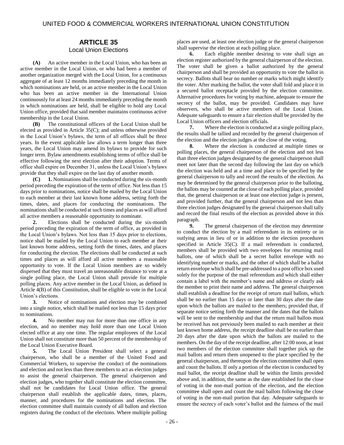#### **ARTICLE 35** Local Union Elections

**(A)** An active member in the Local Union, who has been an active member in the Local Union, or who had been a member of another organization merged with the Local Union, for a continuous aggregate of at least 12 months immediately preceding the month in which nominations are held, or an active member in the Local Union who has been an active member in the International Union continuously for at least 24 months immediately preceding the month in which nominations are held, shall be eligible to hold any Local Union office, provided that said member maintains continuous active membership in the Local Union.

**(B)** The constitutional officers of the Local Union shall be elected as provided in Article 35(C); and unless otherwise provided in the Local Union's bylaws, the term of all offices shall be three years. In the event applicable law allows a term longer than three years, the Local Union may amend its bylaws to provide for such longer term. Bylaw amendments establishing terms of office shall be effective following the next election after their adoption. Terms of office shall expire on December 31, unless the Local Union's bylaws provide that they shall expire on the last day of another month.

**(C) 1.** Nominations shall be conducted during the six-month period preceding the expiration of the term of office. Not less than 15 days prior to nominations, notice shall be mailed by the Local Union to each member at their last known home address, setting forth the times, dates, and places for conducting the nominations. The nominations shall be conducted at such times and places as will afford all active members a reasonable opportunity to nominate.

**2.** Elections shall be conducted during the six-month period preceding the expiration of the term of office, as provided in the Local Union's bylaws. Not less than 15 days prior to elections, notice shall be mailed by the Local Union to each member at their last known home address, setting forth the times, dates, and places for conducting the election. The elections shall be conducted at such times and places as will afford all active members a reasonable opportunity to vote. If the Local Union members are so widely dispersed that they must travel an unreasonable distance to vote at a single polling place, the Local Union shall provide for multiple polling places. Any active member in the Local Union, as defined in Article 4(B) of this Constitution, shall be eligible to vote in the Local Union's elections.

**3.** Notice of nominations and election may be combined into a single notice, which shall be mailed not less than 15 days prior to nominations.

**4.** No member may run for more than one office in any election, and no member may hold more than one Local Union elected office at any one time. The regular employees of the Local Union shall not constitute more than 50 percent of the membership of the Local Union Executive Board.

**5.** The Local Union President shall select a general chairperson, who shall be a member of the United Food and Commercial Workers, to supervise the conduct of the nominations and election and not less than three members to act as election judges to assist the general chairperson. The general chairperson and election judges, who together shall constitute the election committee, shall not be candidates for Local Union office. The general chairperson shall establish the applicable dates, times, places, manner, and procedures for the nominations and election. The election committee shall maintain custody of all ballots and election registers during the conduct of the elections. Where multiple polling

places are used, at least one election judge or the general chairperson shall supervise the election at each polling place.

**6.** Each eligible member desiring to vote shall sign an election register authorized by the general chairperson of the election. The voter shall be given a ballot authorized by the general chairperson and shall be provided an opportunity to vote the ballot in secrecy. Ballots shall bear no number or marks which might identify the voter. After marking the ballot, the voter shall fold and place it in a secured ballot receptacle provided by the election committee. Alternative procedures for voting by machine, adequate to ensure the secrecy of the ballot, may be provided. Candidates may have observers, who shall be active members of the Local Union. Adequate safeguards to ensure a fair election shall be provided by the Local Union officers and election officials.

**7.** Where the election is conducted at a single polling place, the results shall be tallied and recorded by the general chairperson of the election and the election judges at the close of the voting.

**8.** Where the election is conducted at multiple times or polling places, the general chairperson of the election and not less than three election judges designated by the general chairperson shall meet not later than the second day following the last day on which the election was held and at a time and place to be specified by the general chairperson to tally and record the results of the election. As may be determined by the general chairperson prior to the balloting, the ballots may be counted at the close of each polling place, provided that, the general chairperson or at least one election judge is present, and provided further, that the general chairperson and not less than three election judges designated by the general chairperson shall tally and record the final results of the election as provided above in this paragraph.

**9.** The general chairperson of the election may determine to conduct the election by a mail referendum in its entirety or in outlying areas in lieu of or in addition to the election procedures specified in Article 35(C). If a mail referendum is conducted, members shall be provided with two envelopes for returning mail ballots, one of which shall be a secret ballot envelope with no identifying number or marks, and the other of which shall be a ballot return envelope which shall be pre-addressed to a post office box used solely for the purpose of the mail referendum and which shall either contain a label with the member's name and address or clearly ask the member to print their name and address. The general chairperson shall establish a deadline for the receipt of return mail ballots, which shall be no earlier than 15 days or later than 30 days after the date upon which the ballots are mailed to the members; provided that, if separate notice setting forth the manner and the dates that the ballots will be sent to the membership and that the return mail ballots must be received has not previously been mailed to each member at their last known home address, the receipt deadline shall be no earlier than 20 days after the date upon which the ballots are mailed to the members. On the day of the receipt deadline, after 12:00 noon, at least two members of the election committee shall together pick up the mail ballots and return them unopened to the place specified by the general chairperson, and thereupon the election committee shall open and count the ballots. If only a portion of the election is conducted by mail ballot, the receipt deadline shall be within the limits provided above and, in addition, the same as the date established for the close of voting in the non-mail portion of the election, and the election committee shall open and count the mail ballots following the close of voting in the non-mail portion that day. Adequate safeguards to ensure the secrecy of each voter's ballot and the fairness of the mail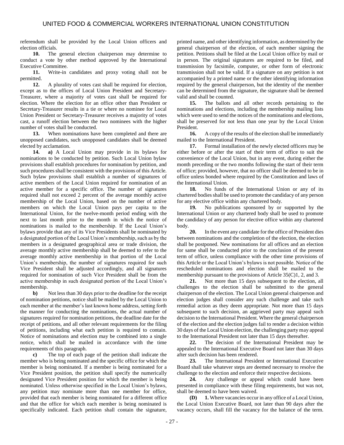referendum shall be provided by the Local Union officers and election officials.

**10.** The general election chairperson may determine to conduct a vote by other method approved by the International Executive Committee.

**11.** Write-in candidates and proxy voting shall not be permitted.

**12.** A plurality of votes cast shall be required for election, except as to the offices of Local Union President and Secretary-Treasurer, where a majority of votes cast shall be required for election. Where the election for an office other than President or Secretary-Treasurer results in a tie or where no nominee for Local Union President or Secretary-Treasurer receives a majority of votes cast, a runoff election between the two nominees with the higher number of votes shall be conducted.

**13.** When nominations have been completed and there are unopposed candidates, such unopposed candidates shall be deemed elected by acclamation.

**14. a)** A Local Union may provide in its bylaws for nominations to be conducted by petition. Such Local Union bylaw provisions shall establish procedures for nomination by petition, and such procedures shall be consistent with the provisions of this Article. Such bylaw provisions shall establish a number of signatures of active members of the Local Union required for nomination of an active member for a specific office. The number of signatures required shall not exceed 2 percent of the average monthly active membership of the Local Union, based on the number of active members on which the Local Union pays per capita to the International Union, for the twelve-month period ending with the next to last month prior to the month in which the notice of nominations is mailed to the membership. If the Local Union's bylaws provide that any of its Vice Presidents shall be nominated by a designated portion of the Local Union's membership, such as by the members in a designated geographical area or trade division, the average monthly active membership shall be deemed to refer to the average monthly active membership in that portion of the Local Union's membership, the number of signatures required for such Vice President shall be adjusted accordingly, and all signatures required for nomination of such Vice President shall be from the active membership in such designated portion of the Local Union's membership.

**b**) Not less than 30 days prior to the deadline for the receipt of nomination petitions, notice shall be mailed by the Local Union to each member at the member's last known home address, setting forth the manner for conducting the nominations, the actual number of signatures required for nomination petitions, the deadline date for the receipt of petitions, and all other relevant requirements for the filing of petitions, including what each petition is required to contain. Notice of nominations and election may be combined into a single notice, which shall be mailed in accordance with the time requirements of this paragraph.

**c)** The top of each page of the petition shall indicate the member who is being nominated and the specific office for which the member is being nominated. If a member is being nominated for a Vice President position, the petition shall specify the numerically designated Vice President position for which the member is being nominated. Unless otherwise specified in the Local Union's bylaws, any petition may nominate more than one member for office, provided that each member is being nominated for a different office and that the office for which each member is being nominated is specifically indicated. Each petition shall contain the signature,

printed name, and other identifying information, as determined by the general chairperson of the election, of each member signing the petition. Petitions shall be filed at the Local Union office by mail or in person. The original signatures are required to be filed, and transmission by facsimile, computer, or other form of electronic transmission shall not be valid. If a signature on any petition is not accompanied by a printed name or the other identifying information required by the general chairperson, but the identity of the member can be determined from the signature, the signature shall be deemed valid and shall be counted.

**15.** The ballots and all other records pertaining to the nominations and elections, including the membership mailing lists which were used to send the notices of the nominations and elections, shall be preserved for not less than one year by the Local Union President.

**16.** A copy of the results of the election shall be immediately mailed to the International President.

**17.** Formal installation of the newly elected officers may be either before or after the start of their term of office to suit the convenience of the Local Union, but in any event, during either the month preceding or the two months following the start of their term of office; provided, however, that no officer shall be deemed to be in office unless bonded where required by the Constitution and laws of the International Union.

**18.** No funds of the International Union or any of its chartered bodies shall be used to promote the candidacy of any person for any elective office within any chartered body.

**19.** No publications sponsored by or supported by the International Union or any chartered body shall be used to promote the candidacy of any person for elective office within any chartered body.

**20.** In the event any candidate for the office of President dies between nominations and the completion of the election, the election shall be postponed. New nominations for all offices and an election for same shall be conducted prior to the conclusion of the present term of office, unless compliance with the other time provisions of this Article or the Local Union's bylaws is not possible. Notice of the rescheduled nominations and election shall be mailed to the membership pursuant to the provisions of Article 35(C)1, 2, and 3.

**21.** Not more than 15 days subsequent to the election, all challenges to the election shall be submitted to the general chairperson of the election. The Local Union general chairperson and election judges shall consider any such challenge and take such remedial action as they deem appropriate. Not more than 15 days subsequent to such decision, an aggrieved party may appeal such decision to the International President. Where the general chairperson of the election and the election judges fail to render a decision within 30 days of the Local Union election, the challenging party may appeal to the International President not later than 15 days thereafter.

**22.** The decision of the International President may be appealed to the International Executive Board not later than 30 days after such decision has been rendered.

**23.** The International President or International Executive Board shall take whatever steps are deemed necessary to resolve the challenge to the election and enforce their respective decisions.

**24.** Any challenge or appeal which could have been presented in compliance with these filing requirements, but was not, shall be deemed to have been waived.

**(D) 1.** Where vacancies occur in any office of a Local Union, the Local Union Executive Board, not later than 90 days after the vacancy occurs, shall fill the vacancy for the balance of the term.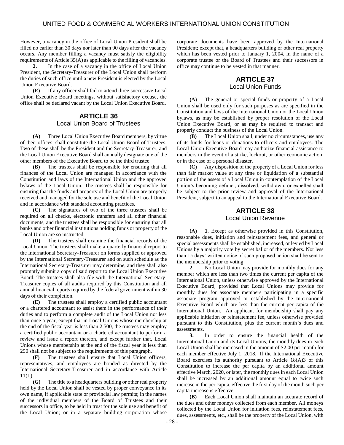However, a vacancy in the office of Local Union President shall be filled no earlier than 30 days nor later than 90 days after the vacancy occurs. Any member filling a vacancy must satisfy the eligibility requirements of Article 35(A) as applicable to the filling of vacancies.

**2.** In the case of a vacancy in the office of Local Union President, the Secretary-Treasurer of the Local Union shall perform the duties of such office until a new President is elected by the Local Union Executive Board.

**(E)** If any officer shall fail to attend three successive Local Union Executive Board meetings, without satisfactory excuse, the office shall be declared vacant by the Local Union Executive Board.

#### **ARTICLE 36**  Local Union Board of Trustees

**(A)** Three Local Union Executive Board members, by virtue of their offices, shall constitute the Local Union Board of Trustees. Two of these shall be the President and the Secretary-Treasurer, and the Local Union Executive Board shall annually designate one of the other members of the Executive Board to be the third trustee.

**(B)** The trustees shall be responsible for ensuring that all finances of the Local Union are managed in accordance with the Constitution and laws of the International Union and the approved bylaws of the Local Union. The trustees shall be responsible for ensuring that the funds and property of the Local Union are properly received and managed for the sole use and benefit of the Local Union and in accordance with standard accounting practices.

**(C)** The signatures of two of the three trustees shall be required on all checks, electronic transfers and all other financial documents, and the trustees shall be responsible for ensuring that all banks and other financial institutions holding funds or property of the Local Union are so instructed.

**(D)** The trustees shall examine the financial records of the Local Union. The trustees shall make a quarterly financial report to the International Secretary-Treasurer on forms supplied or approved by the International Secretary-Treasurer and on such schedule as the International Secretary-Treasurer may determine, and they shall also promptly submit a copy of said report to the Local Union Executive Board. The trustees shall also file with the International Secretary-Treasurer copies of all audits required by this Constitution and all annual financial reports required by the federal government within 30 days of their completion.

**(E)** The trustees shall employ a certified public accountant or a chartered accountant to assist them in the performance of their duties and to perform a complete audit of the Local Union not less than once a year, except that in Local Unions whose membership at the end of the fiscal year is less than 2,500, the trustees may employ a certified public accountant or a chartered accountant to perform a review and issue a report thereon, and except further that, Local Unions whose membership at the end of the fiscal year is less than 250 shall not be subject to the requirements of this paragraph.

**(F)** The trustees shall ensure that Local Union officers, representatives, and employees are bonded as directed by the International Secretary-Treasurer and in accordance with Article 11(L).

**(G)** The title to a headquarters building or other real property held by the Local Union shall be vested by proper conveyance in its own name, if applicable state or provincial law permits; in the names of the individual members of the Board of Trustees and their successors in office, to be held in trust for the sole use and benefit of the Local Union; or in a separate building corporation whose

corporate documents have been approved by the International President; except that, a headquarters building or other real property which has been vested prior to January 1, 2004, in the name of a corporate trustee or the Board of Trustees and their successors in office may continue to be vested in that manner.

#### **ARTICLE 37** Local Union Funds

**(A)** The general or special funds or property of a Local Union shall be used only for such purposes as are specified in the Constitution and laws of the International Union or the Local Union bylaws, as may be established by proper resolution of the Local Union Executive Board, or as may be required to transact and properly conduct the business of the Local Union.

**(B)** The Local Union shall, under no circumstances, use any of its funds for loans or donations to officers and employees. The Local Union Executive Board may authorize financial assistance to members in the event of a strike, lockout, or other economic action, or in the case of a personal disaster.

**(C)** Any disposition of the property of a Local Union for less than fair market value at any time or liquidation of a substantial portion of the assets of a Local Union in contemplation of the Local Union's becoming defunct, dissolved, withdrawn, or expelled shall be subject to the prior review and approval of the International President, subject to an appeal to the International Executive Board.

#### **ARTICLE 38** Local Union Revenue

**(A) 1.** Except as otherwise provided in this Constitution, reasonable dues, initiation and reinstatement fees, and general or special assessments shall be established, increased, or levied by Local Unions by a majority vote by secret ballot of the members. Not less than 15 days' written notice of such proposed action shall be sent to the membership prior to voting.

**2.** No Local Union may provide for monthly dues for any member which are less than two times the current per capita of the International Union, unless otherwise approved by the International Executive Board, provided that Local Unions may provide for monthly dues for associate members participating in a specific associate program approved or established by the International Executive Board which are less than the current per capita of the International Union. An applicant for membership shall pay any applicable initiation or reinstatement fee, unless otherwise provided pursuant to this Constitution, plus the current month's dues and assessments.

**3.** In order to ensure the financial health of the International Union and its Local Unions, the monthly dues in each Local Union shall be increased in the amount of \$2.00 per month for each member effective July 1, 2018. If the International Executive Board exercises its authority pursuant to Article 18(A)3 of this Constitution to increase the per capita by an additional amount effective March, 2020, or later, the monthly dues in each Local Union shall be increased by an additional amount equal to twice such increase in the per capita, effective the first day of the month such per capita increase is effective.

**(B)** Each Local Union shall maintain an accurate record of the dues and other moneys collected from each member. All moneys collected by the Local Union for initiation fees, reinstatement fees, dues, assessments, etc., shall be the property of the Local Union, with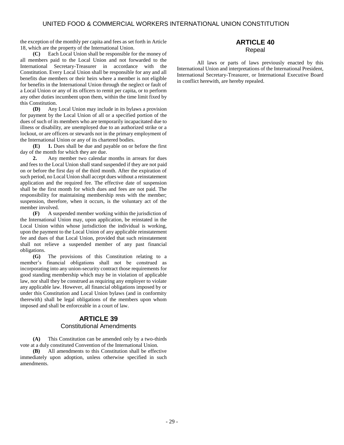the exception of the monthly per capita and fees as set forth in Article 18, which are the property of the International Union.

**(C)** Each Local Union shall be responsible for the money of all members paid to the Local Union and not forwarded to the International Secretary-Treasurer in accordance with the Constitution. Every Local Union shall be responsible for any and all benefits due members or their heirs where a member is not eligible for benefits in the International Union through the neglect or fault of a Local Union or any of its officers to remit per capita, or to perform any other duties incumbent upon them, within the time limit fixed by this Constitution.

**(D)** Any Local Union may include in its bylaws a provision for payment by the Local Union of all or a specified portion of the dues of such of its members who are temporarily incapacitated due to illness or disability, are unemployed due to an authorized strike or a lockout, or are officers or stewards not in the primary employment of the International Union or any of its chartered bodies.

**(E) 1.** Dues shall be due and payable on or before the first day of the month for which they are due.

**2.** Any member two calendar months in arrears for dues and fees to the Local Union shall stand suspended if they are not paid on or before the first day of the third month. After the expiration of such period, no Local Union shall accept dues without a reinstatement application and the required fee. The effective date of suspension shall be the first month for which dues and fees are not paid. The responsibility for maintaining membership rests with the member; suspension, therefore, when it occurs, is the voluntary act of the member involved.

**(F)** A suspended member working within the jurisdiction of the International Union may, upon application, be reinstated in the Local Union within whose jurisdiction the individual is working, upon the payment to the Local Union of any applicable reinstatement fee and dues of that Local Union, provided that such reinstatement shall not relieve a suspended member of any past financial obligations.

**(G)** The provisions of this Constitution relating to a member's financial obligations shall not be construed as incorporating into any union-security contract those requirements for good standing membership which may be in violation of applicable law, nor shall they be construed as requiring any employer to violate any applicable law. However, all financial obligations imposed by or under this Constitution and Local Union bylaws (and in conformity therewith) shall be legal obligations of the members upon whom imposed and shall be enforceable in a court of law.

#### **ARTICLE 39**  Constitutional Amendments

**(A)** This Constitution can be amended only by a two-thirds vote at a duly constituted Convention of the International Union.

**(B)** All amendments to this Constitution shall be effective immediately upon adoption, unless otherwise specified in such amendments.

#### **ARTICLE 40**  Repeal

All laws or parts of laws previously enacted by this International Union and interpretations of the International President, International Secretary-Treasurer, or International Executive Board in conflict herewith, are hereby repealed.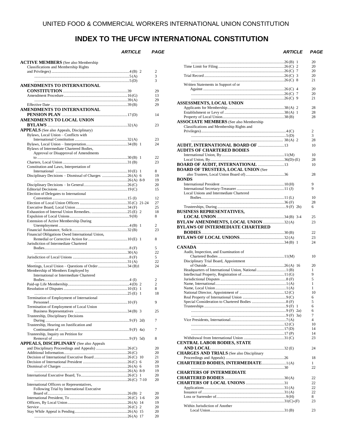## **INDEX TO THE UFCW INTERNATIONAL CONSTITUTION**

| <b>ACTIVE MEMBERS</b> (See also Membership      |  |                |
|-------------------------------------------------|--|----------------|
| <b>Classifications and Membership Rights</b>    |  |                |
|                                                 |  | 2              |
|                                                 |  | 3              |
| AMENDMENTS TO INTERNATIONAL                     |  | 3              |
|                                                 |  | 29             |
|                                                 |  | 13             |
|                                                 |  | 29             |
|                                                 |  | 29             |
| AMENDMENTS TO INTERNATIONAL                     |  |                |
|                                                 |  | 14             |
| <b>AMENDMENTS TO LOCAL UNION</b>                |  |                |
|                                                 |  | 23             |
| <b>APPEALS</b> (See also Appeals, Disciplinary) |  |                |
| Bylaws, Local Union - Conflicts with            |  |                |
|                                                 |  | 23<br>24       |
| Bylaws of Intermediate Chartered Bodies,        |  |                |
| Approval or Disapproval of Amendments           |  |                |
|                                                 |  | 22             |
|                                                 |  | 23             |
| Constitution and Laws, Interpretation of        |  |                |
|                                                 |  | 8<br>19        |
|                                                 |  | 19             |
|                                                 |  | 20             |
|                                                 |  | 15             |
| Election of Delegates to International          |  |                |
|                                                 |  | 12             |
|                                                 |  | 27             |
|                                                 |  | 25<br>18       |
|                                                 |  | 8              |
| <b>Extension of Active Membership During</b>    |  |                |
|                                                 |  | $\overline{2}$ |
|                                                 |  | 23             |
| Financial Obligations Owed International Union, |  |                |
| Jurisdiction of Intermediate Chartered          |  | 8              |
|                                                 |  | 5              |
|                                                 |  | 22             |
|                                                 |  | 5              |
|                                                 |  | 22             |
|                                                 |  | 24             |
| Membership of Members Employed by               |  |                |
| International or Intermediate Chartered         |  | 2              |
|                                                 |  | 2              |
|                                                 |  | 8              |
|                                                 |  | 18             |
| Termination of Employment of International      |  |                |
|                                                 |  | 9              |
| Termination of Employment of Local Union        |  | 25             |
| Trusteeship, Disciplinary Decisions             |  |                |
|                                                 |  | 7              |
| Trusteeship, Hearing on Justification and       |  |                |
|                                                 |  | 7              |
| Trusteeship, Inquiry on Petition for            |  |                |
| <b>APPEALS, DISCIPLINARY</b> (See also Appeals  |  | 8              |
|                                                 |  | 20             |
|                                                 |  | 20             |
|                                                 |  | 21             |
|                                                 |  | 20             |
|                                                 |  | 19             |
|                                                 |  | 19             |
|                                                 |  | 20<br>20       |
| International Officers or Representatives,      |  |                |
| Following Trial by International Executive      |  |                |
|                                                 |  | 20             |
|                                                 |  | 20             |
|                                                 |  | 19             |
|                                                 |  | 20             |
|                                                 |  | 20<br>20       |
|                                                 |  |                |

| <b>ARTICLE</b>         | PAGE           |                                                  | <b>ARTICLE</b> | PAGE |
|------------------------|----------------|--------------------------------------------------|----------------|------|
|                        |                |                                                  |                | 20   |
|                        |                |                                                  |                | 20   |
| 4(B) 2                 | 2              |                                                  |                | 20   |
| 5 $(A)$                | 3              |                                                  |                | 20   |
| 5(D)                   | 3              |                                                  |                | 21   |
|                        |                | Written Statements in Support of or              |                |      |
|                        |                |                                                  |                | 20   |
| 39                     | 29             |                                                  |                | 20   |
| $16(G)$                | 13             |                                                  |                | 21   |
| 39 $(A)$               | 29             | <b>ASSESSMENTS, LOCAL UNION</b>                  |                |      |
| 39 $(B)$               | 29             |                                                  |                | 28   |
|                        |                |                                                  |                | 28   |
| 17(D)                  | 14             |                                                  |                | 28   |
|                        |                |                                                  |                |      |
| 32 $(A)$               | 23             | <b>ASSOCIATE MEMBERS</b> (See also Membership    |                |      |
|                        |                | Classifications and Membership Rights and        |                |      |
|                        |                |                                                  |                | 2    |
|                        |                |                                                  |                | 3    |
| 32(A)                  | 23             |                                                  |                | 28   |
| $34(B)$ 1              | 24             | AUDIT, INTERNATIONAL BOARD OF  13                |                | 10   |
|                        |                | <b>AUDITS OF CHARTERED BODIES</b>                |                |      |
|                        |                |                                                  |                | 10   |
| $30(B)$ 1              | 22             |                                                  |                | 28   |
| $31(B)$                | 23             | <b>BOARD OF AUDIT, INTERNATIONAL  13</b>         |                | 10   |
|                        |                | <b>BOARD OF TRUSTEES, LOCAL UNION (See</b>       |                |      |
| 10 $(E)$ 1             | 8              |                                                  |                | 28   |
| 26(A) 6                | 19             |                                                  |                |      |
| $26(A)$ 8-9            | 19             | <b>BONDS</b>                                     |                |      |
| 26 $(C)$               | 20             |                                                  |                | 9    |
| 19 $(C)$               | 15             |                                                  |                | 9    |
|                        |                | Local Unions and Intermediate Chartered          |                |      |
| 15 $(I)$               | 12             |                                                  |                | 10   |
| $35(C)$ 21-24          | 27             |                                                  |                | 28   |
| $34$ (F)               | 25             |                                                  |                | 6    |
| $25(E)$ 2              | 18             | <b>BUSINESS REPRESENTATIVES,</b>                 |                |      |
| 9(H)                   | 8              |                                                  |                | 25   |
|                        |                | BYLAW AMENDMENTS, LOCAL UNION 32(A)              |                | 23   |
| 4(B) 1                 | $\overline{c}$ | <b>BYLAWS OF INTERMEDIATE CHARTERED</b>          |                |      |
| 32 $(B)$               | 23             |                                                  |                | 22   |
|                        |                |                                                  |                |      |
| 10 $(E)$ 1             | 8              |                                                  |                | 23   |
|                        |                |                                                  |                | 24   |
| $8(F)$                 | 5              | <b>CANADA</b>                                    |                |      |
| 30(A)                  | 22             | Audit, Inspection, and Examination of            |                |      |
| $8$ (F)                | 5              |                                                  |                | 10   |
| 31 $(A)$               | 22             | Disciplinary Trial Board, Appointment            |                |      |
| $34$ (B)1              | 24             |                                                  |                | 20   |
|                        |                |                                                  |                | 1    |
|                        |                |                                                  |                | 9    |
| 4 $(I)$                | 2              |                                                  |                | 5    |
| 4(D) 2                 | 2              |                                                  |                | 1    |
| $10(E)$ 1              | 8              |                                                  |                | 1    |
| 25 (E) 1               | 18             |                                                  |                | 10   |
|                        |                |                                                  |                | 6    |
| 10 $(F)$               | 9              |                                                  |                | 5    |
|                        |                |                                                  |                | 6    |
| 34(B) 3                | 25             |                                                  |                | 6    |
|                        |                |                                                  |                | 7    |
| $9(F)$ 2d)             | 7              |                                                  |                | 4    |
|                        |                |                                                  |                | 10   |
| 9 (F) 4a)              | 7              |                                                  |                | 14   |
|                        |                |                                                  |                | 14   |
| $9(F)$ 5d)             | 8              |                                                  |                | 23   |
|                        |                | <b>CENTRAL LABOR BODIES, STATE</b>               |                |      |
| 26(C)                  | 20             |                                                  |                | 24   |
| 26(C)                  | 20             | <b>CHARGES AND TRIALS</b> (See also Disciplinary |                |      |
| 26(C) 10               | 21             |                                                  |                | 18   |
| 26(C) 6                | 20             |                                                  |                |      |
| 26(A) 6                | 19             |                                                  |                | 1    |
| $26(A)$ 8-9            | 19             |                                                  |                | 22   |
| 26(C) 1                | 20             | <b>CHARTERS OF INTERMEDIATE</b>                  |                |      |
| 26(C) 7-10             | 20             |                                                  |                | 22   |
|                        |                |                                                  |                | 22   |
|                        |                |                                                  |                | 22   |
|                        | 20             |                                                  |                | 22   |
| 26(B) 2<br>$26(C)$ 1-6 | 20             |                                                  |                | 8    |
|                        |                |                                                  |                | 23   |
| 26(A) 14               | 19<br>20       | Within Jurisdiction of Another                   |                |      |
| 26(C) 2                | 20             |                                                  |                | 23   |
| $26(A)$ 15             |                |                                                  |                |      |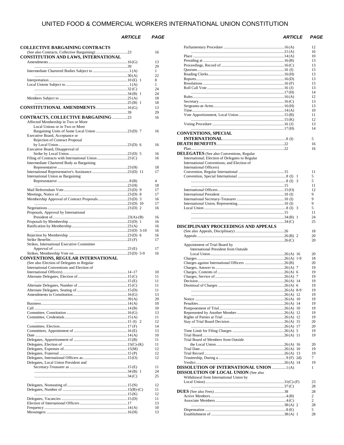|                                                                                         | <b>ARTICLE</b> | PAGE           |
|-----------------------------------------------------------------------------------------|----------------|----------------|
| <b>COLLECTIVE BARGAINING CONTRACTS</b>                                                  |                |                |
|                                                                                         |                | 16             |
| CONSTITUTION AND LAWS, INTERNATIONAL                                                    |                |                |
|                                                                                         |                | 13             |
|                                                                                         |                | 29<br>1        |
|                                                                                         |                | 22             |
|                                                                                         |                | 8              |
|                                                                                         |                | 1              |
|                                                                                         |                | 24<br>24       |
|                                                                                         |                | 18             |
|                                                                                         |                | 18             |
|                                                                                         |                | 13             |
| <b>CONTRACTS, COLLECTIVE BARGAINING 23</b>                                              |                | 29             |
| Affected Membership in Two or More<br>Local Unions or in Two or More                    |                | 16             |
|                                                                                         |                | 16             |
| Executive Board, Acceptance or                                                          |                |                |
| Rejection of Contract Proposal                                                          |                |                |
| Executive Board, Disapproval of                                                         |                | 16             |
|                                                                                         |                | 16             |
|                                                                                         |                | 16             |
| Intermediate Chartered Body as Bargaining                                               |                |                |
|                                                                                         |                | 18             |
|                                                                                         |                | 17             |
| International Union as Bargaining                                                       |                | $\overline{4}$ |
|                                                                                         |                | 18             |
|                                                                                         |                | 17             |
|                                                                                         |                | 17             |
|                                                                                         |                | 16             |
|                                                                                         |                | 17<br>16       |
| Proposals, Approval by International                                                    |                |                |
|                                                                                         |                | 16             |
|                                                                                         |                | 16             |
|                                                                                         |                | 16             |
|                                                                                         |                | 16             |
|                                                                                         |                | 16<br>17       |
| Strikes, International Executive Committee                                              |                |                |
|                                                                                         |                | 17             |
|                                                                                         |                | 16             |
| <b>CONVENTIONS, REGULAR INTERNATIONAL</b>                                               |                |                |
| (See also Election of Delegates to Regular<br>International Conventions and Election of |                |                |
|                                                                                         |                | 10             |
|                                                                                         |                | 11             |
|                                                                                         |                | 11             |
|                                                                                         |                | 11             |
|                                                                                         |                | 11<br>13       |
|                                                                                         |                | 29             |
|                                                                                         |                | 10             |
|                                                                                         |                | 10             |
|                                                                                         |                | 13<br>11       |
|                                                                                         |                | 12             |
|                                                                                         |                | 14             |
|                                                                                         |                | 13             |
|                                                                                         |                | 10             |
|                                                                                         |                | 11             |
|                                                                                         |                | 11<br>12       |
|                                                                                         |                | 12             |
|                                                                                         |                | 12             |
| Delegates, Local Union President and                                                    |                |                |
|                                                                                         |                | 11             |
|                                                                                         |                | 24<br>25       |
|                                                                                         |                |                |
|                                                                                         |                | 12             |
|                                                                                         |                | 11             |
|                                                                                         |                | 12             |
|                                                                                         |                | 11<br>13       |
|                                                                                         |                | 10             |
|                                                                                         |                | 13             |

|                                                 |    | 16       |
|-------------------------------------------------|----|----------|
|                                                 |    | 10<br>13 |
|                                                 |    | 13       |
|                                                 |    | 13       |
|                                                 |    | 13       |
|                                                 |    | 13       |
|                                                 |    | 13       |
|                                                 |    | 13       |
|                                                 |    | 14<br>12 |
|                                                 |    | 13       |
|                                                 |    | 13       |
|                                                 |    | 10       |
|                                                 |    | 11       |
|                                                 |    | 12       |
|                                                 |    | 13<br>14 |
| <b>CONVENTIONS, SPECIAL</b>                     |    |          |
|                                                 |    |          |
|                                                 |    | 5        |
|                                                 |    | 16<br>16 |
| <b>DELEGATES</b> (See also Conventions, Regular |    |          |
| International; Election of Delegates to Regular |    |          |
| International Conventions; and Election of      |    |          |
| International Officers)                         |    |          |
|                                                 |    | 11       |
|                                                 | -1 | 5        |
|                                                 |    | 5        |
|                                                 |    | 11<br>12 |
|                                                 |    | 9.       |
|                                                 |    | 9        |
|                                                 |    | 9        |
|                                                 | -3 | 5        |
|                                                 |    | 11       |
|                                                 |    | 24       |
|                                                 |    | 25       |
| DISCIPLINARY PROCEEDINGS AND APPEALS            |    |          |
|                                                 |    | 18<br>20 |
|                                                 |    | 20       |
| Appointment of Trial Board by                   |    |          |
| <b>International President from Outside</b>     |    |          |
|                                                 |    | 20       |
|                                                 |    | 18       |
|                                                 |    | 20       |
|                                                 |    | 19<br>19 |
|                                                 |    |          |
|                                                 |    |          |
|                                                 |    | 19<br>19 |
|                                                 |    | 19       |
|                                                 |    | 19       |
|                                                 |    | 19       |
|                                                 |    | 19       |
|                                                 |    | 19       |
|                                                 |    | 19       |
|                                                 |    | 19       |
|                                                 |    | 19       |
|                                                 |    | 20<br>20 |
|                                                 |    | 19       |
|                                                 |    | 19       |
| Trial Board of Members from Outside             |    |          |
|                                                 |    | 20       |
|                                                 |    | 19       |
|                                                 |    | 19       |
|                                                 |    | 7        |
|                                                 |    | 19       |
| <b>DISSOLUTION OF INTERNATIONAL UNION 1(A)</b>  |    | 1        |
| <b>DISSOLUTION OF LOCAL UNION (See also</b>     |    |          |
| Withdrawal from International Union by          |    | 23       |
|                                                 |    | 28       |
|                                                 |    | 28       |
|                                                 |    | 2        |
|                                                 |    | 2        |
|                                                 |    | 28       |
|                                                 |    | 5<br>28  |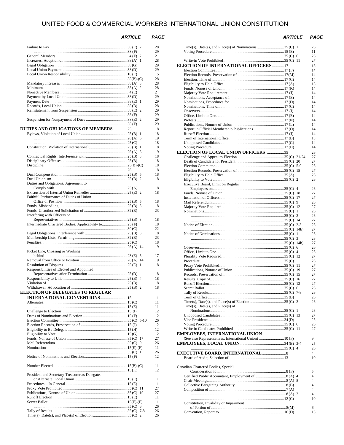|                                                       | <i><b>ARTICLE</b></i> | PAGE     |
|-------------------------------------------------------|-----------------------|----------|
|                                                       |                       |          |
|                                                       |                       | 28       |
|                                                       |                       | 29<br>2  |
|                                                       |                       | 28       |
|                                                       |                       | 29       |
|                                                       |                       | 29       |
|                                                       |                       | 15       |
|                                                       |                       | 28       |
|                                                       |                       | 28<br>28 |
|                                                       |                       | 2        |
|                                                       |                       | 29       |
|                                                       |                       | 29       |
|                                                       |                       | 28<br>29 |
|                                                       |                       | 29       |
|                                                       |                       | 29       |
|                                                       |                       | 29       |
| <b>DUTIES AND OBLIGATIONS OF MEMBERS 25</b>           |                       | 18       |
|                                                       |                       | 18       |
|                                                       |                       | 19<br>18 |
|                                                       |                       | 18       |
|                                                       |                       | 19       |
|                                                       |                       | 18       |
|                                                       |                       | 18       |
|                                                       |                       | 18<br>18 |
|                                                       |                       | 18       |
|                                                       |                       | 18       |
| Duties and Obligations, Agreement to                  |                       |          |
|                                                       |                       | 18       |
| Faithful Performance of Duties of Union               |                       | 18       |
|                                                       |                       | 18       |
|                                                       |                       | 18       |
|                                                       |                       | 23       |
| Interfering with Officers or                          |                       |          |
| Intermediate Chartered Bodies, Applicability to25 (F) |                       | 18<br>18 |
|                                                       |                       | 22       |
|                                                       |                       | 18       |
|                                                       |                       | 23       |
|                                                       |                       | 18       |
| Picket Line, Crossing or Working                      |                       | 19       |
|                                                       |                       | 17       |
|                                                       |                       | 19       |
|                                                       |                       | 18       |
| Responsibilities of Elected and Appointed             |                       | 18       |
|                                                       |                       | 18       |
|                                                       |                       | 18       |
|                                                       |                       | 18       |
| <b>ELECTION OF DELEGATES TO REGULAR</b>               |                       |          |
| <b>INTERNATIONAL CONVENTIONS15</b>                    |                       | 11       |
|                                                       |                       | 11<br>11 |
|                                                       |                       | 12       |
|                                                       |                       | 12       |
|                                                       |                       | 26       |
|                                                       |                       | 12       |
|                                                       |                       | 12<br>12 |
|                                                       |                       | 27       |
|                                                       |                       | 26       |
|                                                       |                       | 11       |
|                                                       |                       | 26       |
|                                                       |                       | 12       |
|                                                       |                       | 11<br>12 |
| President and Secretary-Treasurer as Delegates        |                       |          |
|                                                       |                       | 11       |
|                                                       |                       | 11       |
|                                                       |                       | 27<br>27 |
|                                                       |                       | 11       |
|                                                       |                       | 11       |
|                                                       |                       | 26       |
|                                                       |                       | 26       |
|                                                       |                       | 26       |

| <b>ELECTION OF INTERNATIONAL OFFICERS  17</b>           |  |  |
|---------------------------------------------------------|--|--|
|                                                         |  |  |
|                                                         |  |  |
|                                                         |  |  |
|                                                         |  |  |
|                                                         |  |  |
|                                                         |  |  |
|                                                         |  |  |
|                                                         |  |  |
|                                                         |  |  |
|                                                         |  |  |
|                                                         |  |  |
|                                                         |  |  |
|                                                         |  |  |
|                                                         |  |  |
|                                                         |  |  |
|                                                         |  |  |
|                                                         |  |  |
|                                                         |  |  |
|                                                         |  |  |
|                                                         |  |  |
|                                                         |  |  |
| <b>ELECTION OF LOCAL UNION OFFICERS 35</b>              |  |  |
|                                                         |  |  |
|                                                         |  |  |
|                                                         |  |  |
|                                                         |  |  |
|                                                         |  |  |
|                                                         |  |  |
|                                                         |  |  |
| Executive Board, Limit on Regular                       |  |  |
|                                                         |  |  |
|                                                         |  |  |
|                                                         |  |  |
|                                                         |  |  |
|                                                         |  |  |
|                                                         |  |  |
|                                                         |  |  |
|                                                         |  |  |
|                                                         |  |  |
|                                                         |  |  |
|                                                         |  |  |
|                                                         |  |  |
|                                                         |  |  |
|                                                         |  |  |
|                                                         |  |  |
|                                                         |  |  |
|                                                         |  |  |
|                                                         |  |  |
|                                                         |  |  |
|                                                         |  |  |
|                                                         |  |  |
|                                                         |  |  |
|                                                         |  |  |
|                                                         |  |  |
|                                                         |  |  |
|                                                         |  |  |
|                                                         |  |  |
|                                                         |  |  |
|                                                         |  |  |
| $Time(s)$ , Date(s), and Place(s) of                    |  |  |
|                                                         |  |  |
|                                                         |  |  |
|                                                         |  |  |
|                                                         |  |  |
|                                                         |  |  |
| <b>EMPLOYEES, INTERNATIONAL UNION</b>                   |  |  |
|                                                         |  |  |
| (See also Representatives, International Union)  10 (F) |  |  |
|                                                         |  |  |
|                                                         |  |  |
| <b>EXECUTIVE BOARD, INTERNATIONAL</b> 8                 |  |  |
|                                                         |  |  |
|                                                         |  |  |
|                                                         |  |  |
| Canadian Chartered Bodies, Special                      |  |  |
|                                                         |  |  |
|                                                         |  |  |
|                                                         |  |  |
|                                                         |  |  |
|                                                         |  |  |
|                                                         |  |  |
|                                                         |  |  |
|                                                         |  |  |
| Constitution, Invalidity or Impairment                  |  |  |
|                                                         |  |  |
|                                                         |  |  |
|                                                         |  |  |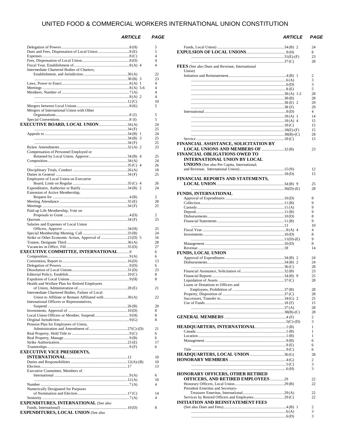|                                                    | <b>ARTICLE</b> | PAGE           |
|----------------------------------------------------|----------------|----------------|
|                                                    |                | 5              |
|                                                    |                | 5              |
|                                                    |                | 4              |
|                                                    |                | 4              |
|                                                    |                | $\overline{4}$ |
| Intermediate Chartered Bodies of Charters,         |                |                |
|                                                    |                |                |
|                                                    |                | 22<br>23       |
|                                                    |                | 4              |
|                                                    |                | $\overline{4}$ |
|                                                    |                | 4              |
|                                                    |                | $\overline{4}$ |
|                                                    |                | 10             |
|                                                    |                |                |
|                                                    |                | 5              |
| Mergers of International Union with Other          |                |                |
|                                                    |                | 5              |
|                                                    |                | 5              |
| <b>EXECUTIVE BOARD, LOCAL UNION 34(A)</b>          |                | 24             |
|                                                    |                | 25             |
|                                                    |                | 24             |
|                                                    |                | 25             |
|                                                    |                | 25             |
|                                                    |                | 23             |
| Compensation of Personnel Employed or              |                |                |
|                                                    |                | 25             |
|                                                    |                | 24             |
|                                                    |                | 26             |
|                                                    |                | 18             |
|                                                    |                | 25             |
| Employees of Local Union on Executive              |                |                |
|                                                    |                | 26             |
|                                                    |                | 24             |
| Extension of Active Membership,                    |                |                |
|                                                    |                | 2              |
|                                                    |                | 28             |
|                                                    |                | 25             |
| Paid-up Life Membership, Vote on                   |                |                |
|                                                    |                | 2              |
|                                                    |                | 25             |
| Salaries and Expenses of Local Union               |                |                |
|                                                    |                | 25             |
|                                                    |                | 24             |
|                                                    |                | 16             |
|                                                    |                | 28             |
|                                                    |                | 27             |
| <b>EXECUTIVE COMMITTEE, INTERNATIONAL 9</b>        |                | 6              |
|                                                    |                | 6              |
|                                                    |                | 13             |
|                                                    |                | 6              |
|                                                    |                | 23             |
|                                                    |                | 8              |
|                                                    |                | 8              |
| Health and Welfare Plan for Retired Employees      |                |                |
|                                                    |                | 21             |
| Intermediate Chartered Bodies, Failure of Local    |                |                |
| Union to Affiliate or Remain Affiliated with 30(A) |                | 22             |
| International Officers or Representatives,         |                |                |
|                                                    |                |                |
|                                                    |                | 20             |
|                                                    |                | 8              |
|                                                    |                | 8              |
|                                                    |                | 8              |
| Pension Plan for Employees of Union,               |                |                |
|                                                    |                | 21             |
|                                                    |                | 6              |
|                                                    |                | 6              |
|                                                    |                | 17             |
|                                                    |                | 6              |
| <b>EXECUTIVE VICE PRESIDENTS,</b>                  |                |                |
|                                                    |                | 10             |
|                                                    |                | 10             |
|                                                    |                | 13             |
| Executive Committee, Members of                    |                |                |
|                                                    |                | 6              |
|                                                    |                | 10             |
|                                                    |                | 4              |
| Numerically Designated for Purposes                |                |                |
|                                                    |                | 14             |
|                                                    |                | 4              |
| <b>EXPENDITURES, INTERNATIONAL (See also</b>       |                |                |
|                                                    |                | 8              |
| <b>EXPENDITURES, LOCAL UNION (See also</b>         |                |                |
|                                                    |                |                |

|                                                                                           | 24<br>8        |
|-------------------------------------------------------------------------------------------|----------------|
|                                                                                           | 23             |
|                                                                                           | 28             |
| <b>FEES</b> (See also Dues and Revenue, International                                     |                |
| Union)                                                                                    | 2              |
|                                                                                           | 3              |
|                                                                                           | 3              |
|                                                                                           | 5              |
|                                                                                           | 28             |
|                                                                                           | 28<br>29       |
|                                                                                           | 29             |
|                                                                                           | $\overline{4}$ |
|                                                                                           | 14             |
|                                                                                           | 15             |
|                                                                                           | 15             |
|                                                                                           | 15             |
|                                                                                           | 28<br>15       |
| FINANCIAL ASSISTANCE, SOLICITATION BY                                                     |                |
| LOCAL UNIONS AND MEMBERS OF 32(B)                                                         | 23             |
| FINANCIAL OBLIGATIONS OWED TO                                                             |                |
| <b>INTERNATIONAL UNION BY LOCAL</b><br><b>UNIONS</b> (See also Per Capita, International; |                |
|                                                                                           | 12             |
|                                                                                           | 15             |
| FINANCIAL REPORTS AND STATEMENTS,                                                         |                |
|                                                                                           | 25             |
|                                                                                           | 28             |
| <b>FUNDS, INTERNATIONAL</b>                                                               | 8              |
|                                                                                           | 9              |
|                                                                                           | 9              |
|                                                                                           | 9              |
|                                                                                           | 8              |
|                                                                                           | 9              |
|                                                                                           | 10             |
|                                                                                           | 4              |
|                                                                                           | 8<br>9         |
|                                                                                           | 8              |
|                                                                                           | 14             |
| <b>FUNDS, LOCAL UNION</b>                                                                 |                |
|                                                                                           | 24             |
|                                                                                           | 24<br>28       |
|                                                                                           | 23             |
|                                                                                           | 25             |
|                                                                                           | 28             |
| Loans or Donations to Officers and                                                        |                |
|                                                                                           | 28             |
|                                                                                           | 28             |
|                                                                                           | 25<br>15       |
|                                                                                           | 28             |
|                                                                                           | 28             |
|                                                                                           | 2              |
|                                                                                           | 3              |
|                                                                                           | $\mathbf{1}$   |
|                                                                                           | 1              |
|                                                                                           | 1              |
|                                                                                           | 6              |
|                                                                                           | 6              |
|                                                                                           | 6              |
|                                                                                           | 28             |
|                                                                                           | 2              |
|                                                                                           | 3<br>3         |
| HONORARY OFFICERS, OTHER RETIRED                                                          |                |
| <b>OFFICERS, AND RETIRED EMPLOYEES29</b>                                                  | 22             |
|                                                                                           | 22             |
| President Emeritus and Secretary-                                                         |                |
|                                                                                           | 22<br>22       |
| INITIATION AND REINSTATEMENT FEES                                                         |                |
|                                                                                           | 2              |
|                                                                                           | 3              |
|                                                                                           | 3              |
|                                                                                           |                |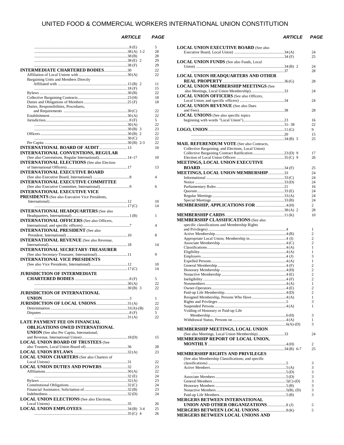#### *ARTICLE PAGE ARTICLE PAGE*

|                                                        | 5              |
|--------------------------------------------------------|----------------|
|                                                        | 28             |
|                                                        | 28             |
|                                                        | 29             |
|                                                        | 29             |
| <b>INTERMEDIATE CHARTERED BODIES30</b>                 | 22             |
|                                                        | 22             |
| Bargaining Units and Members Directly                  |                |
|                                                        | 11             |
|                                                        | 15             |
|                                                        | 22             |
|                                                        | 18             |
|                                                        | 18             |
| Duties, Responsibilities, Procedures,                  |                |
|                                                        | 22             |
|                                                        | 22             |
|                                                        | 5              |
|                                                        | 22             |
|                                                        | 23             |
|                                                        | 22             |
|                                                        | 22             |
|                                                        | 22             |
|                                                        | 10             |
| INTERNATIONAL CONVENTIONS, REGULAR                     |                |
| (See also Conventions, Regular International) 14-17    | 10             |
| <b>INTERNATIONAL ELECTIONS</b> (See also Election      |                |
|                                                        | 13             |
| <b>INTERNATIONAL EXECUTIVE BOARD</b>                   |                |
|                                                        | $\overline{4}$ |
| INTERNATIONAL EXECUTIVE COMMITTEE                      |                |
|                                                        | 6              |
| INTERNATIONAL EXECUTIVE VICE                           |                |
| <b>PRESIDENTS</b> (See also Executive Vice Presidents, |                |
|                                                        |                |
|                                                        | 10<br>14       |
|                                                        |                |
| <b>INTERNATIONAL HEADQUARTERS</b> (See also            |                |
|                                                        | 1              |
| <b>INTERNATIONAL OFFICERS</b> (See also Officers,      |                |
|                                                        | $\overline{4}$ |
| <b>INTERNATIONAL PRESIDENT</b> (See also               |                |
|                                                        | 8              |
| <b>INTERNATIONAL REVENUE</b> (See also Revenue,        |                |
|                                                        | 14             |
| <b>INTERNATIONAL SECRETARY-TREASURER</b>               |                |
| (See also Secretary-Treasurer, International)11        | 9              |
| <b>INTERNATIONAL VICE PRESIDENTS</b>                   |                |
|                                                        | 10             |
|                                                        | 14             |
| <b>JURISDICTION OF INTERMEDIATE</b>                    |                |
|                                                        | 5              |
|                                                        | 22             |
|                                                        | 22             |
| <b>JURISDICTION OF INTERNATIONAL</b>                   |                |
|                                                        | 1              |
| <b>JURISDICTION OF LOCAL UNIONS31(A)</b>               | 22             |
|                                                        | 22             |
|                                                        | 5              |
|                                                        | 22             |
| LATE PAYMENT FEE ON FINANCIAL                          |                |
|                                                        |                |
| <b>OBLIGATIONS OWED INTERNATIONAL</b>                  |                |
| <b>UNION</b> (See also Per Capita, International;      |                |
|                                                        | 15             |
| <b>LOCAL UNION BOARD OF TRUSTEES (See</b>              |                |
|                                                        | 28             |
|                                                        | 23             |
| <b>LOCAL UNION CHARTERS</b> (See also Charters of      |                |
|                                                        | 22             |
| <b>LOCAL UNION DUTIES AND POWERS 32</b>                | 23             |
|                                                        | 22             |
|                                                        | 24             |
|                                                        | 23             |
|                                                        | 24             |
|                                                        | 23             |
|                                                        | 24             |
| <b>LOCAL UNION ELECTIONS</b> (See also Elections,      |                |
|                                                        | 26             |
|                                                        | 25             |
|                                                        | 26             |
|                                                        |                |

| <b>LOCAL UNION EXECUTIVE BOARD</b> (See also       |                |
|----------------------------------------------------|----------------|
|                                                    | 24             |
|                                                    | 25             |
| <b>LOCAL UNION FUNDS</b> (See also Funds, Local    |                |
|                                                    | 24             |
|                                                    | 28             |
| <b>LOCAL UNION HEADQUARTERS AND OTHER</b>          |                |
|                                                    |                |
|                                                    | 28             |
| <b>LOCAL UNION MEMBERSHIP MEETINGS (See</b>        |                |
| also Meetings, Local Union Membership)33           | 24             |
| <b>LOCAL UNION OFFICERS</b> (See also Officers,    |                |
|                                                    | 24             |
| <b>LOCAL UNION REVENUE</b> (See also Dues          |                |
|                                                    | 28             |
| <b>LOCAL UNIONS</b> (See also specific topics      |                |
|                                                    | 16             |
|                                                    | 22             |
|                                                    | 9              |
|                                                    | 15             |
|                                                    | 25             |
|                                                    |                |
| <b>MAIL REFERENDUM VOTE</b> (See also Contracts,   |                |
| Collective Bargaining; and Elections, Local Union) |                |
|                                                    | 17             |
|                                                    | 26             |
| <b>MEETINGS, LOCAL UNION EXECUTIVE</b>             |                |
|                                                    | 25             |
| MEETINGS, LOCAL UNION MEMBERSHIP33                 | 24             |
|                                                    | 24             |
|                                                    | 24             |
|                                                    | 16             |
|                                                    | 24             |
|                                                    | 24             |
|                                                    | 24             |
|                                                    | $\overline{c}$ |
|                                                    | 28             |
|                                                    | 10             |
|                                                    |                |
| <b>MEMBERSHIP CLASSIFICATIONS</b> (See also        |                |
| specific classifications and Membership Rights     |                |
|                                                    | 1              |
|                                                    | 2              |
|                                                    | 2              |
|                                                    | 2              |
|                                                    | 1              |
|                                                    | 1              |
|                                                    | 3              |
|                                                    | 1              |
|                                                    | $\overline{c}$ |
|                                                    | $\overline{2}$ |
|                                                    | $\overline{c}$ |
|                                                    | $\overline{c}$ |
|                                                    | 1              |
|                                                    | $\overline{c}$ |
|                                                    | 2              |
|                                                    | 1              |
|                                                    | 3              |
|                                                    | 1              |
| Voiding of Honorary or Paid-up Life                |                |
|                                                    | 3              |
|                                                    | 1              |
|                                                    | 3              |
| <b>MEMBERSHIP MEETINGS, LOCAL UNION</b>            |                |
| (See also Meetings, Local Union Membership)33      | 24             |
| MEMBERSHIP REPORT OF LOCAL UNION,                  |                |
|                                                    | 2              |
|                                                    | 25             |
| MEMBERSHIP RIGHTS AND PRIVILEGES                   |                |
| (See also Membership Classifications; and specific |                |
|                                                    | 3              |
|                                                    | 3              |
|                                                    | 3              |
|                                                    | 3              |
|                                                    | 3              |
|                                                    | 3              |
|                                                    | 3              |
|                                                    | 3              |
|                                                    |                |
| MERGERS BETWEEN INTERNATIONAL                      |                |
|                                                    | 5              |
|                                                    | 5              |
| MERGERS BETWEEN LOCAL UNIONS AND                   |                |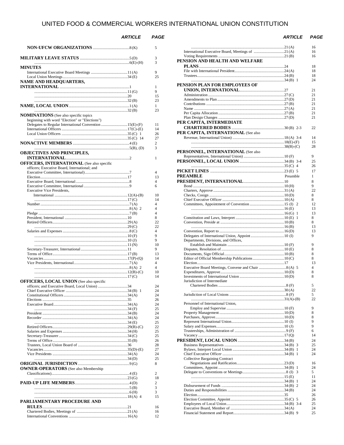|                                                                                                    | <b>ARTICLE</b> | PAGE                 |
|----------------------------------------------------------------------------------------------------|----------------|----------------------|
|                                                                                                    |                | 5                    |
|                                                                                                    |                | 3                    |
|                                                                                                    |                | 3                    |
| <b>MINUTES</b>                                                                                     |                | 9                    |
|                                                                                                    |                | 25                   |
| <b>NAME AND HEADQUARTERS,</b>                                                                      |                |                      |
|                                                                                                    |                | 1                    |
|                                                                                                    |                | 9<br>15              |
|                                                                                                    |                | 23                   |
|                                                                                                    |                | 1                    |
|                                                                                                    |                | 23                   |
| <b>NOMINATIONS</b> (See also specific topics<br>beginning with word "Election" or "Elections")     |                |                      |
| Delegates to Regular International Convention  15(E)-(F)                                           |                | 11                   |
|                                                                                                    |                | 14                   |
|                                                                                                    |                | 26<br>27             |
|                                                                                                    |                | $\overline{c}$       |
|                                                                                                    |                | 3                    |
| <b>OBJECTIVES AND PRINCIPLES,</b>                                                                  |                |                      |
|                                                                                                    |                | 1                    |
| <b>OFFICERS, INTERNATIONAL</b> (See also specific<br>officers; Executive Board, International; and |                |                      |
|                                                                                                    |                | 4                    |
|                                                                                                    |                | 13                   |
|                                                                                                    |                | 4<br>6               |
| <b>Executive Vice Presidents.</b>                                                                  |                |                      |
|                                                                                                    |                | 10                   |
|                                                                                                    |                | 14<br>4              |
|                                                                                                    |                | 4                    |
|                                                                                                    |                | $\overline{4}$       |
|                                                                                                    |                | 8<br>22              |
|                                                                                                    |                | 22                   |
|                                                                                                    |                | 4                    |
|                                                                                                    |                | 9<br>9               |
|                                                                                                    |                | 10                   |
|                                                                                                    |                | 9                    |
|                                                                                                    |                | 13                   |
|                                                                                                    |                | 14<br>$\overline{4}$ |
|                                                                                                    |                | 4                    |
|                                                                                                    |                | 10                   |
| <b>OFFICERS, LOCAL UNION</b> (See also specific                                                    |                | 14                   |
| officers; and Executive Board, Local Union) 34                                                     |                | 24                   |
|                                                                                                    |                | 24                   |
|                                                                                                    |                | 24<br>26             |
|                                                                                                    |                | 24                   |
|                                                                                                    |                | 25                   |
|                                                                                                    |                | 24<br>24             |
|                                                                                                    |                | 25                   |
|                                                                                                    |                | 22                   |
|                                                                                                    |                | 25<br>25             |
|                                                                                                    |                | 26                   |
|                                                                                                    |                | 28                   |
|                                                                                                    |                | 27<br>24             |
|                                                                                                    |                | 25                   |
|                                                                                                    |                | 8                    |
| <b>OWNER-OPERATORS</b> (See also Membership                                                        |                |                      |
|                                                                                                    |                | 2<br>18              |
|                                                                                                    |                | 2                    |
|                                                                                                    |                | 3                    |
|                                                                                                    |                | 3                    |
| PARLIAMENTARY PROCEDURE AND                                                                        |                | 15                   |
|                                                                                                    |                | 16                   |
|                                                                                                    |                | 16                   |
|                                                                                                    |                | 12                   |

|                                                  | <b>ARTICLE</b> | PAGE     |
|--------------------------------------------------|----------------|----------|
|                                                  |                | 16       |
| International Executive Board, Meetings of 21(A) |                | 16       |
| PENSION AND HEALTH AND WELFARE                   |                | 16       |
|                                                  |                | 18       |
|                                                  |                | 18       |
|                                                  |                | 18       |
|                                                  |                | 24       |
| PENSION PLAN FOR EMPLOYEES OF                    |                |          |
|                                                  |                | 21       |
|                                                  |                | 21<br>21 |
|                                                  |                | 21       |
|                                                  |                | 21       |
|                                                  |                | 21       |
|                                                  |                | 21       |
| PER CAPITA, INTERMEDIATE                         |                |          |
|                                                  |                | 22       |
| PER CAPITA, INTERNATIONAL (See also              |                | 14       |
|                                                  |                | 15       |
|                                                  |                | 28       |
| PERSONNEL, INTERNATIONAL (See also               |                |          |
|                                                  |                | 9        |
|                                                  |                | 25       |
|                                                  |                | 26       |
|                                                  |                | 17       |
| PREAMBLE                                         | Preamble       | 1        |
|                                                  |                | 8        |
|                                                  |                | 9        |
|                                                  |                | 22       |
|                                                  |                | 8<br>8   |
|                                                  |                | 12       |
|                                                  |                | 13       |
|                                                  |                | 13       |
|                                                  |                | 8        |
|                                                  |                | 8        |
|                                                  |                | 13       |
|                                                  |                | 13<br>9  |
| Departments, Divisions, and Offices,             |                |          |
|                                                  |                | 9        |
|                                                  |                | 8        |
|                                                  |                | 8        |
|                                                  |                | 8        |
|                                                  |                | 13<br>4  |
|                                                  |                | 8        |
|                                                  |                | 8        |
| Jurisdiction of Intermediate                     |                |          |
|                                                  |                | 5        |
|                                                  |                | 22       |
|                                                  |                | 5<br>22  |
| Personnel of International Union,                |                |          |
|                                                  |                | 9        |
|                                                  |                | 8        |
|                                                  |                | 8        |
|                                                  |                | 9        |
|                                                  |                | 9        |
|                                                  |                | 6<br>14  |
|                                                  |                | 24       |
|                                                  |                | 25       |
|                                                  |                | 24       |
|                                                  |                | 24       |
| <b>Collective Bargaining Contract</b>            |                |          |
|                                                  |                | 16       |
|                                                  |                | 24<br>5  |
|                                                  |                | 11       |
|                                                  |                | 24       |
|                                                  |                | 24       |
|                                                  |                | 24       |
|                                                  |                | 26       |
|                                                  |                | 26       |
|                                                  |                | 25       |
|                                                  |                | 24<br>25 |
|                                                  |                |          |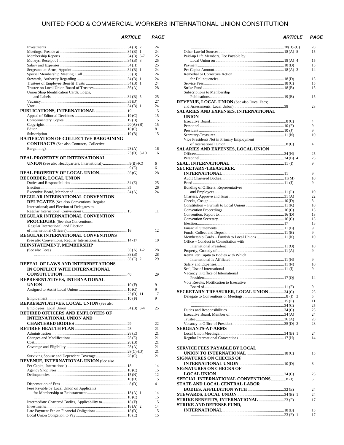#### RS INTERNATIONAL UNION CONSTITUTION:

|                                                     | <b>ARTICLE</b> | <b>PAGE</b> |                                                   | <b>ARTICLE</b> | <b>PAGE</b>    |
|-----------------------------------------------------|----------------|-------------|---------------------------------------------------|----------------|----------------|
|                                                     |                | 24          |                                                   |                | 28             |
|                                                     |                | 24          |                                                   |                | 15             |
|                                                     |                | 25          | Paid-up Life Members, Fee Payable by              |                |                |
|                                                     |                | 25          |                                                   |                | 15             |
|                                                     |                | 25          |                                                   |                | 15             |
|                                                     |                | 24          |                                                   |                | 14             |
|                                                     |                | 24          | Remedial or Corrective Action                     |                |                |
|                                                     |                | 24          |                                                   |                | 15             |
|                                                     |                | 24          |                                                   |                | 15             |
|                                                     |                | 28          |                                                   |                | 15             |
| Union Shop Identification Cards, Logos,             |                |             | Subscriptions to Membership                       |                |                |
|                                                     |                | 25          |                                                   |                | 15             |
|                                                     |                | 27          | <b>REVENUE, LOCAL UNION</b> (See also Dues; Fees; |                |                |
|                                                     |                | 24          |                                                   |                | 28             |
|                                                     |                | 15          | SALARIES AND EXPENSES, INTERNATIONAL              |                |                |
|                                                     |                | 15          | <b>UNION</b>                                      |                |                |
|                                                     |                | 15          |                                                   |                | $\overline{4}$ |
|                                                     |                | 15          |                                                   |                | 9              |
|                                                     |                | 8           |                                                   |                | 9              |
|                                                     |                | 15          |                                                   |                | 10             |
| RATIFICATION OF COLLECTIVE BARGAINING               |                |             | Vice Presidents Not in Primary Employment         |                |                |
| <b>CONTRACTS</b> (See also Contracts, Collective    |                |             |                                                   |                | 4              |
|                                                     |                | 16          | <b>SALARIES AND EXPENSES, LOCAL UNION</b>         |                |                |
|                                                     |                | 16          |                                                   |                |                |
| <b>REAL PROPERTY OF INTERNATIONAL</b>               |                |             |                                                   |                | 25<br>25       |
|                                                     |                |             |                                                   |                |                |
|                                                     |                | 6           |                                                   |                | 9              |
|                                                     |                | 6           | <b>SECRETARY-TREASURER,</b>                       |                |                |
| <b>REAL PROPERTY OF LOCAL UNION36(G)</b>            |                | 28          |                                                   |                | 9              |
| <b>RECORDER, LOCAL UNION</b>                        |                |             |                                                   |                | 10             |
|                                                     |                | 25          |                                                   |                | 9              |
|                                                     |                | 26          | Bonding of Officers, Representatives              |                |                |
|                                                     |                | 24          |                                                   |                | 10             |
| <b>REGULAR INTERNATIONAL CONVENTION</b>             |                |             |                                                   |                | 22             |
| <b>DELEGATES</b> (See also Conventions, Regular     |                |             |                                                   |                | 8              |
| International; and Election of Delegates to         |                |             |                                                   |                | 10             |
|                                                     |                | 11          |                                                   |                | 13             |
| <b>REGULAR INTERNATIONAL CONVENTION</b>             |                |             |                                                   |                | 13             |
| <b>PROCEDURE</b> (See also Conventions,             |                |             |                                                   |                | 13             |
| Regular International; and Election                 |                |             |                                                   |                | 13             |
|                                                     |                | 12          |                                                   |                | 9              |
| <b>REGULAR INTERNATIONAL CONVENTIONS</b>            |                |             |                                                   |                | 9              |
| (See also Conventions, Regular International) 14-17 |                | 10          |                                                   |                | 10             |
|                                                     |                |             | Office – Conduct in Consultation with             |                |                |
| REINSTATEMENT, MEMBERSHIP                           |                |             |                                                   |                | 10             |
|                                                     |                | 28          |                                                   |                | 9              |
|                                                     |                | 28          | Remit Per Capita to Bodies with Which             |                |                |
|                                                     |                | 29          |                                                   |                | 9              |
| REPEAL OF LAWS AND INTERPRETATIONS                  |                |             |                                                   |                | 10             |

|                                                        | 12             |
|--------------------------------------------------------|----------------|
| <b>REGULAR INTERNATIONAL CONVENTIONS</b>               |                |
| (See also Conventions, Regular International) 14-17    | 10             |
| REINSTATEMENT, MEMBERSHIP                              |                |
|                                                        | 28             |
|                                                        | 28             |
|                                                        | 29             |
| <b>REPEAL OF LAWS AND INTERPRETATIONS</b>              |                |
| IN CONFLICT WITH INTERNATIONAL                         |                |
|                                                        | 29             |
| REPRESENTATIVES, INTERNATIONAL                         |                |
| $UNION$ $(10 (F)$                                      | 9              |
|                                                        | 9              |
|                                                        | 17             |
|                                                        | 9              |
| <b>REPRESENTATIVES, LOCAL UNION (See also</b>          |                |
|                                                        | 25             |
| <b>RETIRED OFFICERS AND EMPLOYEES OF</b>               |                |
| <b>INTERNATIONAL UNION AND</b>                         |                |
|                                                        | 22             |
|                                                        | 21             |
|                                                        | 21             |
|                                                        | 21             |
|                                                        | 21             |
|                                                        | 21             |
|                                                        | 21             |
|                                                        | 21             |
| <b>REVENUE, INTERNATIONAL UNION (See also</b>          |                |
|                                                        | 14             |
|                                                        | 15             |
|                                                        | 12             |
|                                                        | 15             |
|                                                        | $\overline{4}$ |
| Fees Payable by Local Union on Applicants              |                |
|                                                        | 14             |
|                                                        | 15             |
| Intermediate Chartered Bodies, Applicability to 18 (F) | 15             |
|                                                        | 14             |
|                                                        | 15             |
|                                                        | 15             |

#### ............................................................................................38(B)-(C) 28 Other Lawful Sources ................................................................18 (A) 5 15 Paid-up Life Members, Fee Payable by Local Union on ...................................................................18 (A) 4 15 Payment .....................................................................................18 (D) 15 Per Capita Amount.....................................................................18 (A) 3 14 Remedial or Corrective Action for Delinquencies.................................................................18 (D) 15 Service Fees...............................................................................18 (C) 15 Strike Fund ................................................................................18 (B) 15 Subscriptions to Membership Publications.........................................................................19 (B) 15 **REVENUE, LOCAL UNION** (See also Dues; Fees; and Assessments, Local Union) .................................................38 28 **SALARIES AND EXPENSES, INTERNATIONAL UNION** Executive Board...........................................................................8 (C) 4 Personnel ...................................................................................10 (F) 9 President ....................................................................................10 (J) 9 Secretary-Treasurer....................................................................11 (N) 10 Vice Presidents Not in Primary Employment of International Union............................................................8 (C) 4 **SALARIES AND EXPENSES, LOCAL UNION** Officers......................................................................................34 (H) 25 Personnel ...................................................................................34 (B) 4 25 **SEAL, INTERNATIONAL**......................................................11 (I) 9 **SECRETARY-TREASURER, INTERNATIONAL**.............................................................11 9 Audit Chartered Bodies..............................................................11(M) 10 Bond ..........................................................................................11 (J) 9 Bonding of Officers, Representatives and Employees ....................................................................11 (L) 10 Charters, Approve and Issue ......................................................31 (A) 22 Checks, Cosign ..........................................................................10 (D) 8 Constitution – Furnish to Local Unions......................................11 (K) 10 Convention Proceedings.............................................................16 (C) 13 Convention, Report to ................................................................16 (D) 13 Convention Secretary.................................................................16 (C) 13 Election......................................................................................17 13 Financial Statements ..................................................................11 (B) 9 Funds, Collect and Deposit ........................................................11 (B) 9 Membership Cards – Furnish to Local Unions ............................11 (K) Office – Conduct in Consultation with International President .........................................................11 (O) 10 Property, Custody of ..................................................................11 (A) 9 Remit Per Capita to Bodies with Which International Is Affiliated.....................................................11 (H) 9 Salary and Expenses...................................................................11 (N) 10 Seal, Use of International ..........................................................11 (I) 9 Vacancy in Office of International President..............................................................................17 (Q) 14 Vote Results, Notification to Executive Board of...............................................................................11 (F) 9 **SECRETARY-TREASURER, LOCAL UNION** ...............34 (C) 25 Delegate to Conventions or Meetings...........................................8 (I) 3 5 ............................................................................................15 (E) 11 ............................................................................................34 (C) 25 Duties and Responsibilities........................................................34 (C) 25 Executive Board, Member of .....................................................34 (A) 24 Trustee .......................................................................................36 (A) 28 Vacancy in Office of President...................................................35 (D) 2 28 **SERGEANTS-AT-ARMS** Local Union Meetings................................................................34 (B) 1 24 Regular International Conventions.............................................17 (H) 14 **SERVICE FEES PAYABLE BY LOCAL UNION TO INTERNATIONAL**.....................................18 (C) 15 **SIGNATURES ON CHECKS OF INTERNATIONAL UNION**.............................................10 (D) 8 **SIGNATURES ON CHECKS OF LOCAL UNION**...................................................................34 (C) 25 **SPECIAL INTERNATIONAL CONVENTIONS**................8 (I) 5 **STATE AND LOCAL CENTRAL LABOR BODIES, AFFILIATION WITH** ....................................32 (E) 24 **STEWARDS, LOCAL UNION**...............................................34 (B) 1 24 **STRIKE BENEFITS, INTERNATIONAL ................................23 (F)** 17 **STRIKE AND DEFENSE FUND, INTERNATIONAL**.............................................................18 (B) 15 ............................................................................................23 (F) 1 17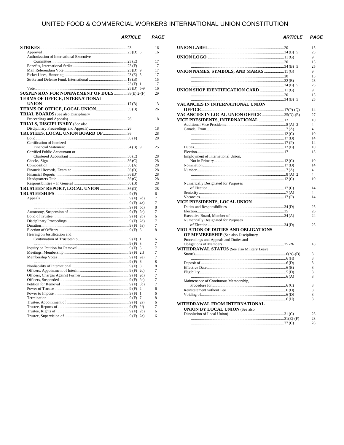| <b>ARTICLE</b>                                                                         |        | PAGE           |
|----------------------------------------------------------------------------------------|--------|----------------|
|                                                                                        |        | 16             |
| Authorization of International Executive                                               |        | 16             |
|                                                                                        |        | 17             |
|                                                                                        |        | 17             |
|                                                                                        |        | 17             |
|                                                                                        |        | 17             |
|                                                                                        |        | 15             |
|                                                                                        | -1     | 17             |
|                                                                                        |        | 16             |
| <b>SUSPENSION FOR NONPAYMENT OF DUES</b> 38(E) 2-(F)<br>TERMS OF OFFICE, INTERNATIONAL |        | 29             |
|                                                                                        |        | 13             |
| <b>TERMS OF OFFICE, LOCAL UNION35 (B)</b>                                              |        | 26             |
| <b>TRIAL BOARDS</b> (See also Disciplinary                                             |        |                |
|                                                                                        |        | 18             |
| <b>TRIALS, DISCIPLINARY</b> (See also                                                  |        |                |
|                                                                                        |        | 18             |
| <b>TRUSTEES, LOCAL UNION BOARD OF 36</b>                                               |        | 28             |
|                                                                                        |        | 28             |
| Certification of Itemized                                                              |        |                |
|                                                                                        |        | 25             |
| Certified Public Accountant or                                                         |        |                |
|                                                                                        |        | 28<br>28       |
|                                                                                        |        | 28             |
|                                                                                        |        | 28             |
|                                                                                        |        | 28             |
|                                                                                        |        | 28             |
|                                                                                        |        | 28             |
| <b>TRUSTEES' REPORT, LOCAL UNION 36(D)</b>                                             |        | 28             |
|                                                                                        |        |                |
|                                                                                        |        | 6<br>7         |
|                                                                                        |        | 7              |
|                                                                                        |        | 8              |
|                                                                                        |        | 7              |
|                                                                                        |        | 6              |
|                                                                                        |        | 7              |
|                                                                                        |        | 7              |
|                                                                                        |        | 8              |
| Hearing on Justification and                                                           |        |                |
|                                                                                        | -1     | 6              |
|                                                                                        | 3      | 7              |
|                                                                                        | 5      | 7              |
|                                                                                        | 2f)    | 7              |
|                                                                                        |        | 7              |
|                                                                                        |        | 8              |
|                                                                                        | 8      | 8              |
|                                                                                        |        | 7              |
|                                                                                        |        | $\overline{7}$ |
|                                                                                        | 2c)    | 7              |
|                                                                                        |        | 7              |
|                                                                                        | 2<br>1 | 6<br>6         |
|                                                                                        | 7      | 8              |
|                                                                                        |        | 6              |
|                                                                                        |        | 7              |
|                                                                                        |        | 6              |
|                                                                                        |        | 6              |

|                                                   | 15                               |
|---------------------------------------------------|----------------------------------|
|                                                   | 25                               |
|                                                   | 9                                |
|                                                   | 15                               |
|                                                   | 25                               |
| UNION NAMES, SYMBOLS, AND MARKS 11(G)             | 9                                |
|                                                   | 15<br>23                         |
|                                                   | 25                               |
| UNION SHOP IDENTIFICATION CARD 11(G)              | 9                                |
|                                                   | 15                               |
|                                                   | 25                               |
| VACANCIES IN INTERNATIONAL UNION                  |                                  |
|                                                   | 14                               |
| <b>VACANCIES IN LOCAL UNION OFFICE 35(D)-(E)</b>  | 27                               |
|                                                   | 10                               |
| VICE PRESIDENTS, INTERNATIONAL  12                |                                  |
|                                                   | $\overline{4}$<br>$\overline{4}$ |
|                                                   | 10                               |
|                                                   | 14                               |
|                                                   | 14                               |
|                                                   | 10                               |
|                                                   | 13                               |
| Employment of International Union,                |                                  |
|                                                   | 10                               |
|                                                   | 14                               |
|                                                   | 4                                |
|                                                   | $\overline{4}$                   |
|                                                   | 10                               |
| Numerically Designated for Purposes               | 14                               |
|                                                   | 4                                |
|                                                   | 14                               |
| VICE PRESIDENTS, LOCAL UNION                      |                                  |
|                                                   | 25                               |
|                                                   | 26                               |
|                                                   | 24                               |
| Numerically Designated for Purposes               |                                  |
|                                                   | 25                               |
| VIOLATION OF DUTIES AND OBLIGATIONS               |                                  |
| OF MEMBERSHIP (See also Disciplinary              |                                  |
| Proceedings and Appeals and Duties and            |                                  |
|                                                   | 18                               |
| <b>WITHDRAWAL STATUS</b> (See also Military Leave |                                  |
|                                                   | 3                                |
|                                                   | 3                                |
|                                                   | 3                                |
|                                                   | 3                                |
|                                                   | 3<br>3                           |
| Maintenance of Continuous Membership,             |                                  |
|                                                   | 3                                |
|                                                   | 3                                |
|                                                   | 3                                |
|                                                   | 3                                |
| WITHDRAWAL FROM INTERNATIONAL                     |                                  |
| <b>UNION BY LOCAL UNION (See also</b>             |                                  |
|                                                   | 23                               |
|                                                   | 23                               |
|                                                   | 28                               |